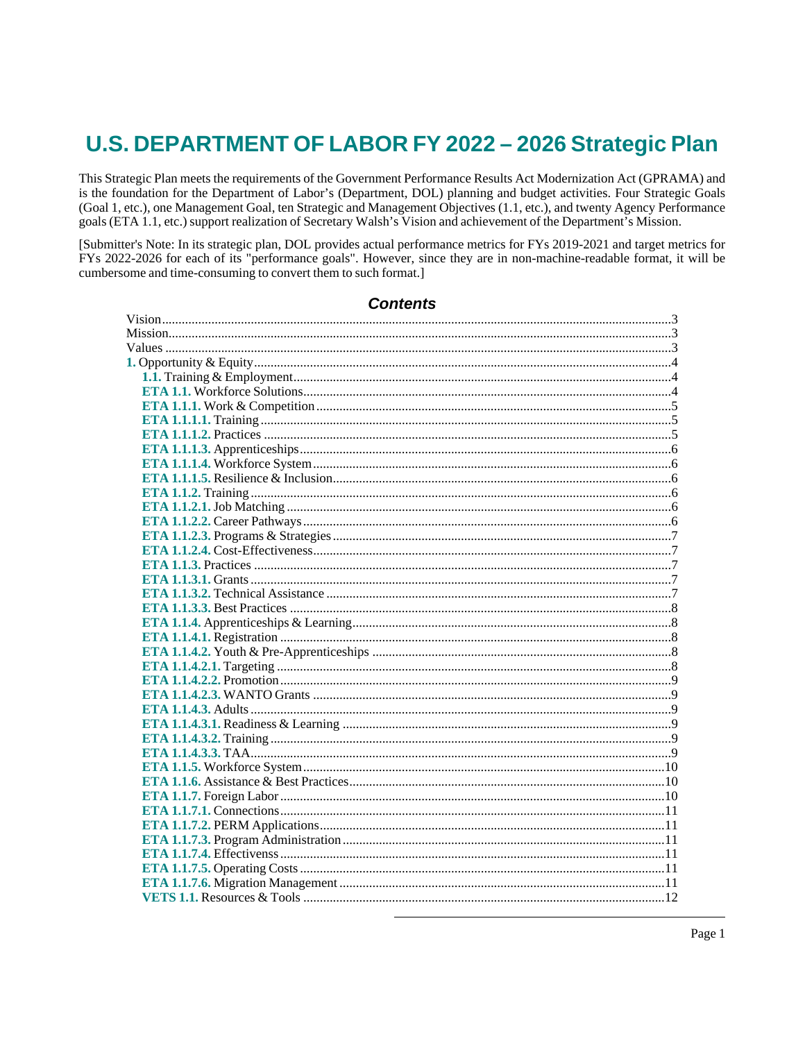# U.S. DEPARTMENT OF LABOR FY 2022 - 2026 Strategic Plan

This Strategic Plan meets the requirements of the Government Performance Results Act Modernization Act (GPRAMA) and is the foundation for the Department of Labor's (Department, DOL) planning and budget activities. Four Strategic Goals (Goal 1, etc.), one Management Goal, ten Strategic and Management Objectives (1.1, etc.), and twenty Agency Performance goals (ETA 1.1, etc.) support realization of Secretary Walsh's Vision and achievement of the Department's Mission.

[Submitter's Note: In its strategic plan, DOL provides actual performance metrics for FYs 2019-2021 and target metrics for FYs 2022-2026 for each of its "performance goals". However, since they are in non-machine-readable format, it will be cumbersome and time-consuming to convert them to such format.]

## **Contents**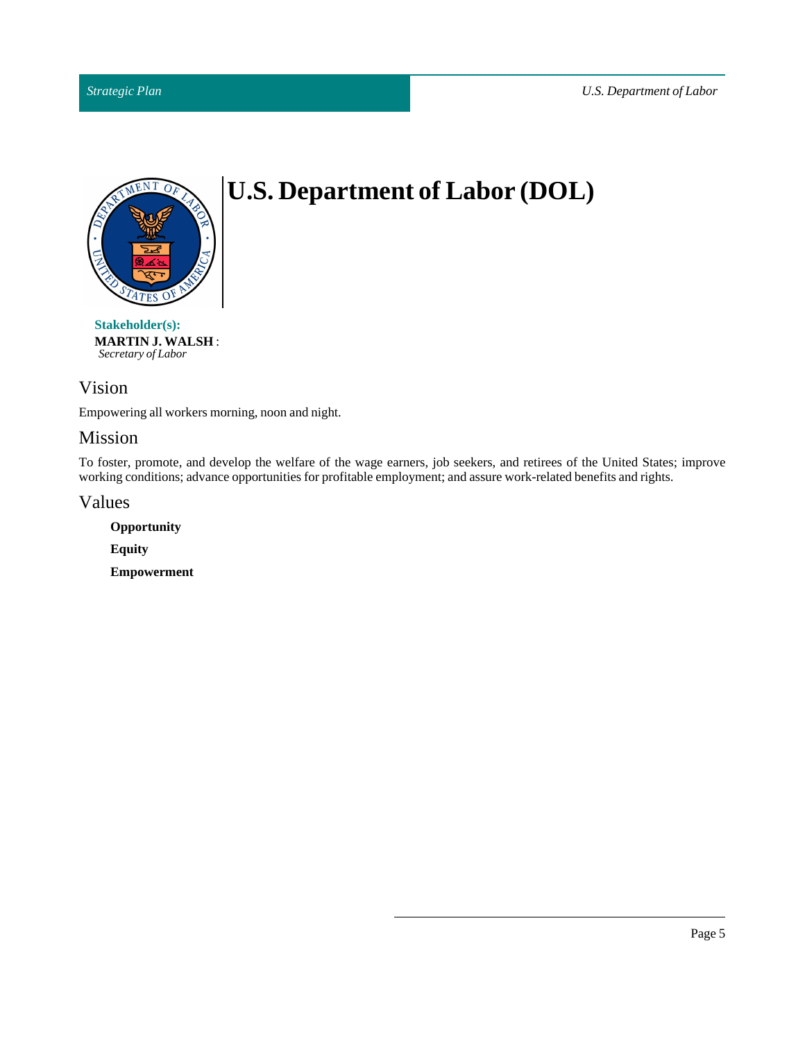

# **U.S. Department of Labor (DOL)**

**Stakeholder(s): MARTIN J. WALSH** : *Secretary of Labor*

## <span id="page-4-0"></span>Vision

Empowering all workers morning, noon and night.

## <span id="page-4-1"></span>Mission

To foster, promote, and develop the welfare of the wage earners, job seekers, and retirees of the United States; improve working conditions; advance opportunities for profitable employment; and assure work-related benefits and rights.

<span id="page-4-2"></span>Values

**Opportunity Equity Empowerment**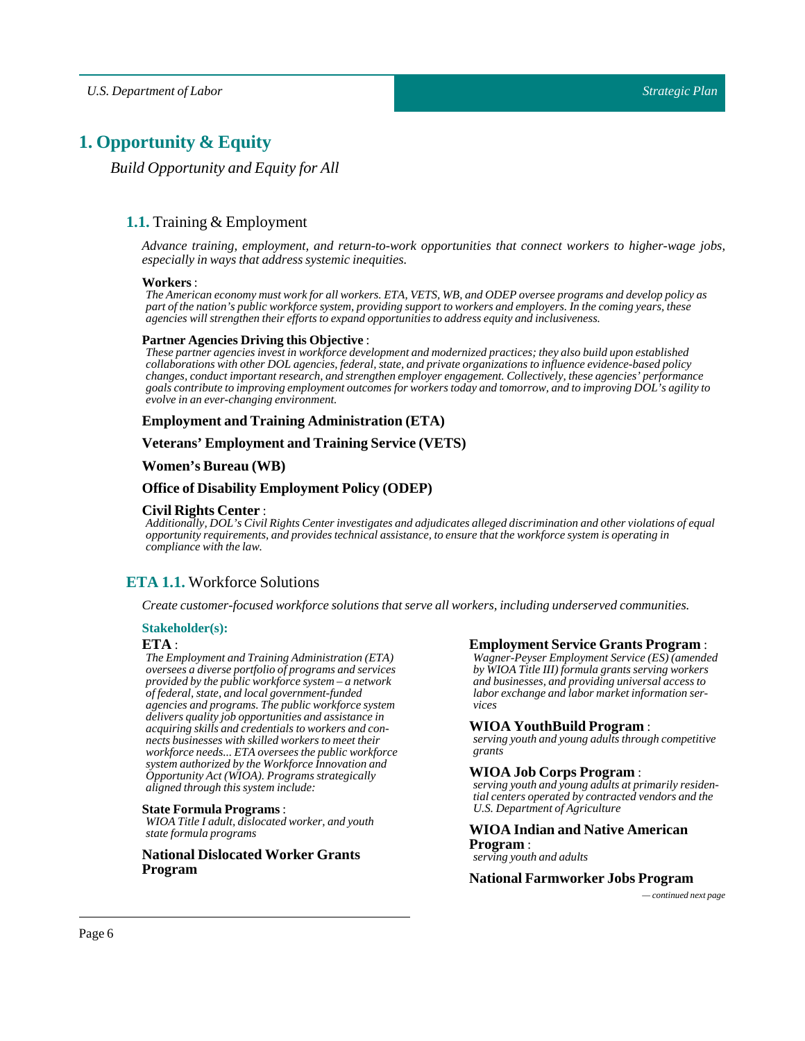## <span id="page-5-1"></span><span id="page-5-0"></span>**1. Opportunity & Equity**

*Build Opportunity and Equity for All*

## **1.1.** Training & Employment

*Advance training, employment, and return-to-work opportunities that connect workers to higher-wage jobs, especially in ways that address systemic inequities.*

#### **Workers**:

The American economy must work for all workers. ETA, VETS, WB, and ODEP oversee programs and develop policy as part of the nation's public workforce system, providing support to workers and employers. In the coming years, these *agencies will strengthen their efforts to expand opportunities to address equity and inclusiveness.*

#### **Partner Agencies Driving this Objective** :

*These partner agencies invest in workforce development and modernized practices; they also build upon established collaborations with other DOL agencies, federal, state, and private organizations to influence evidence-based policy changes, conduct important research, and strengthen employer engagement. Collectively, these agencies' performance* goals contribute to improving employment outcomes for workers today and tomorrow, and to improving DOL's agility to *evolve in an ever-changing environment.*

#### **Employment and Training Administration (ETA)**

#### **Veterans' Employment and Training Service (VETS)**

#### **Women's Bureau (WB)**

#### **Office of Disability Employment Policy (ODEP)**

#### **Civil Rights Center** :

Additionally, DOL's Civil Rights Center investigates and adjudicates alleged discrimination and other violations of equal *opportunity requirements, and provides technical assistance, to ensure that the workforce system is operating in compliance with the law.*

## <span id="page-5-2"></span>**ETA 1.1.** Workforce Solutions

*Create customer-focused workforce solutions that serve all workers,including underserved communities.*

#### **Stakeholder(s):**

#### **ETA** :

*The Employment and Training Administration (ETA) oversees a diverse portfolio of programs and services provided by the public workforce system – a network of federal, state, and local government-funded agencies and programs. The public workforce system delivers quality job opportunities and assistance in acquiring skills and credentials to workers and connects businesses with skilled workers to meet their workforce needs... ETA oversees the public workforce system authorized by the Workforce Innovation and Opportunity Act (WIOA). Programs strategically aligned through this system include:*

#### **State Formula Programs**:

*WIOA Title I adult, dislocated worker, and youth state formula programs*

#### **National Dislocated Worker Grants Program**

#### **Employment Service Grants Program** :

*Wagner-Peyser Employment Service (ES) (amended by WIOA Title III) formula grants serving workers and businesses, and providing universal access to labor exchange and labor market information services*

#### **WIOA YouthBuild Program** :

*serving youth and young adults through competitive grants*

#### **WIOA Job Corps Program** :

*serving youth and young adults at primarily residential centers operated by contracted vendors and the U.S. Department of Agriculture*

### **WIOA Indian and Native American Program** :

*serving youth and adults*

#### **National Farmworker Jobs Program**

*— continued next page*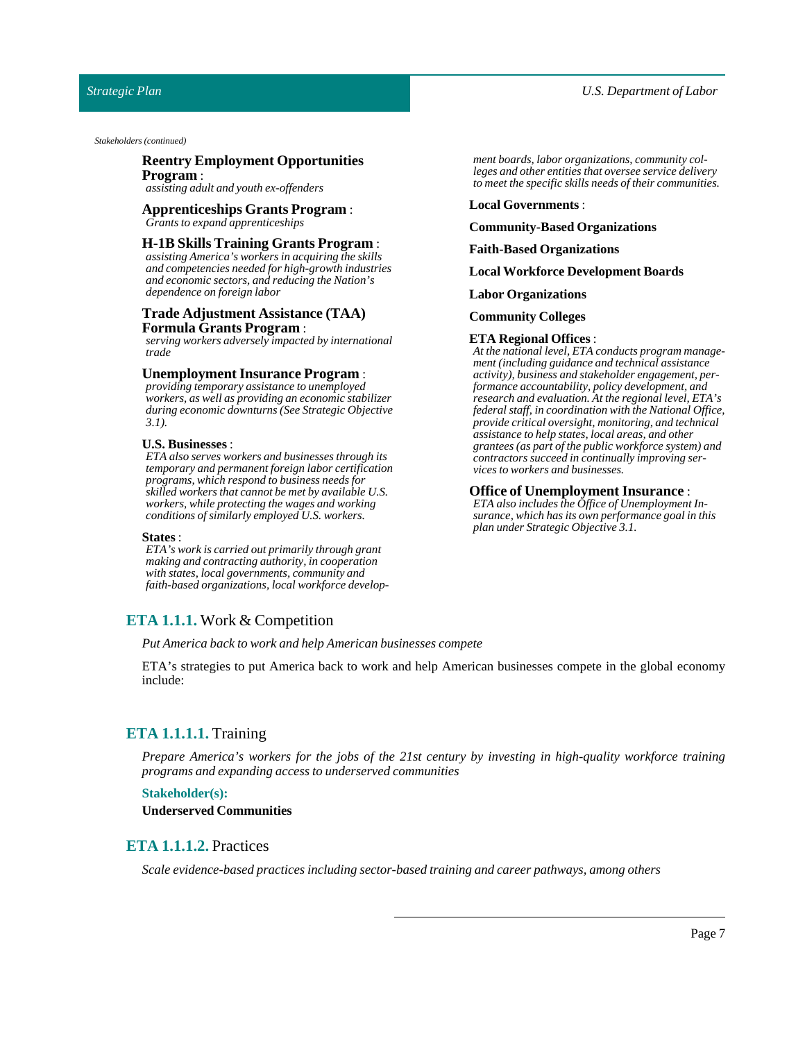#### *Strategic Plan*

*Stakeholders (continued)*

#### **Reentry Employment Opportunities Program** :

*assisting adult and youth ex-offenders*

#### **Apprenticeships Grants Program** : *Grants to expand apprenticeships*

#### **H-1B Skills Training Grants Program** :

*assisting America's workers in acquiring the skills and competencies needed for high-growth industries and economic sectors, and reducing the Nation's dependence on foreign labor*

#### **Trade Adjustment Assistance (TAA) Formula Grants Program** :

*serving workers adversely impacted by international trade*

#### **Unemployment Insurance Program**:

*providing temporary assistance to unemployed workers, as well as providing an economic stabilizer during economic downturns (See Strategic Objective 3.1).*

#### **U.S. Businesses**:

*ETA also serves workers and businesses through its temporary and permanent foreign labor certification programs, which respond to business needs for skilled workers that cannot be met by available U.S. workers, while protecting the wages and working conditions of similarly employed U.S. workers.*

#### **States** :

*ETA's work is carried out primarily through grant making and contracting authority, in cooperation with states, local governments, community and faith-based organizations, local workforce develop-*

#### <span id="page-6-0"></span>**ETA 1.1.1.** Work & Competition

*Put America back to work and help American businesses compete*

ETA's strategies to put America back to work and help American businesses compete in the global economy include:

## <span id="page-6-1"></span>**ETA 1.1.1.1.** Training

*Prepare America's workers for the jobs of the 21st century by investing in high-quality workforce training programs and expanding access to underserved communities*

#### **Stakeholder(s):**

**Underserved Communities**

#### <span id="page-6-2"></span>**ETA 1.1.1.2.** Practices

*Scale evidence-based practices including sector-based training and career pathways, among others*

*ment boards, labor organizations, community colleges and other entities that oversee service delivery to meet the specific skills needs of their communities.*

#### **Local Governments**:

#### **Community-Based Organizations**

#### **Faith-Based Organizations**

**Local Workforce Development Boards**

#### **Labor Organizations**

#### **Community Colleges**

#### **ETA Regional Offices** :

*At the national level, ETA conducts program management (including guidance and technical assistance activity), business and stakeholder engagement, performance accountability, policy development, and research and evaluation. At the regional level, ETA's federal staff, in coordination with the National Office, provide critical oversight, monitoring, and technical assistance to help states, local areas, and other grantees (as part of the public workforce system) and contractors succeed in continually improving services to workers and businesses.*

#### **Office of Unemployment Insurance** :

*ETA also includes the Office of Unemployment Insurance, which has its own performance goal in this plan under Strategic Objective 3.1.*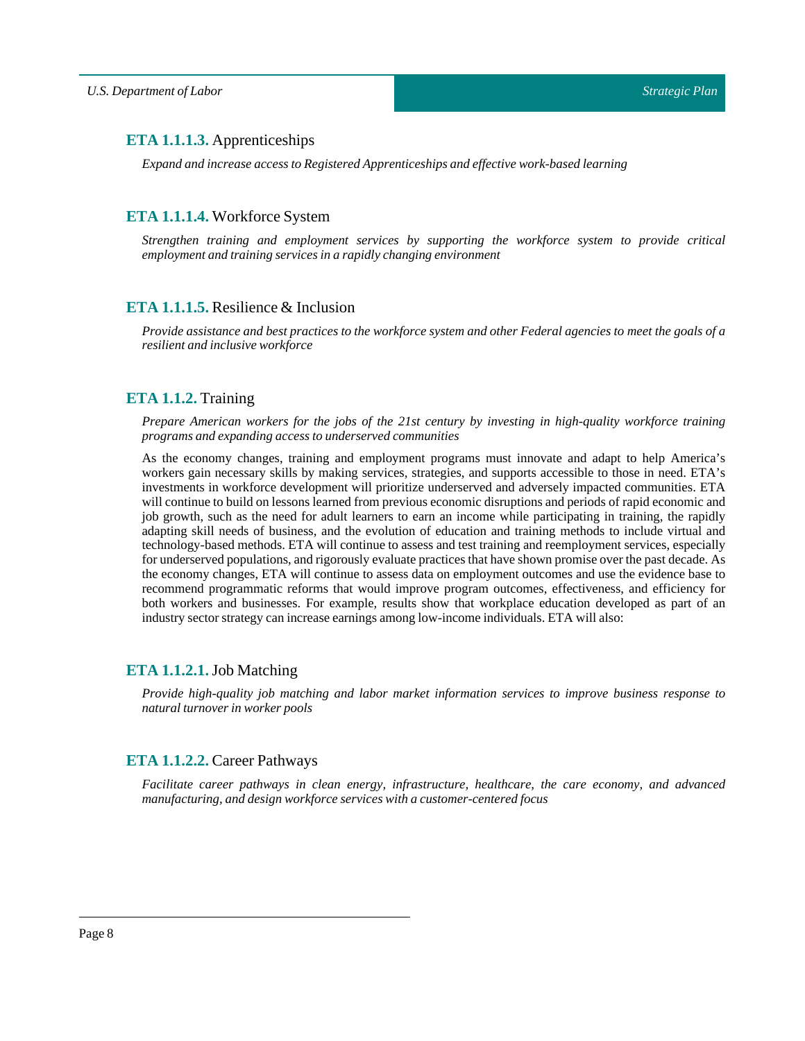## <span id="page-7-0"></span>**ETA 1.1.1.3.** Apprenticeships

*Expand and increase access to Registered Apprenticeships and effective work-based learning*

## <span id="page-7-1"></span>**ETA 1.1.1.4.** Workforce System

*Strengthen training and employment services by supporting the workforce system to provide critical employment and training services in a rapidly changing environment*

## <span id="page-7-2"></span>**ETA 1.1.1.5.** Resilience & Inclusion

Provide assistance and best practices to the workforce system and other Federal agencies to meet the goals of a *resilient and inclusive workforce*

## <span id="page-7-3"></span>**ETA 1.1.2.** Training

*Prepare American workers for the jobs of the 21st century by investing in high-quality workforce training programs and expanding access to underserved communities*

As the economy changes, training and employment programs must innovate and adapt to help America's workers gain necessary skills by making services, strategies, and supports accessible to those in need. ETA's investments in workforce development will prioritize underserved and adversely impacted communities. ETA will continue to build on lessons learned from previous economic disruptions and periods of rapid economic and job growth, such as the need for adult learners to earn an income while participating in training, the rapidly adapting skill needs of business, and the evolution of education and training methods to include virtual and technology-based methods. ETA will continue to assess and test training and reemployment services, especially for underserved populations, and rigorously evaluate practices that have shown promise over the past decade. As the economy changes, ETA will continue to assess data on employment outcomes and use the evidence base to recommend programmatic reforms that would improve program outcomes, effectiveness, and efficiency for both workers and businesses. For example, results show that workplace education developed as part of an industry sector strategy can increase earnings among low-income individuals. ETA will also:

## <span id="page-7-4"></span>**ETA 1.1.2.1.**Job Matching

*Provide high-quality job matching and labor market information services to improve business response to natural turnover in worker pools* 

## <span id="page-7-5"></span>**ETA 1.1.2.2.** Career Pathways

*Facilitate career pathways in clean energy, infrastructure, healthcare, the care economy, and advanced manufacturing, and design workforce services with a customer-centered focus*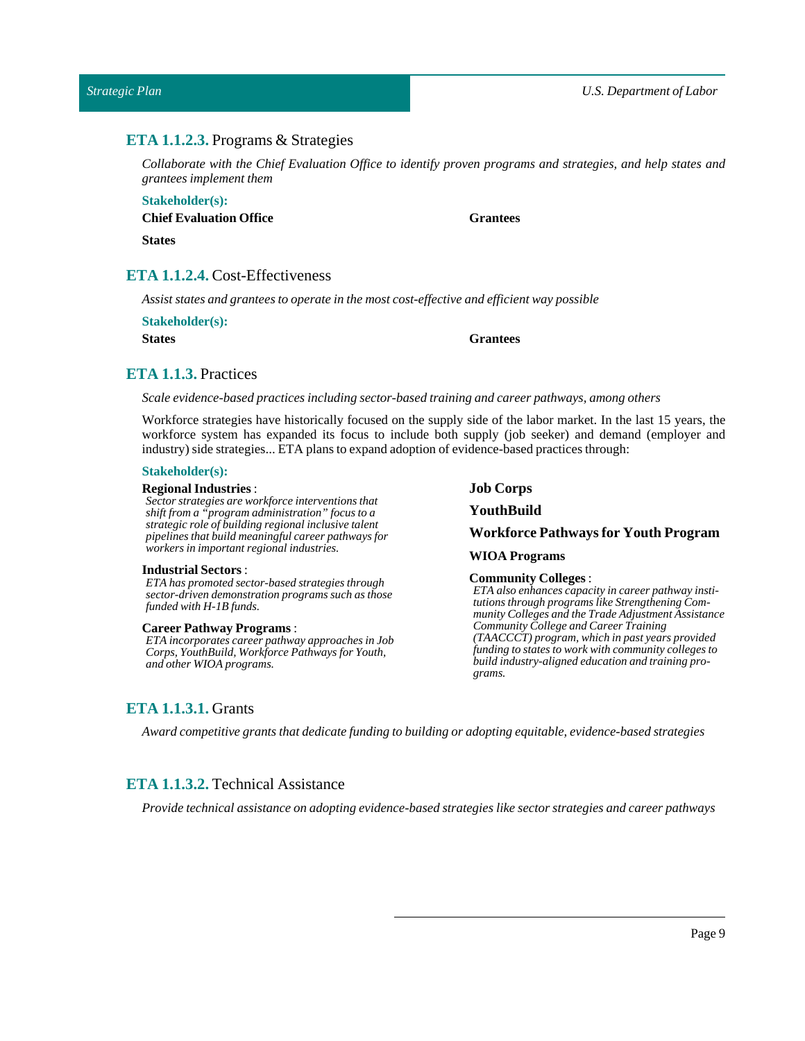## <span id="page-8-0"></span>**ETA 1.1.2.3.** Programs & Strategies

*Collaborate with the Chief Evaluation Office to identify proven programs and strategies, and help states and grantees implementthem*

## **Stakeholder(s): Chief Evaluation Office**

**States**

## <span id="page-8-1"></span>**ETA 1.1.2.4.** Cost-Effectiveness

*Assist states and grantees to operate in the most cost-effective and efficient way possible*

| <b>Stakeholder(s):</b> |  |
|------------------------|--|
| <b>States</b>          |  |

**States Grantees**

**Grantees**

## <span id="page-8-2"></span>**ETA 1.1.3.** Practices

*Scale evidence-based practices including sector-based training and career pathways, among others*

Workforce strategies have historically focused on the supply side of the labor market. In the last 15 years, the workforce system has expanded its focus to include both supply (job seeker) and demand (employer and industry) side strategies... ETA plans to expand adoption of evidence-based practices through:

#### **Stakeholder(s):**

#### **Regional Industries** :

*Sector strategies are workforce interventions that shift from a "program administration" focus to a strategic role of building regional inclusive talent pipelines that build meaningful career pathways for workers in important regional industries.*

#### **Industrial Sectors:**

*ETA has promoted sector-based strategies through sector-driven demonstration programs such as those funded with H-1B funds.*

#### **Career Pathway Programs** :

*ETA incorporates career pathway approaches in Job Corps, YouthBuild, Workforce Pathways for Youth, and other WIOA programs.*

**Job Corps**

#### **YouthBuild**

#### **Workforce Pathwaysfor Youth Program**

#### **WIOA Programs**

#### **Community Colleges**:

*ETA also enhances capacity in career pathway institutions through programs like Strengthening Community Colleges and the Trade Adjustment Assistance Community College and Career Training (TAACCCT) program, which in past years provided funding to states to work with community colleges to build industry-aligned education and training programs.*

## <span id="page-8-3"></span>**ETA 1.1.3.1.** Grants

*Award competitive grants that dedicate funding to building or adopting equitable, evidence-based strategies*

## <span id="page-8-4"></span>**ETA 1.1.3.2.** Technical Assistance

*Provide technical assistance on adopting evidence-based strategies like sector strategies and career pathways*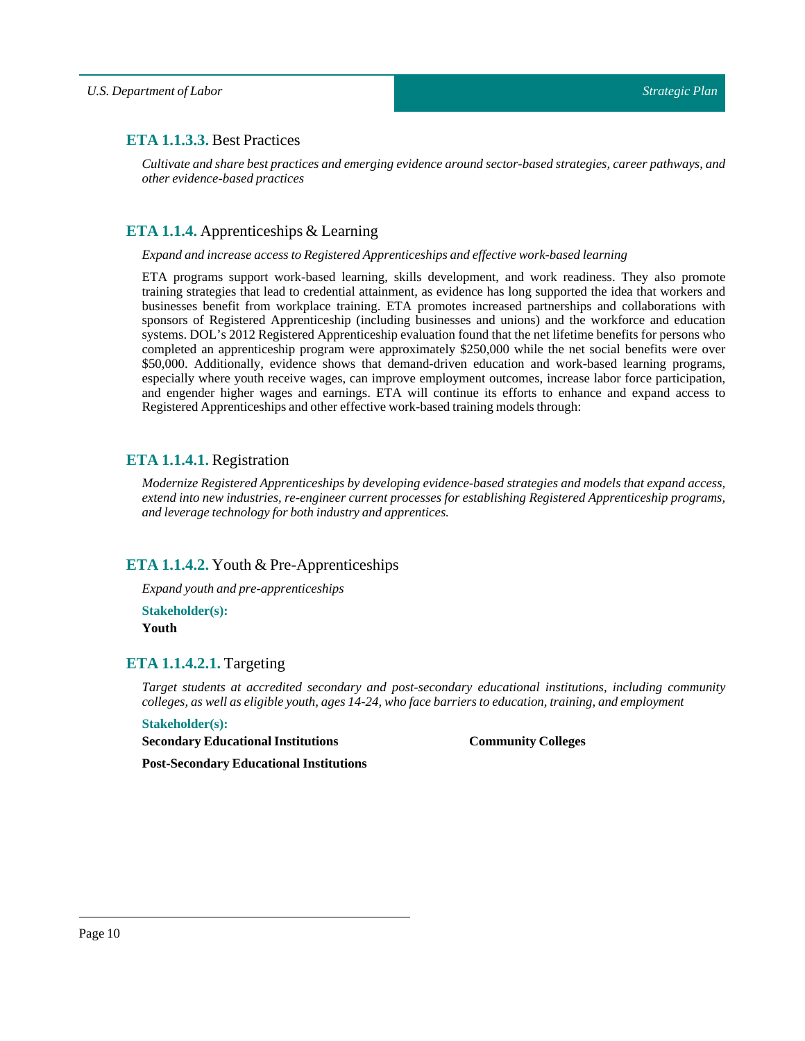## <span id="page-9-0"></span>**ETA 1.1.3.3.** Best Practices

*Cultivate and share best practices and emerging evidence around sector-based strategies, career pathways, and other evidence-based practices*

## <span id="page-9-1"></span>**ETA 1.1.4.** Apprenticeships & Learning

#### *Expand and increase access to Registered Apprenticeships and effective work-based learning*

ETA programs support work-based learning, skills development, and work readiness. They also promote training strategies that lead to credential attainment, as evidence has long supported the idea that workers and businesses benefit from workplace training. ETA promotes increased partnerships and collaborations with sponsors of Registered Apprenticeship (including businesses and unions) and the workforce and education systems. DOL's 2012 Registered Apprenticeship evaluation found that the net lifetime benefits for persons who completed an apprenticeship program were approximately \$250,000 while the net social benefits were over \$50,000. Additionally, evidence shows that demand-driven education and work-based learning programs, especially where youth receive wages, can improve employment outcomes, increase labor force participation, and engender higher wages and earnings. ETA will continue its efforts to enhance and expand access to Registered Apprenticeships and other effective work-based training models through:

## <span id="page-9-2"></span>**ETA 1.1.4.1.** Registration

*Modernize Registered Apprenticeships by developing evidence-based strategies and models that expand access, extend into new industries, re-engineer current processes for establishing Registered Apprenticeship programs, and leverage technology for both industry and apprentices.*

## <span id="page-9-3"></span>**ETA 1.1.4.2.** Youth & Pre-Apprenticeships

*Expand youth and pre-apprenticeships*

**Stakeholder(s): Youth**

## <span id="page-9-4"></span>**ETA 1.1.4.2.1.** Targeting

*Target students at accredited secondary and post-secondary educational institutions, including community colleges, as well as eligible youth, ages 14-24, who face barriers to education,training, and employment*

#### **Stakeholder(s):**

**Secondary Educational Institutions**

**Community Colleges**

**Post-Secondary Educational Institutions**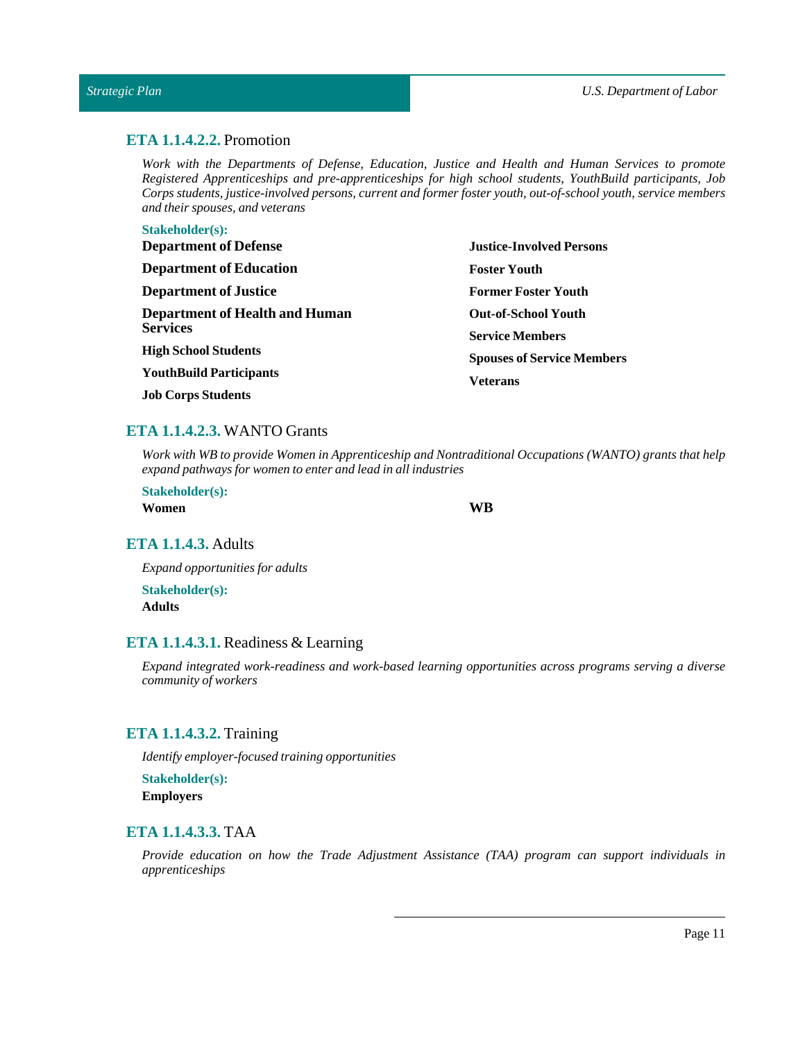## <span id="page-10-0"></span>**ETA 1.1.4.2.2.** Promotion

*Work with the Departments of Defense, Education, Justice and Health and Human Services to promote Registered Apprenticeships and pre-apprenticeships for high school students, YouthBuild participants, Job Corps students, justice-involved persons, current and former foster youth, out-of-school youth, service members and their spouses, and veterans*

#### **Stakeholder(s):**

| <b>Department of Defense</b>                             | <b>Justice-Involved Persons</b>   |  |
|----------------------------------------------------------|-----------------------------------|--|
| <b>Department of Education</b>                           | <b>Foster Youth</b>               |  |
| <b>Department of Justice</b>                             | <b>Former Foster Youth</b>        |  |
| <b>Department of Health and Human</b><br><b>Services</b> | <b>Out-of-School Youth</b>        |  |
|                                                          | <b>Service Members</b>            |  |
| <b>High School Students</b>                              | <b>Spouses of Service Members</b> |  |
| <b>YouthBuild Participants</b>                           | <b>Veterans</b>                   |  |
| <b>Job Corps Students</b>                                |                                   |  |

## <span id="page-10-1"></span>**ETA 1.1.4.2.3.** WANTO Grants

*Work with WB to provide Women in Apprenticeship and Nontraditional Occupations (WANTO) grants that help expand pathways for women to enter and lead in allindustries*

**Stakeholder(s): Women WB**

## <span id="page-10-2"></span>**ETA 1.1.4.3.** Adults

*Expand opportunities for adults*

**Stakeholder(s): Adults**

## <span id="page-10-3"></span>**ETA 1.1.4.3.1.** Readiness & Learning

*Expand integrated work-readiness and work-based learning opportunities across programs serving a diverse community of workers*

## <span id="page-10-4"></span>**ETA 1.1.4.3.2.** Training

*Identify employer-focused training opportunities*

**Stakeholder(s): Employers**

## <span id="page-10-5"></span>**ETA 1.1.4.3.3.** TAA

*Provide education on how the Trade Adjustment Assistance (TAA) program can support individuals in apprenticeships*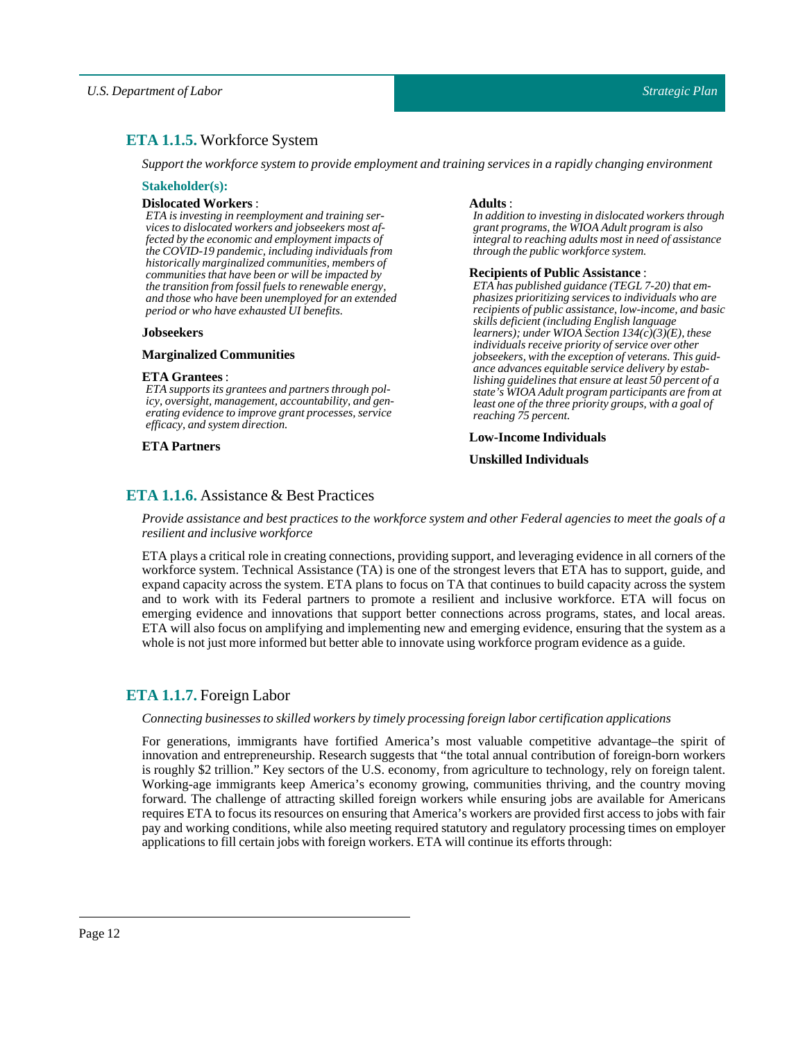## <span id="page-11-0"></span>**ETA 1.1.5.** Workforce System

*Supportthe workforce system to provide employment and training services in a rapidly changing environment*

#### **Stakeholder(s):**

#### **Dislocated Workers** :

*ETA is investing in reemployment and training services to dislocated workers and jobseekers most affected by the economic and employment impacts of the COVID-19 pandemic, including individuals from historically marginalized communities, members of communities that have been or will be impacted by the transition from fossil fuels to renewable energy, and those who have been unemployed for an extended period or who have exhausted UI benefits.*

#### **Jobseekers**

#### **Marginalized Communities**

#### **ETA Grantees** :

*ETA supports its grantees and partners through policy, oversight, management, accountability, and generating evidence to improve grant processes, service efficacy, and system direction.*

#### **ETA Partners**

#### **Adults** :

*In addition to investing in dislocated workers through grant programs, the WIOA Adult program is also integral to reaching adults most in need of assistance through the public workforce system.*

#### **Recipients of Public Assistance** :

*ETA has published guidance (TEGL 7-20) that emphasizes prioritizing services to individuals who are recipients of public assistance, low-income, and basic skills deficient (including English language learners); under WIOA Section 134(c)(3)(E), these individuals receive priority of service over other jobseekers, with the exception of veterans. This guidance advances equitable service delivery by establishing guidelines that ensure at least 50 percent of a state's WIOA Adult program participants are from at least one of the three priority groups, with a goal of reaching 75 percent.*

**Low-Income Individuals**

### **Unskilled Individuals**

## <span id="page-11-1"></span>**ETA 1.1.6.** Assistance & Best Practices

Provide assistance and best practices to the workforce system and other Federal agencies to meet the goals of a *resilient and inclusive workforce*

ETA plays a critical role in creating connections, providing support, and leveraging evidence in all corners of the workforce system. Technical Assistance (TA) is one of the strongest levers that ETA has to support, guide, and expand capacity across the system. ETA plans to focus on TA that continues to build capacity across the system and to work with its Federal partners to promote a resilient and inclusive workforce. ETA will focus on emerging evidence and innovations that support better connections across programs, states, and local areas. ETA will also focus on amplifying and implementing new and emerging evidence, ensuring that the system as a whole is not just more informed but better able to innovate using workforce program evidence as a guide.

## <span id="page-11-2"></span>**ETA 1.1.7.** Foreign Labor

#### *Connecting businesses to skilled workers by timely processing foreign labor certification applications*

For generations, immigrants have fortified America's most valuable competitive advantage–the spirit of innovation and entrepreneurship. Research suggests that "the total annual contribution of foreign-born workers is roughly \$2 trillion." Key sectors of the U.S. economy, from agriculture to technology, rely on foreign talent. Working-age immigrants keep America's economy growing, communities thriving, and the country moving forward. The challenge of attracting skilled foreign workers while ensuring jobs are available for Americans requires ETA to focus its resources on ensuring that America's workers are provided first access to jobs with fair pay and working conditions, while also meeting required statutory and regulatory processing times on employer applications to fill certain jobs with foreign workers. ETA will continue its efforts through: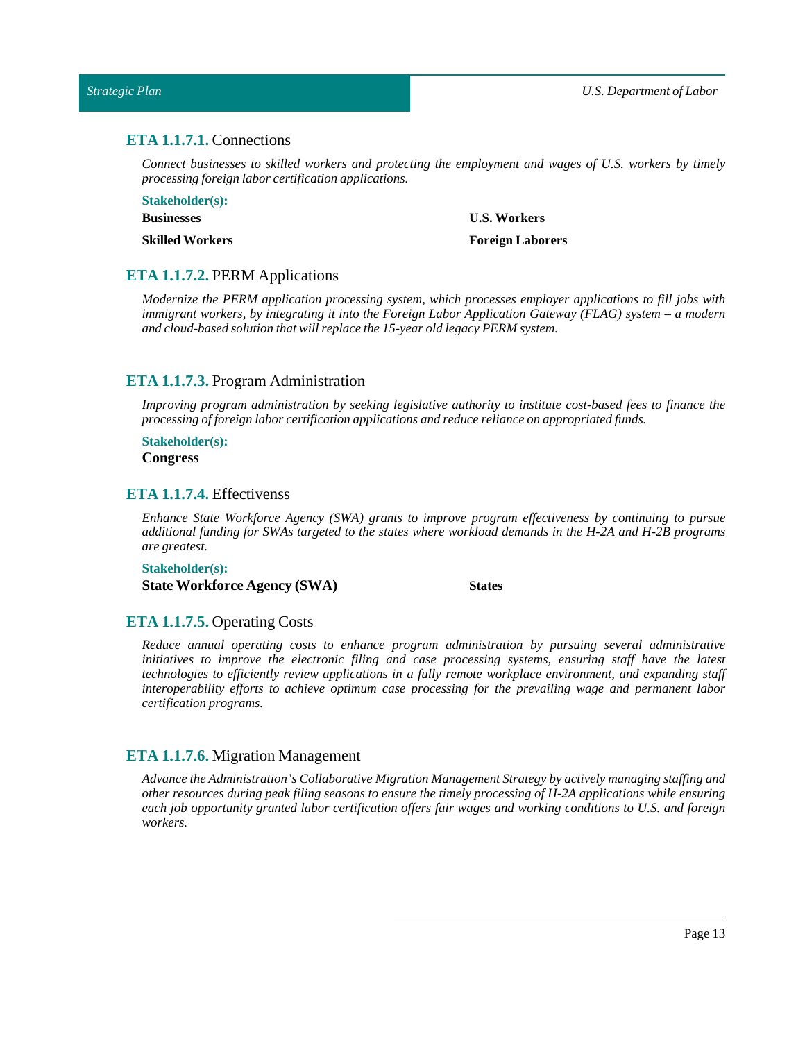## <span id="page-12-0"></span>**ETA 1.1.7.1.** Connections

*Connect businesses to skilled workers and protecting the employment and wages of U.S. workers by timely processing foreign labor certification applications.*

**Stakeholder(s): Businesses Skilled Workers**

**U.S. Workers**

**Foreign Laborers**

## <span id="page-12-1"></span>**ETA 1.1.7.2.** PERM Applications

*Modernize the PERM application processing system, which processes employer applications to fill jobs with immigrant workers, by integrating it into the Foreign Labor Application Gateway (FLAG) system – a modern and cloud-based solution that will replace the 15-year old legacy PERM system.*

#### <span id="page-12-2"></span>**ETA 1.1.7.3.** Program Administration

*Improving program administration by seeking legislative authority to institute cost-based fees to finance the processing offoreign labor certification applications and reduce reliance on appropriated funds.*

**Stakeholder(s):**

**Congress**

## <span id="page-12-3"></span>**ETA 1.1.7.4.** Effectivenss

*Enhance State Workforce Agency (SWA) grants to improve program effectiveness by continuing to pursue additional funding for SWAs targeted to the states where workload demands in the H-2A and H-2B programs are greatest.*

**Stakeholder(s): State Workforce Agency (SWA) States**

## <span id="page-12-4"></span>**ETA 1.1.7.5.** Operating Costs

*Reduce annual operating costs to enhance program administration by pursuing several administrative initiatives to improve the electronic filing and case processing systems, ensuring staff have the latest technologies to efficiently review applications in a fully remote workplace environment, and expanding staff interoperability efforts to achieve optimum case processing for the prevailing wage and permanent labor certification programs.*

#### <span id="page-12-5"></span>**ETA 1.1.7.6.** Migration Management

*Advance the Administration's Collaborative Migration Management Strategy by actively managing staffing and other resources during peak filing seasons to ensure the timely processing of H-2A applications while ensuring each job opportunity granted labor certification offers fair wages and working conditions to U.S. and foreign workers.*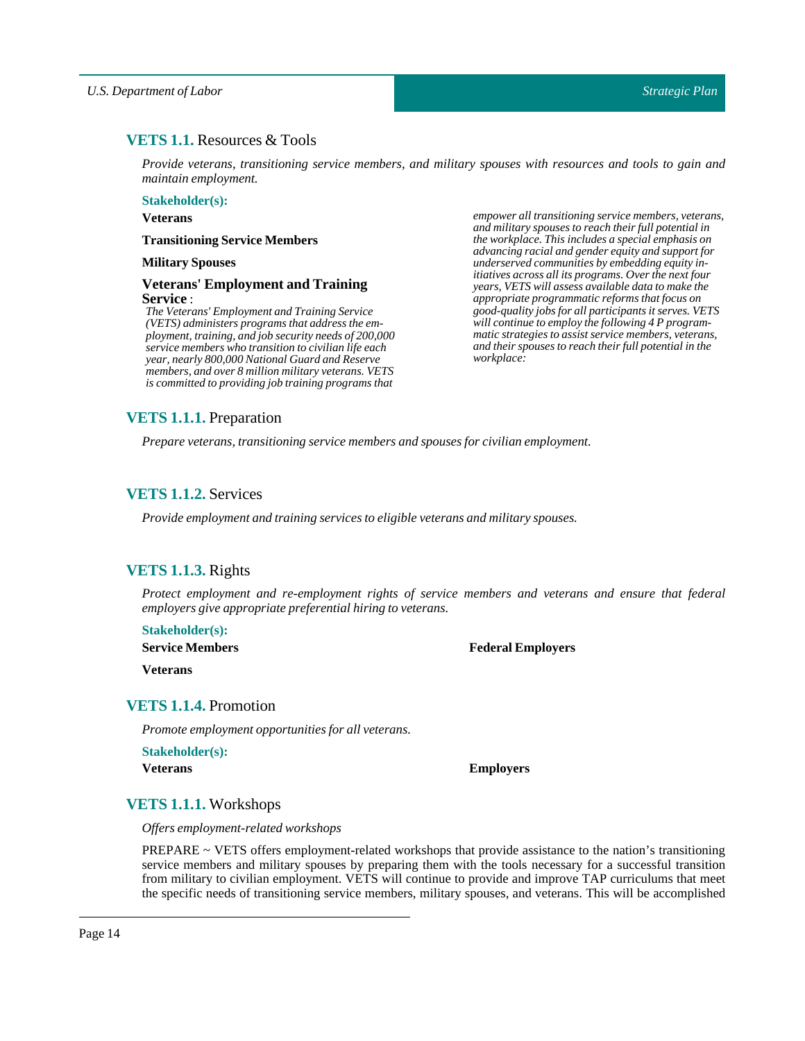## <span id="page-13-0"></span>**VETS 1.1.** Resources & Tools

*Provide veterans, transitioning service members, and military spouses with resources and tools to gain and maintain employment.*

**Stakeholder(s):**

**Veterans**

#### **Transitioning Service Members**

#### **MilitarySpouses**

#### **Veterans' Employment and Training Service** :

*The Veterans' Employment and Training Service (VETS) administers programs that address the employment, training, and job security needs of 200,000 service members who transition to civilian life each year, nearly 800,000 National Guard and Reserve members, and over 8 million military veterans. VETS is committed to providing job training programs that*

*empower all transitioning service members, veterans, and military spouses to reach their full potential in the workplace. This includes a special emphasis on advancing racial and gender equity and support for underserved communities by embedding equity initiatives across all its programs. Over the next four years, VETS will assess available data to make the appropriate programmatic reforms that focus on good-quality jobs for all participants it serves. VETS will continue to employ the following 4 P programmatic strategies to assist service members, veterans, and their spouses to reach their full potential in the workplace:*

## <span id="page-13-1"></span>**VETS 1.1.1.** Preparation

*Prepare veterans, transitioning service members and spouses for civilian employment.* 

## <span id="page-13-2"></span>**VETS 1.1.2.** Services

*Provide employment and training services to eligible veterans and military spouses.*

## <span id="page-13-3"></span>**VETS 1.1.3.** Rights

*Protect employment and re-employment rights of service members and veterans and ensure that federal employers give appropriate preferential hiring to veterans.*

**Stakeholder(s):**

**Service Members**

**Federal Employers**

**Veterans**

## <span id="page-13-4"></span>**VETS 1.1.4.** Promotion

*Promote employment opportunities for all veterans.*

**Stakeholder(s):**

**Veterans Employers**

## <span id="page-13-5"></span>**VETS 1.1.1.** Workshops

*Offers employment-related workshops*

PREPARE ~ VETS offers employment-related workshops that provide assistance to the nation's transitioning service members and military spouses by preparing them with the tools necessary for a successful transition from military to civilian employment. VETS will continue to provide and improve TAP curriculums that meet the specific needs of transitioning service members, military spouses, and veterans. This will be accomplished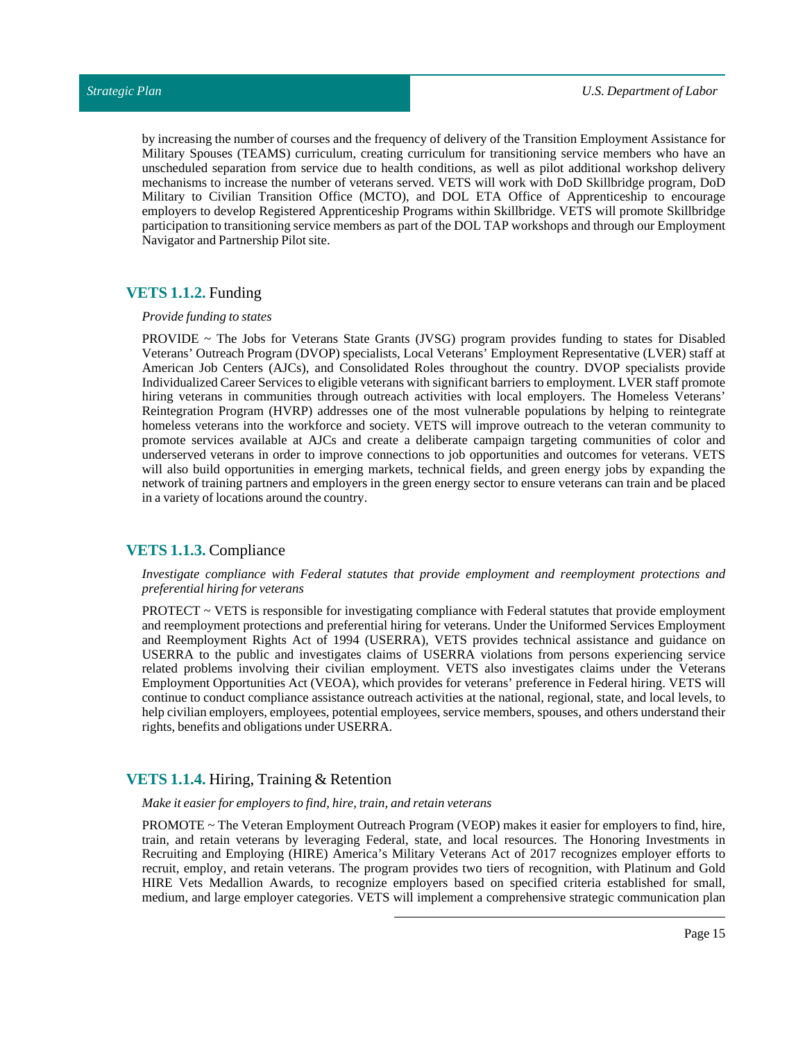by increasing the number of courses and the frequency of delivery of the Transition Employment Assistance for Military Spouses (TEAMS) curriculum, creating curriculum for transitioning service members who have an unscheduled separation from service due to health conditions, as well as pilot additional workshop delivery mechanisms to increase the number of veterans served. VETS will work with DoD Skillbridge program, DoD Military to Civilian Transition Office (MCTO), and DOL ETA Office of Apprenticeship to encourage employers to develop Registered Apprenticeship Programs within Skillbridge. VETS will promote Skillbridge participation to transitioning service members as part of the DOL TAP workshops and through our Employment Navigator and Partnership Pilot site.

## <span id="page-14-0"></span>**VETS 1.1.2.** Funding

#### *Provide funding to states*

PROVIDE  $\sim$  The Jobs for Veterans State Grants (JVSG) program provides funding to states for Disabled Veterans' Outreach Program (DVOP) specialists, Local Veterans' Employment Representative (LVER) staff at American Job Centers (AJCs), and Consolidated Roles throughout the country. DVOP specialists provide Individualized Career Services to eligible veterans with significant barriers to employment. LVER staff promote hiring veterans in communities through outreach activities with local employers. The Homeless Veterans' Reintegration Program (HVRP) addresses one of the most vulnerable populations by helping to reintegrate homeless veterans into the workforce and society. VETS will improve outreach to the veteran community to promote services available at AJCs and create a deliberate campaign targeting communities of color and underserved veterans in order to improve connections to job opportunities and outcomes for veterans. VETS will also build opportunities in emerging markets, technical fields, and green energy jobs by expanding the network of training partners and employers in the green energy sector to ensure veterans can train and be placed in a variety of locations around the country.

## <span id="page-14-1"></span>**VETS 1.1.3.** Compliance

#### *Investigate compliance with Federal statutes that provide employment and reemployment protections and preferential hiring for veterans*

PROTECT ~ VETS is responsible for investigating compliance with Federal statutes that provide employment and reemployment protections and preferential hiring for veterans. Under the Uniformed Services Employment and Reemployment Rights Act of 1994 (USERRA), VETS provides technical assistance and guidance on USERRA to the public and investigates claims of USERRA violations from persons experiencing service related problems involving their civilian employment. VETS also investigates claims under the Veterans Employment Opportunities Act (VEOA), which provides for veterans' preference in Federal hiring. VETS will continue to conduct compliance assistance outreach activities at the national, regional, state, and local levels, to help civilian employers, employees, potential employees, service members, spouses, and others understand their rights, benefits and obligations under USERRA.

## <span id="page-14-2"></span>**VETS 1.1.4.** Hiring, Training & Retention

#### *Make it easier for employers to find, hire, train, and retain veterans*

PROMOTE ~ The Veteran Employment Outreach Program (VEOP) makes it easier for employers to find, hire, train, and retain veterans by leveraging Federal, state, and local resources. The Honoring Investments in Recruiting and Employing (HIRE) America's Military Veterans Act of 2017 recognizes employer efforts to recruit, employ, and retain veterans. The program provides two tiers of recognition, with Platinum and Gold HIRE Vets Medallion Awards, to recognize employers based on specified criteria established for small, medium, and large employer categories. VETS will implement a comprehensive strategic communication plan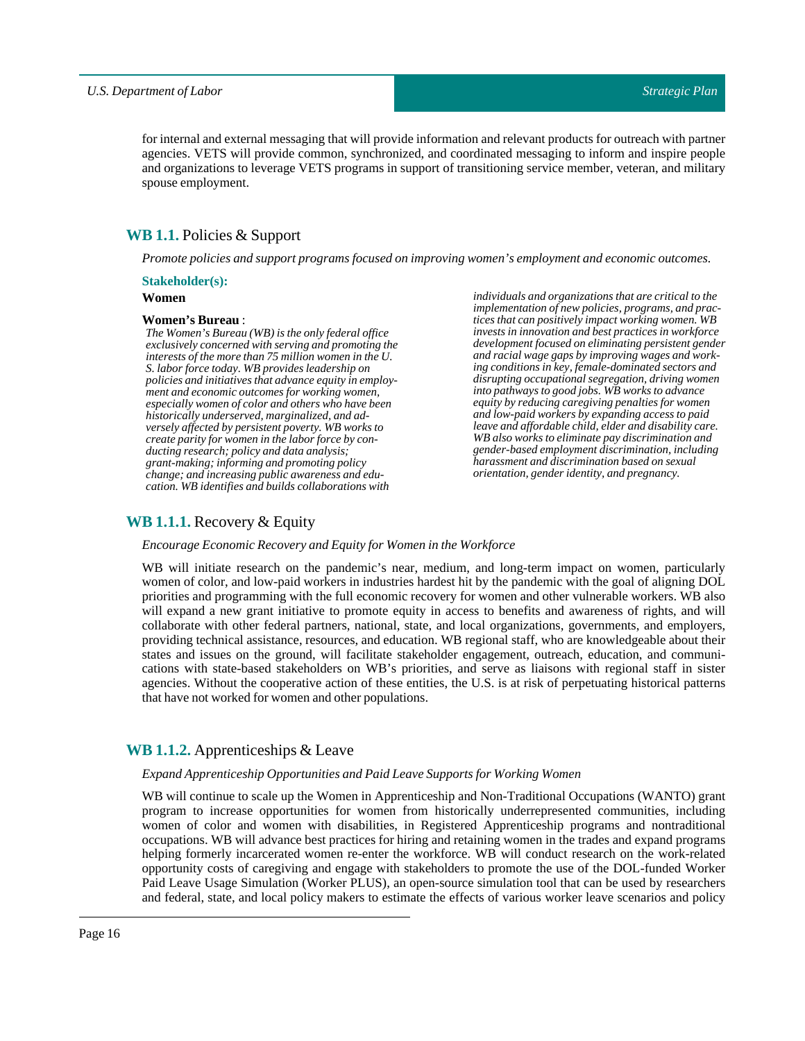*individuals and organizations that are critical to the implementation of new policies, programs, and practices that can positively impact working women. WB invests in innovation and best practices in workforce development focused on eliminating persistent gender and racial wage gaps by improving wages and working conditions in key, female-dominated sectors and disrupting occupational segregation, driving women into pathways to good jobs. WB works to advance equity by reducing caregiving penalties for women and low-paid workers by expanding access to paid leave and affordable child, elder and disability care. WB also works to eliminate pay discrimination and gender-based employment discrimination, including harassment and discrimination based on sexual*

for internal and external messaging that will provide information and relevant products for outreach with partner agencies. VETS will provide common, synchronized, and coordinated messaging to inform and inspire people and organizations to leverage VETS programs in support of transitioning service member, veteran, and military spouse employment.

## <span id="page-15-0"></span>**WB 1.1.** Policies & Support

*Promote policies and support programs focused on improving women's employment and economic outcomes.*

#### **Stakeholder(s):**

## **Women**

#### **Women's Bureau**:

*The Women's Bureau (WB) is the only federal office exclusively concerned with serving and promoting the interests of the more than 75 million women in the U. S. labor force today. WB provides leadership on policies and initiatives that advance equity in employment and economic outcomes for working women, especially women of color and others who have been historically underserved, marginalized, and adversely affected by persistent poverty. WB works to create parity for women in the labor force by conducting research; policy and data analysis; grant-making; informing and promoting policy change; and increasing public awareness and education. WB identifies and builds collaborations with*

<span id="page-15-1"></span>**WB 1.1.1.** Recovery & Equity

*Encourage Economic Recovery and Equity for Women in the Workforce*

*orientation, gender identity, and pregnancy.* WB will initiate research on the pandemic's near, medium, and long-term impact on women, particularly women of color, and low-paid workers in industries hardest hit by the pandemic with the goal of aligning DOL priorities and programming with the full economic recovery for women and other vulnerable workers. WB also will expand a new grant initiative to promote equity in access to benefits and awareness of rights, and will collaborate with other federal partners, national, state, and local organizations, governments, and employers, providing technical assistance, resources, and education. WB regional staff, who are knowledgeable about their states and issues on the ground, will facilitate stakeholder engagement, outreach, education, and communi-

## <span id="page-15-2"></span>**WB 1.1.2.** Apprenticeships & Leave

that have not worked for women and other populations.

#### *Expand Apprenticeship Opportunities and PaidLeave Supports for Working Women*

WB will continue to scale up the Women in Apprenticeship and Non-Traditional Occupations (WANTO) grant program to increase opportunities for women from historically underrepresented communities, including women of color and women with disabilities, in Registered Apprenticeship programs and nontraditional occupations. WB will advance best practices for hiring and retaining women in the trades and expand programs helping formerly incarcerated women re-enter the workforce. WB will conduct research on the work-related opportunity costs of caregiving and engage with stakeholders to promote the use of the DOL-funded Worker Paid Leave Usage Simulation (Worker PLUS), an open-source simulation tool that can be used by researchers and federal, state, and local policy makers to estimate the effects of various worker leave scenarios and policy

cations with state-based stakeholders on WB's priorities, and serve as liaisons with regional staff in sister agencies. Without the cooperative action of these entities, the U.S. is at risk of perpetuating historical patterns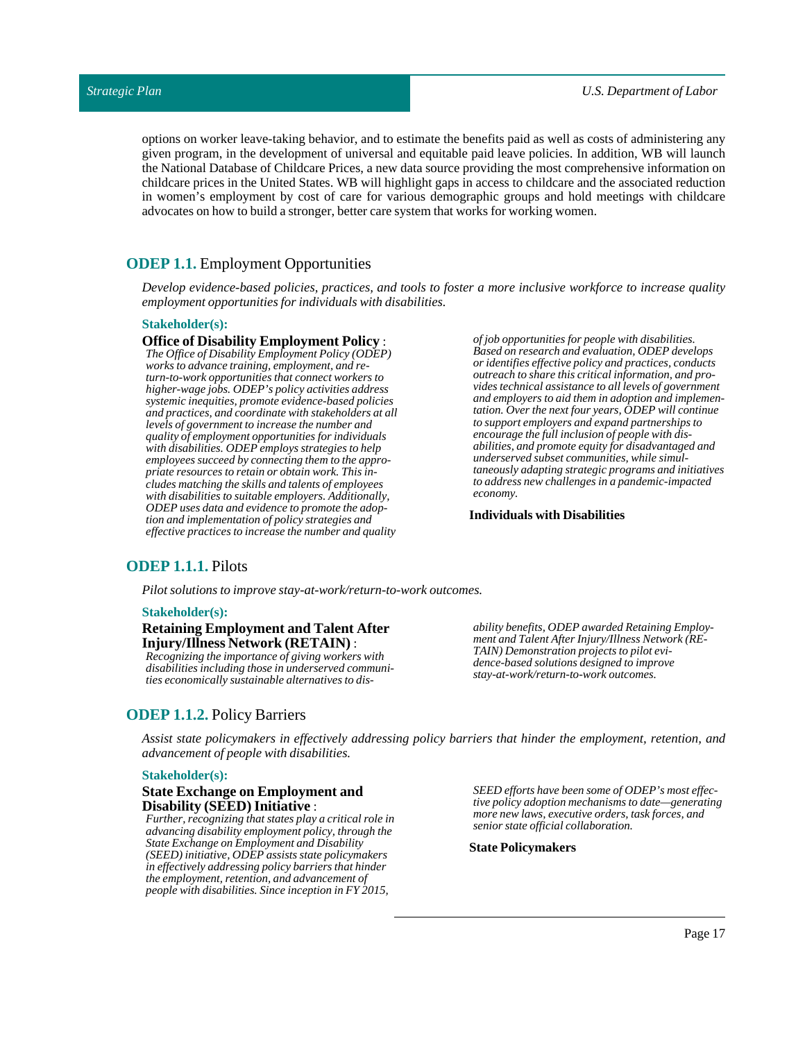options on worker leave-taking behavior, and to estimate the benefits paid as well as costs of administering any given program, in the development of universal and equitable paid leave policies. In addition, WB will launch the National Database of Childcare Prices, a new data source providing the most comprehensive information on childcare prices in the United States. WB will highlight gaps in access to childcare and the associated reduction in women's employment by cost of care for various demographic groups and hold meetings with childcare advocates on how to build a stronger, better care system that works for working women.

## <span id="page-16-0"></span>**ODEP 1.1.** Employment Opportunities

*Develop evidence-based policies, practices, and tools to foster a more inclusive workforce to increase quality employment opportunities for individuals with disabilities.*

#### **Stakeholder(s):**

**Office of Disability Employment Policy** : *The Office of Disability Employment Policy (ODEP) works to advance training, employment, and return-to-work opportunities that connect workers to higher-wage jobs. ODEP's policy activities address systemic inequities, promote evidence-based policies and practices, and coordinate with stakeholders at all levels of government to increase the number and quality of employment opportunities for individuals with disabilities. ODEP employs strategies to help employees succeed by connecting them to the appropriate resources to retain or obtain work. This includes matching the skills and talents of employees with disabilities to suitable employers. Additionally, ODEP uses data and evidence to promote the adoption and implementation of policy strategies and effective practices to increase the number and quality*

*of job opportunities for people with disabilities. Based on research and evaluation, ODEP develops or identifies effective policy and practices, conducts outreach to share this critical information, and provides technical assistance to all levels of government and employers to aid them in adoption and implementation. Over the next four years, ODEP will continue to support employers and expand partnerships to encourage the full inclusion of people with disabilities, and promote equity for disadvantaged and underserved subset communities, while simultaneously adapting strategic programs and initiatives to address new challenges in a pandemic-impacted economy.*

#### **Individuals with Disabilities**

## <span id="page-16-1"></span>**ODEP 1.1.1.** Pilots

*Pilot solutions to improve stay-at-work/return-to-work outcomes.*

#### **Stakeholder(s):**

#### **Retaining Employment and Talent After Injury/Illness Network (RETAIN)** :

*Recognizing the importance of giving workers with disabilities including those in underserved communities economically sustainable alternatives to dis-* *ability benefits, ODEP awarded Retaining Employment and Talent After Injury/Illness Network (RE-TAIN) Demonstration projects to pilot evidence-based solutions designed to improve stay-at-work/return-to-work outcomes.*

## <span id="page-16-2"></span>**ODEP 1.1.2.** Policy Barriers

*Assist state policymakers in effectively addressing policy barriers that hinder the employment, retention, and advancement of people with disabilities.*

#### **Stakeholder(s):**

#### **State Exchange on Employment and Disability (SEED)Initiative** :

*Further, recognizing that states play a critical role in advancing disability employment policy, through the State Exchange on Employment and Disability (SEED) initiative, ODEP assists state policymakers in effectively addressing policy barriers that hinder the employment, retention, and advancement of people with disabilities. Since inception in FY 2015,*

*SEED efforts have been some of ODEP's most effective policy adoption mechanisms to date—generating more new laws, executive orders, task forces, and senior state official collaboration.*

**State Policymakers**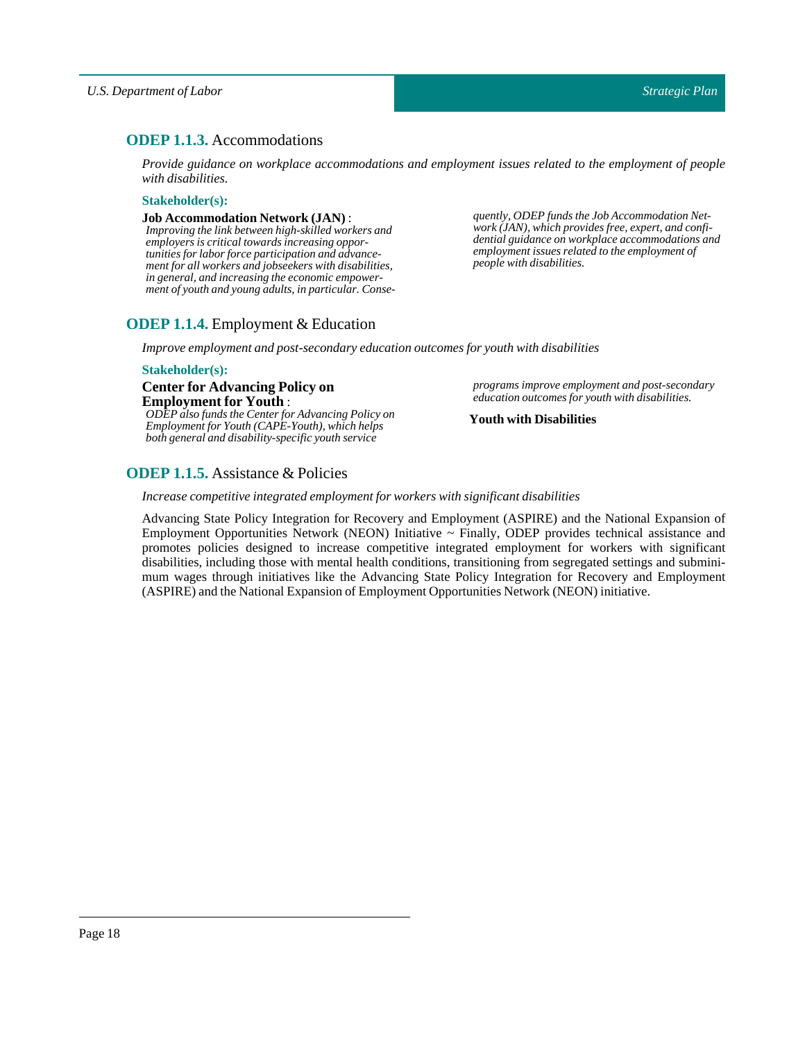## <span id="page-17-0"></span>**ODEP 1.1.3.** Accommodations

*Provide guidance on workplace accommodations and employment issues related to the employment of people with disabilities.*

#### **Stakeholder(s):**

#### **Job Accommodation Network(JAN)** :

*Improving the link between high-skilled workers and employers is critical towards increasing opportunities for labor force participation and advancement for all workers and jobseekers with disabilities, in general, and increasing the economic empowerment of youth and young adults, in particular. Conse-* *quently, ODEP funds the Job Accommodation Network (JAN), which provides free, expert, and confidential guidance on workplace accommodations and employment issues related to the employment of people with disabilities.*

## <span id="page-17-1"></span>**ODEP 1.1.4.** Employment & Education

*Improve employment and post-secondary education outcomes for youth with disabilities*

#### **Stakeholder(s):**

**Center for Advancing Policy on Employment for Youth** : *ODEP also funds the Center for Advancing Policy on Employment for Youth (CAPE-Youth), which helps both general and disability-specific youth service*

*programs improve employment and post-secondary education outcomes for youth with disabilities.*

#### **Youth with Disabilities**

## <span id="page-17-2"></span>**ODEP 1.1.5.** Assistance & Policies

#### *Increase competitive integrated employmentfor workers with significant disabilities*

Advancing State Policy Integration for Recovery and Employment (ASPIRE) and the National Expansion of Employment Opportunities Network (NEON) Initiative ~ Finally, ODEP provides technical assistance and promotes policies designed to increase competitive integrated employment for workers with significant disabilities, including those with mental health conditions, transitioning from segregated settings and subminimum wages through initiatives like the Advancing State Policy Integration for Recovery and Employment (ASPIRE) and the National Expansion of Employment Opportunities Network (NEON) initiative.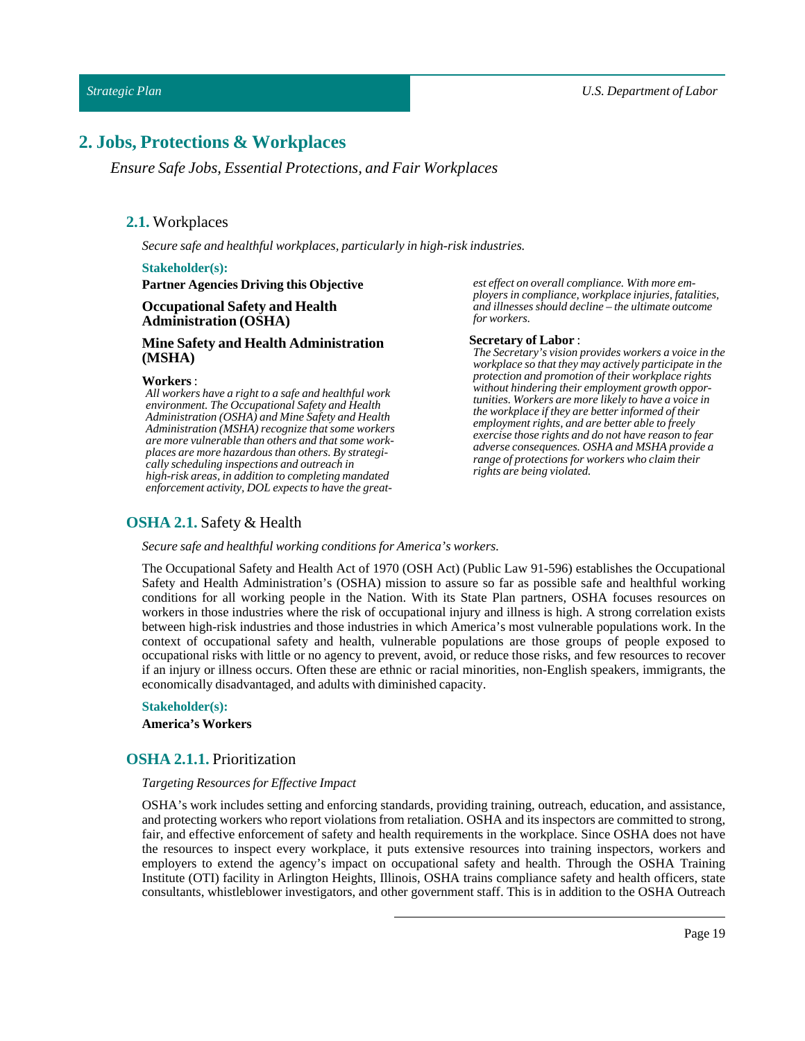## <span id="page-18-1"></span><span id="page-18-0"></span>**2. Jobs, Protections & Workplaces**

*Ensure Safe Jobs, Essential Protections, and Fair Workplaces*

## **2.1.** Workplaces

*Secure safe and healthful workplaces, particularly in high-risk industries.*

#### **Stakeholder(s):**

**Partner Agencies Driving this Objective**

#### **Occupational Safety and Health Administration (OSHA)**

### **Mine Safety and Health Administration (MSHA)**

#### **Workers**:

*All workers have a right to a safe and healthful work environment. The Occupational Safety and Health Administration (OSHA) and Mine Safety and Health Administration (MSHA) recognize that some workers are more vulnerable than others and that some workplaces are more hazardous than others. By strategically scheduling inspections and outreach in high-risk areas, in addition to completing mandated enforcement activity, DOL expects to have the great-*

## <span id="page-18-2"></span>**OSHA 2.1.** Safety & Health

*Secure safe and healthful working conditions for America's workers.*

The Occupational Safety and Health Act of 1970 (OSH Act) (Public Law 91-596) establishes the Occupational Safety and Health Administration's (OSHA) mission to assure so far as possible safe and healthful working conditions for all working people in the Nation. With its State Plan partners, OSHA focuses resources on workers in those industries where the risk of occupational injury and illness is high. A strong correlation exists between high-risk industries and those industries in which America's most vulnerable populations work. In the context of occupational safety and health, vulnerable populations are those groups of people exposed to occupational risks with little or no agency to prevent, avoid, or reduce those risks, and few resources to recover if an injury or illness occurs. Often these are ethnic or racial minorities, non-English speakers, immigrants, the economically disadvantaged, and adults with diminished capacity.

#### **Stakeholder(s):**

**America's Workers**

#### <span id="page-18-3"></span>**OSHA 2.1.1.** Prioritization

#### *Targeting Resources for Effective Impact*

OSHA's work includes setting and enforcing standards, providing training, outreach, education, and assistance, and protecting workers who report violations from retaliation. OSHA and its inspectors are committed to strong, fair, and effective enforcement of safety and health requirements in the workplace. Since OSHA does not have the resources to inspect every workplace, it puts extensive resources into training inspectors, workers and employers to extend the agency's impact on occupational safety and health. Through the OSHA Training Institute (OTI) facility in Arlington Heights, Illinois, OSHA trains compliance safety and health officers, state consultants, whistleblower investigators, and other government staff. This is in addition to the OSHA Outreach

*est effect on overall compliance. With more employers in compliance, workplace injuries, fatalities, and illnesses should decline – the ultimate outcome for workers.*

#### **Secretary of Labor** :

*The Secretary's vision provides workers a voice in the workplace so that they may actively participate in the protection and promotion of their workplace rights without hindering their employment growth opportunities. Workers are more likely to have a voice in the workplace if they are better informed of their employment rights, and are better able to freely exercise those rights and do not have reason to fear adverse consequences. OSHA and MSHA provide a range of protections for workers who claim their rights are being violated.*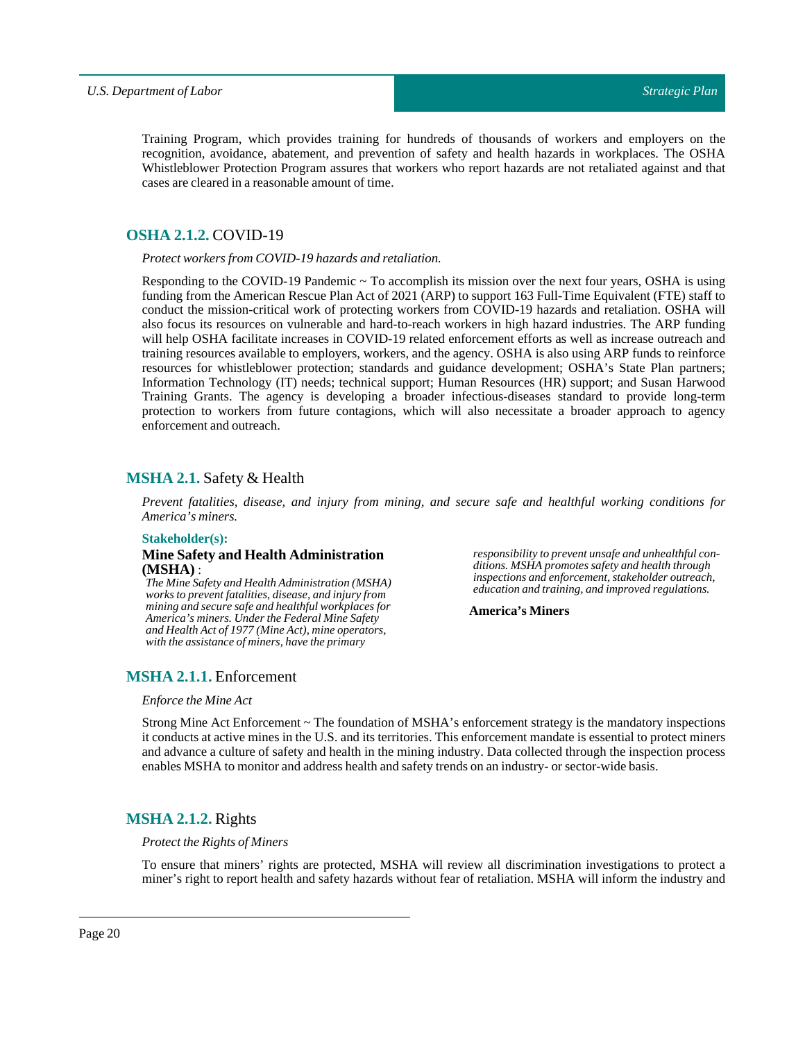Training Program, which provides training for hundreds of thousands of workers and employers on the recognition, avoidance, abatement, and prevention of safety and health hazards in workplaces. The OSHA Whistleblower Protection Program assures that workers who report hazards are not retaliated against and that cases are cleared in a reasonable amount of time.

## <span id="page-19-0"></span>**OSHA 2.1.2.** COVID-19

*Protect workers from COVID-19 hazards and retaliation.*

Responding to the COVID-19 Pandemic  $\sim$  To accomplish its mission over the next four years, OSHA is using funding from the American Rescue Plan Act of 2021 (ARP) to support 163 Full-Time Equivalent (FTE) staff to conduct the mission-critical work of protecting workers from COVID-19 hazards and retaliation. OSHA will also focus its resources on vulnerable and hard-to-reach workers in high hazard industries. The ARP funding will help OSHA facilitate increases in COVID-19 related enforcement efforts as well as increase outreach and training resources available to employers, workers, and the agency. OSHA is also using ARP funds to reinforce resources for whistleblower protection; standards and guidance development; OSHA's State Plan partners; Information Technology (IT) needs; technical support; Human Resources (HR) support; and Susan Harwood Training Grants. The agency is developing a broader infectious-diseases standard to provide long-term protection to workers from future contagions, which will also necessitate a broader approach to agency enforcement and outreach.

## <span id="page-19-1"></span>**MSHA 2.1.** Safety & Health

*Prevent fatalities, disease, and injury from mining, and secure safe and healthful working conditions for America's miners.*

#### **Stakeholder(s):**

#### **Mine Safety and Health Administration (MSHA)** :

*The Mine Safety and Health Administration (MSHA) works to prevent fatalities, disease, and injury from mining and secure safe and healthful workplaces for America's miners. Under the Federal Mine Safety and Health Act of 1977 (Mine Act), mine operators, with the assistance of miners, have the primary*

*responsibility to prevent unsafe and unhealthful conditions. MSHA promotes safety and health through inspections and enforcement, stakeholder outreach, education and training, and improved regulations.*

**America's Miners**

## <span id="page-19-2"></span>**MSHA 2.1.1.** Enforcement

#### *Enforce the Mine Act*

Strong Mine Act Enforcement ~ The foundation of MSHA's enforcement strategy is the mandatory inspections it conducts at active mines in the U.S. and its territories. This enforcement mandate is essential to protect miners and advance a culture of safety and health in the mining industry. Data collected through the inspection process enables MSHA to monitor and address health and safety trends on an industry- or sector-wide basis.

## <span id="page-19-3"></span>**MSHA 2.1.2.** Rights

#### *Protectthe Rights of Miners*

To ensure that miners' rights are protected, MSHA will review all discrimination investigations to protect a miner's right to report health and safety hazards without fear of retaliation. MSHA will inform the industry and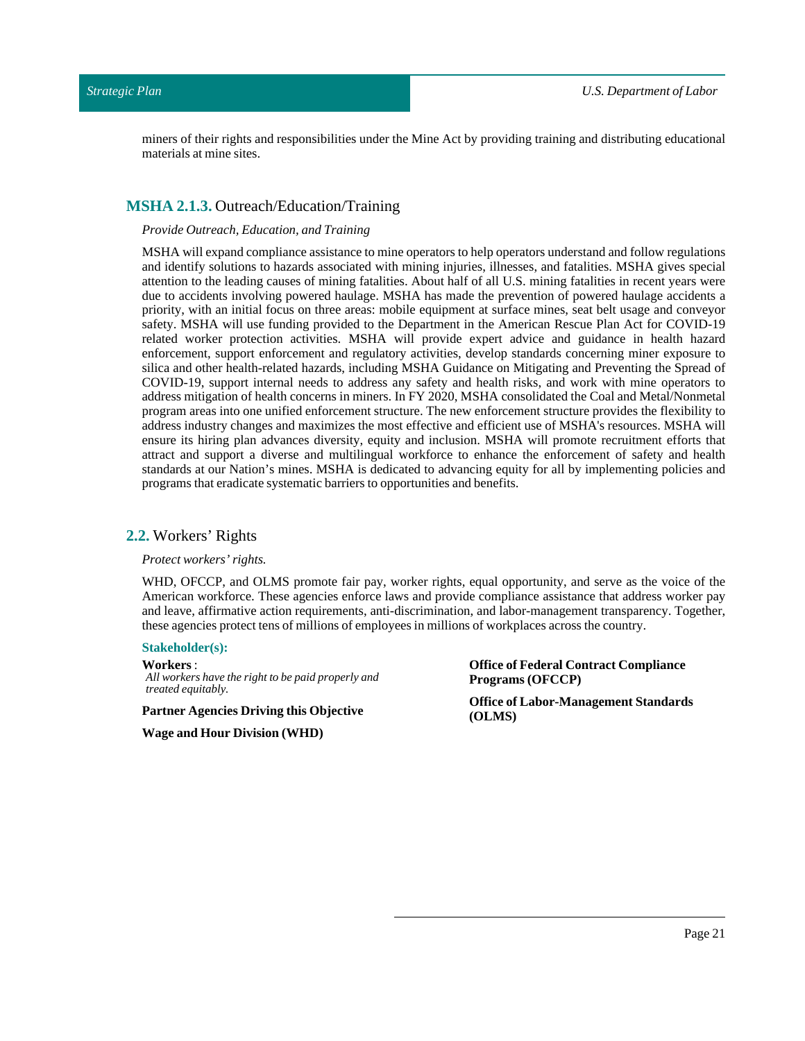miners of their rights and responsibilities under the Mine Act by providing training and distributing educational materials at mine sites.

## <span id="page-20-0"></span>**MSHA 2.1.3.** Outreach/Education/Training

#### *Provide Outreach, Education, andTraining*

MSHA will expand compliance assistance to mine operators to help operators understand and follow regulations and identify solutions to hazards associated with mining injuries, illnesses, and fatalities. MSHA gives special attention to the leading causes of mining fatalities. About half of all U.S. mining fatalities in recent years were due to accidents involving powered haulage. MSHA has made the prevention of powered haulage accidents a priority, with an initial focus on three areas: mobile equipment at surface mines, seat belt usage and conveyor safety. MSHA will use funding provided to the Department in the American Rescue Plan Act for COVID-19 related worker protection activities. MSHA will provide expert advice and guidance in health hazard enforcement, support enforcement and regulatory activities, develop standards concerning miner exposure to silica and other health-related hazards, including MSHA Guidance on Mitigating and Preventing the Spread of COVID-19, support internal needs to address any safety and health risks, and work with mine operators to address mitigation of health concerns in miners. In FY 2020, MSHA consolidated the Coal and Metal/Nonmetal program areas into one unified enforcement structure. The new enforcement structure provides the flexibility to address industry changes and maximizes the most effective and efficient use of MSHA's resources. MSHA will ensure its hiring plan advances diversity, equity and inclusion. MSHA will promote recruitment efforts that attract and support a diverse and multilingual workforce to enhance the enforcement of safety and health standards at our Nation's mines. MSHA is dedicated to advancing equity for all by implementing policies and programs that eradicate systematic barriers to opportunities and benefits.

#### <span id="page-20-1"></span>**2.2.** Workers' Rights

*Protect workers' rights.*

WHD, OFCCP, and OLMS promote fair pay, worker rights, equal opportunity, and serve as the voice of the American workforce. These agencies enforce laws and provide compliance assistance that address worker pay and leave, affirmative action requirements, anti-discrimination, and labor-management transparency. Together, these agencies protect tens of millions of employees in millions of workplaces across the country.

#### **Stakeholder(s):**

**Workers**: *All workers have the right to be paid properly and treated equitably.*

**Partner Agencies Driving this Objective**

**Wage and Hour Division(WHD)**

**Office of Federal Contract Compliance Programs (OFCCP)**

**Office of Labor-Management Standards (OLMS)**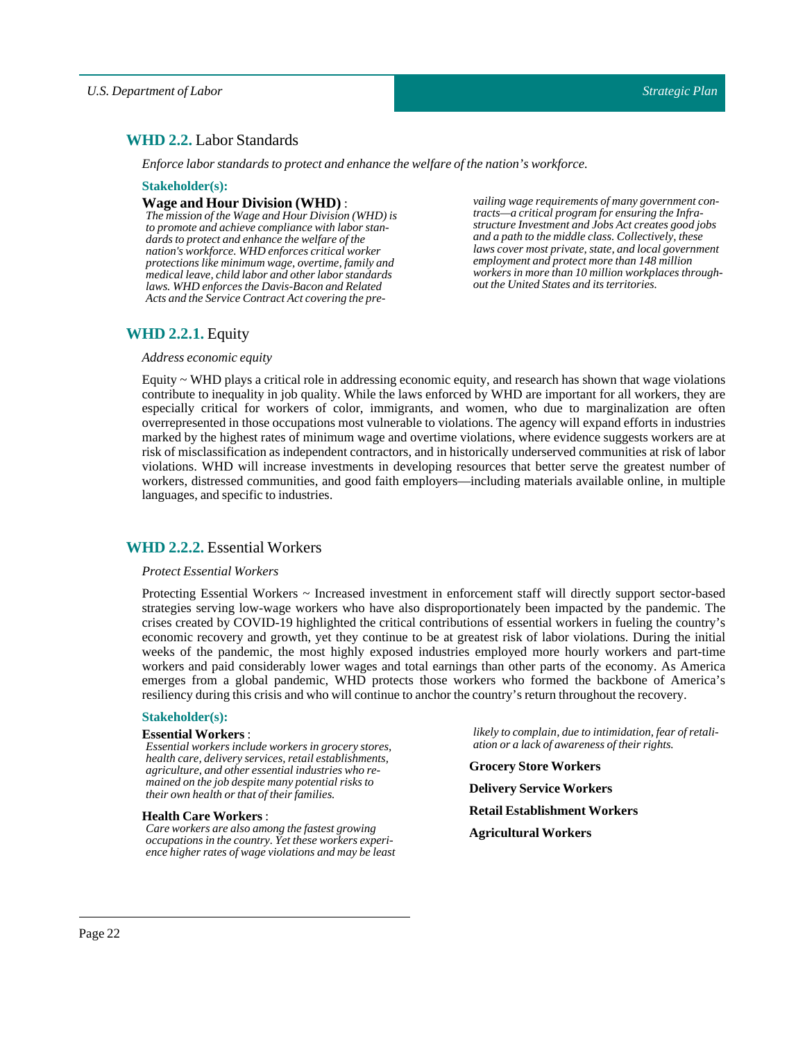## <span id="page-21-0"></span>**WHD 2.2.** Labor Standards

*Enforce labor standards to protect and enhance the welfare ofthe nation's workforce.*

#### **Stakeholder(s):**

#### **Wage and Hour Division (WHD)** :

*The mission of the Wage and Hour Division (WHD) is to promote and achieve compliance with labor standards to protect and enhance the welfare of the nation's workforce. WHD enforces critical worker protections like minimum wage, overtime, family and medical leave, child labor and other labor standards laws. WHD enforces the Davis-Bacon and Related Acts and the Service Contract Act covering the pre-*

*vailing wage requirements of many government contracts—a critical program for ensuring the Infrastructure Investment and Jobs Act creates good jobs and a path to the middle class. Collectively, these laws cover most private, state, and local government employment and protect more than 148 million workers in more than 10 million workplaces throughout the United States and its territories.*

## <span id="page-21-1"></span>**WHD 2.2.1.** Equity

#### *Address economic equity*

Equity ~ WHD plays a critical role in addressing economic equity, and research has shown that wage violations contribute to inequality in job quality. While the laws enforced by WHD are important for all workers, they are especially critical for workers of color, immigrants, and women, who due to marginalization are often overrepresented in those occupations most vulnerable to violations. The agency will expand efforts in industries marked by the highest rates of minimum wage and overtime violations, where evidence suggests workers are at risk of misclassification as independent contractors, and in historically underserved communities at risk of labor violations. WHD will increase investments in developing resources that better serve the greatest number of workers, distressed communities, and good faith employers—including materials available online, in multiple languages, and specific to industries.

## <span id="page-21-2"></span>**WHD 2.2.2.** Essential Workers

#### *Protect Essential Workers*

Protecting Essential Workers ~ Increased investment in enforcement staff will directly support sector-based strategies serving low-wage workers who have also disproportionately been impacted by the pandemic. The crises created by COVID-19 highlighted the critical contributions of essential workers in fueling the country's economic recovery and growth, yet they continue to be at greatest risk of labor violations. During the initial weeks of the pandemic, the most highly exposed industries employed more hourly workers and part-time workers and paid considerably lower wages and total earnings than other parts of the economy. As America emerges from a global pandemic, WHD protects those workers who formed the backbone of America's resiliency during this crisis and who will continue to anchor the country's return throughout the recovery.

#### **Stakeholder(s):**

#### **Essential Workers** :

*Essential workers include workers in grocery stores, health care, delivery services, retail establishments, agriculture, and other essential industries who remained on the job despite many potential risks to their own health or that of their families.*

#### **Health Care Workers**:

*Care workers are also among the fastest growing occupations in the country. Yet these workers experience higher rates of wage violations and may be least* *likely to complain, due to intimidation, fear of retaliation or a lack of awareness of their rights.*

**GroceryStore Workers DeliveryService Workers Retail Establishment Workers Agricultural Workers**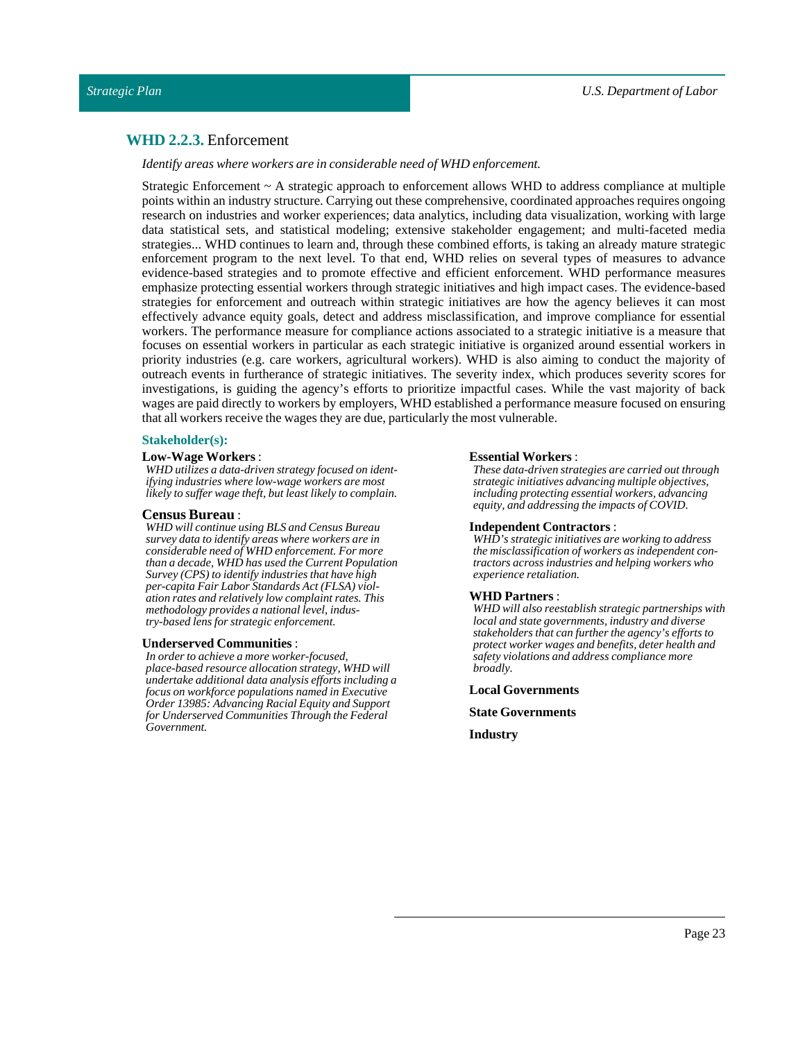### <span id="page-22-0"></span>**WHD 2.2.3.** Enforcement

*Identify areas where workers are in considerable need of WHD enforcement.*

Strategic Enforcement ~ A strategic approach to enforcement allows WHD to address compliance at multiple points within an industry structure. Carrying out these comprehensive, coordinated approaches requires ongoing research on industries and worker experiences; data analytics, including data visualization, working with large data statistical sets, and statistical modeling; extensive stakeholder engagement; and multi-faceted media strategies... WHD continues to learn and, through these combined efforts, is taking an already mature strategic enforcement program to the next level. To that end, WHD relies on several types of measures to advance evidence-based strategies and to promote effective and efficient enforcement. WHD performance measures emphasize protecting essential workers through strategic initiatives and high impact cases. The evidence-based strategies for enforcement and outreach within strategic initiatives are how the agency believes it can most effectively advance equity goals, detect and address misclassification, and improve compliance for essential workers. The performance measure for compliance actions associated to a strategic initiative is a measure that focuses on essential workers in particular as each strategic initiative is organized around essential workers in priority industries (e.g. care workers, agricultural workers). WHD is also aiming to conduct the majority of outreach events in furtherance of strategic initiatives. The severity index, which produces severity scores for investigations, is guiding the agency's efforts to prioritize impactful cases. While the vast majority of back wages are paid directly to workers by employers, WHD established a performance measure focused on ensuring that all workers receive the wages they are due, particularly the most vulnerable.

#### **Stakeholder(s):**

#### **Low-Wage Workers** :

*WHD utilizes a data-driven strategy focused on identifying industries where low-wage workers are most likely to suffer wage theft, but least likely to complain.*

#### **Census Bureau** :

*WHD will continue using BLS and Census Bureau survey data to identify areas where workers are in considerable need of WHD enforcement. For more than a decade, WHD has used the Current Population Survey (CPS) to identify industries that have high per-capita Fair Labor Standards Act (FLSA) violation rates and relatively low complaint rates. This methodology provides a national level, industry-based lens for strategic enforcement.*

#### **Underserved Communities** :

*In order to achieve a more worker-focused, place-based resource allocation strategy, WHD will undertake additional data analysis efforts including a focus on workforce populations named in Executive Order 13985: Advancing Racial Equity and Support for Underserved Communities Through the Federal Government.*

#### **Essential Workers** :

*These data-driven strategies are carried out through strategic initiatives advancing multiple objectives, including protecting essential workers, advancing equity, and addressing the impacts of COVID.*

#### **Independent Contractors** :

*WHD's strategic initiatives are working to address the misclassification of workers as independent contractors across industries and helping workers who experience retaliation.*

#### **WHD Partners** :

*WHD will also reestablish strategic partnerships with local and state governments, industry and diverse stakeholders that can further the agency's efforts to protect worker wages and benefits, deter health and safety violations and address compliance more broadly.*

**Local Governments**

**State Governments**

**Industry**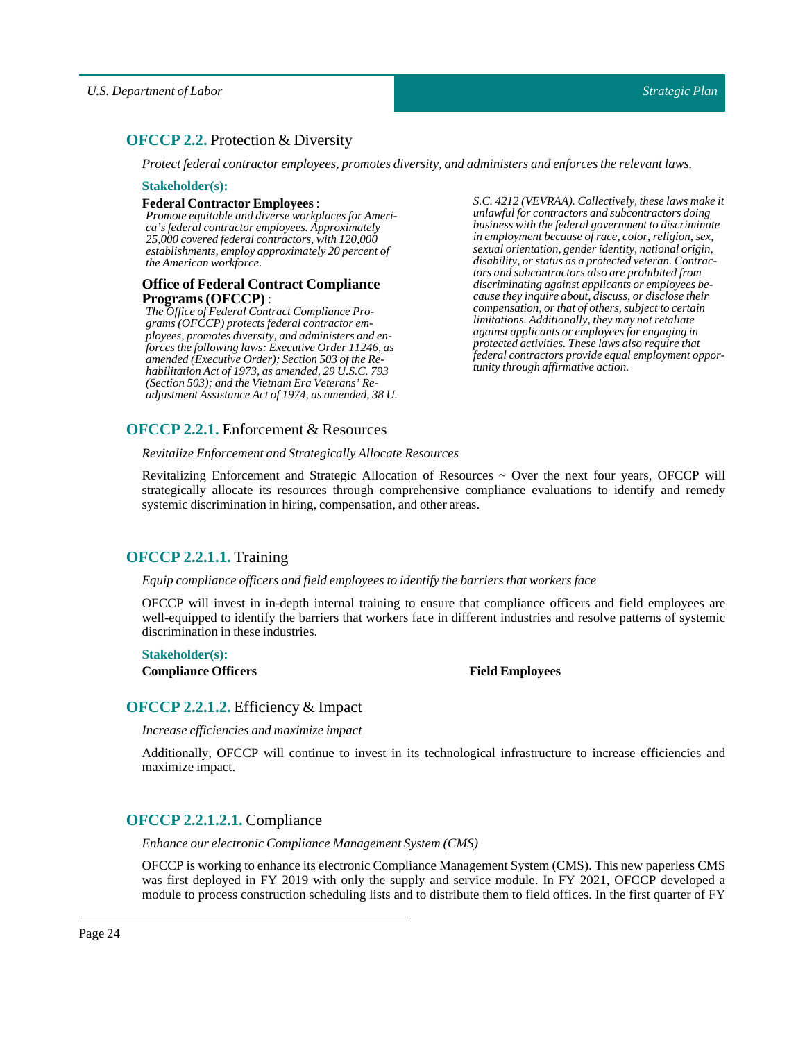## <span id="page-23-0"></span>**OFCCP 2.2.** Protection & Diversity

*Protectfederal contractor employees, promotes diversity, and administers and enforces the relevantlaws.*

#### **Stakeholder(s):**

#### **Federal Contractor Employees** :

*Promote equitable and diverse workplaces for America's federal contractor employees. Approximately 25,000 covered federal contractors, with 120,000 establishments, employ approximately 20 percent of the American workforce.*

#### **Office of Federal Contract Compliance Programs(OFCCP)** :

*The Office of Federal Contract Compliance Programs (OFCCP) protects federal contractor employees, promotes diversity, and administers and enforces the following laws: Executive Order 11246, as amended (Executive Order); Section 503 of the Rehabilitation Act of 1973, as amended, 29 U.S.C. 793 (Section 503); and the Vietnam Era Veterans' Readjustment Assistance Act of 1974, as amended, 38 U.*

<span id="page-23-1"></span>**OFCCP 2.2.1.** Enforcement & Resources

*Revitalize Enforcement and Strategically Allocate Resources*

Revitalizing Enforcement and Strategic Allocation of Resources ~ Over the next four years, OFCCP will strategically allocate its resources through comprehensive compliance evaluations to identify and remedy systemic discrimination in hiring, compensation, and other areas.

## <span id="page-23-2"></span>**OFCCP 2.2.1.1.** Training

#### *Equip compliance officers and field employees to identify the barriers that workers face*

OFCCP will invest in in-depth internal training to ensure that compliance officers and field employees are well-equipped to identify the barriers that workers face in different industries and resolve patterns of systemic discrimination in these industries.

#### **Stakeholder(s):**

**Compliance Officers Field Employees**

## <span id="page-23-3"></span>**OFCCP 2.2.1.2.** Efficiency & Impact

*Increase efficiencies and maximize impact*

Additionally, OFCCP will continue to invest in its technological infrastructure to increase efficiencies and maximize impact.

## <span id="page-23-4"></span>**OFCCP 2.2.1.2.1.** Compliance

*Enhance our electronic Compliance Management System (CMS)*

OFCCP is working to enhance its electronic Compliance Management System (CMS). This new paperless CMS was first deployed in FY 2019 with only the supply and service module. In FY 2021, OFCCP developed a module to process construction scheduling lists and to distribute them to field offices. In the first quarter of FY

*S.C. 4212 (VEVRAA). Collectively, these laws make it unlawful for contractors and subcontractors doing business with the federal government to discriminate in employment because of race, color, religion, sex, sexual orientation, gender identity, national origin, disability, or status as a protected veteran. Contractors and subcontractors also are prohibited from discriminating against applicants or employees because they inquire about, discuss, or disclose their compensation, or that of others, subject to certain limitations. Additionally, they may not retaliate against applicants or employees for engaging in protected activities. These laws also require that federal contractors provide equal employment opportunity through affirmative action.*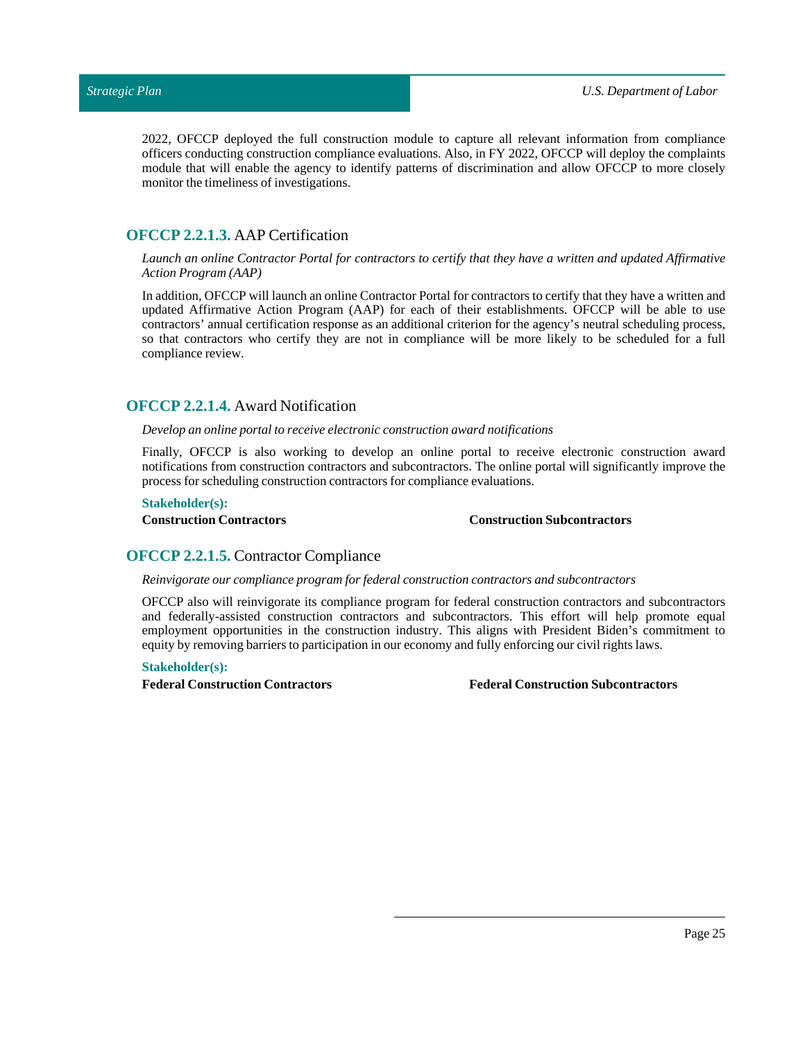2022, OFCCP deployed the full construction module to capture all relevant information from compliance officers conducting construction compliance evaluations. Also, in FY 2022, OFCCP will deploy the complaints module that will enable the agency to identify patterns of discrimination and allow OFCCP to more closely monitor the timeliness of investigations.

## <span id="page-24-0"></span>**OFCCP 2.2.1.3.** AAP Certification

Launch an online Contractor Portal for contractors to certify that they have a written and updated Affirmative *Action Program (AAP)*

In addition, OFCCP willlaunch an online Contractor Portal for contractors to certify that they have a written and updated Affirmative Action Program (AAP) for each of their establishments. OFCCP will be able to use contractors' annual certification response as an additional criterion for the agency's neutral scheduling process, so that contractors who certify they are not in compliance will be more likely to be scheduled for a full compliance review.

## <span id="page-24-1"></span>**OFCCP 2.2.1.4.** Award Notification

*Develop an online portal to receive electronic construction award notifications* 

Finally, OFCCP is also working to develop an online portal to receive electronic construction award notifications from construction contractors and subcontractors. The online portal will significantly improve the process for scheduling construction contractors for compliance evaluations.

#### **Stakeholder(s):**

#### **Construction Contractors Construction Subcontractors**

## <span id="page-24-2"></span>**OFCCP 2.2.1.5.** Contractor Compliance

*Reinvigorate our compliance program for federal construction contractors and subcontractors*

OFCCP also will reinvigorate its compliance program for federal construction contractors and subcontractors and federally-assisted construction contractors and subcontractors. This effort will help promote equal employment opportunities in the construction industry. This aligns with President Biden's commitment to equity by removing barriers to participation in our economy and fully enforcing our civil rights laws.

#### **Stakeholder(s):**

**Federal Construction Contractors Federal ConstructionSubcontractors**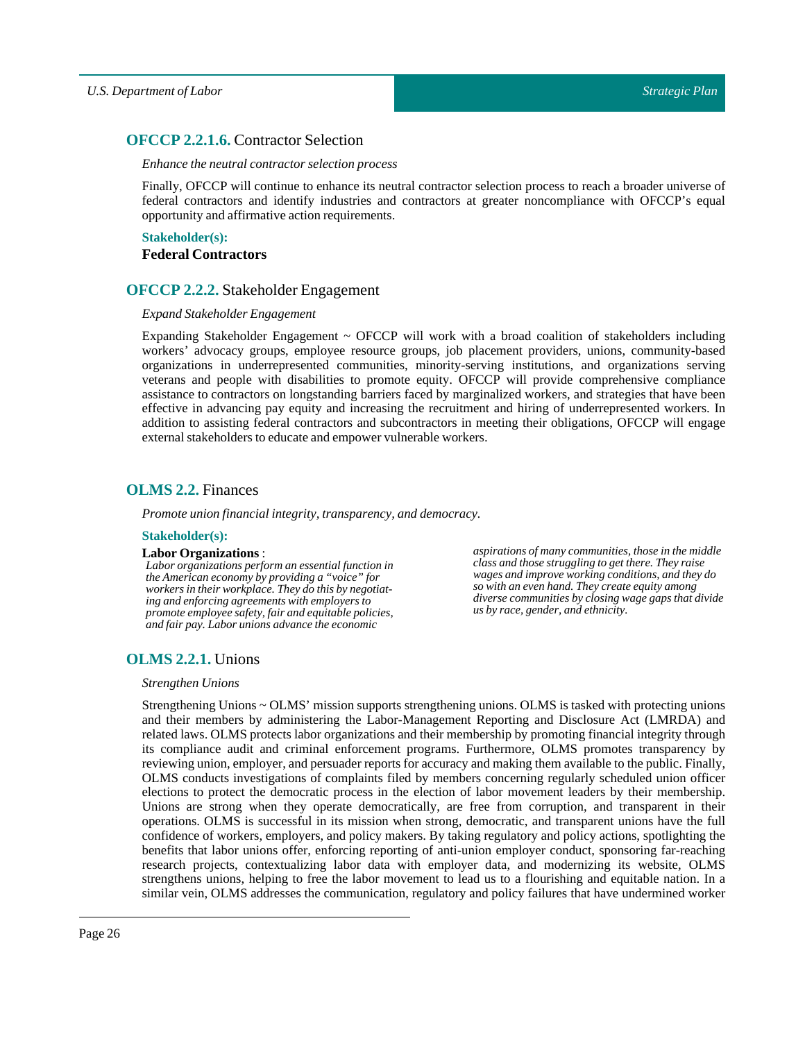## <span id="page-25-0"></span>**OFCCP 2.2.1.6.** Contractor Selection

#### *Enhance the neutral contractor selection process*

Finally, OFCCP will continue to enhance its neutral contractor selection process to reach a broader universe of federal contractors and identify industries and contractors at greater noncompliance with OFCCP's equal opportunity and affirmative action requirements.

**Stakeholder(s): Federal Contractors**

## <span id="page-25-1"></span>**OFCCP 2.2.2.** Stakeholder Engagement

#### *Expand Stakeholder Engagement*

Expanding Stakeholder Engagement  $\sim$  OFCCP will work with a broad coalition of stakeholders including workers' advocacy groups, employee resource groups, job placement providers, unions, community-based organizations in underrepresented communities, minority-serving institutions, and organizations serving veterans and people with disabilities to promote equity. OFCCP will provide comprehensive compliance assistance to contractors on longstanding barriers faced by marginalized workers, and strategies that have been effective in advancing pay equity and increasing the recruitment and hiring of underrepresented workers. In addition to assisting federal contractors and subcontractors in meeting their obligations, OFCCP will engage external stakeholders to educate and empower vulnerable workers.

## <span id="page-25-2"></span>**OLMS 2.2.** Finances

*Promote union financial integrity, transparency, and democracy.* 

#### **Stakeholder(s):**

#### **Labor Organizations** :

*Labor organizations perform an essential function in the American economy by providing a "voice" for workers in their workplace. They do this by negotiating and enforcing agreements with employers to promote employee safety, fair and equitable policies, and fair pay. Labor unions advance the economic*

*aspirations of many communities, those in the middle class and those struggling to get there. They raise wages and improve working conditions, and they do so with an even hand. They create equity among diverse communities by closing wage gaps that divide us by race, gender, and ethnicity.*

## <span id="page-25-3"></span>**OLMS 2.2.1.** Unions

#### *Strengthen Unions*

Strengthening Unions ~ OLMS' mission supports strengthening unions. OLMS is tasked with protecting unions and their members by administering the Labor-Management Reporting and Disclosure Act (LMRDA) and related laws. OLMS protects labor organizations and their membership by promoting financial integrity through its compliance audit and criminal enforcement programs. Furthermore, OLMS promotes transparency by reviewing union, employer, and persuader reports for accuracy and making them available to the public. Finally, OLMS conducts investigations of complaints filed by members concerning regularly scheduled union officer elections to protect the democratic process in the election of labor movement leaders by their membership. Unions are strong when they operate democratically, are free from corruption, and transparent in their operations. OLMS is successful in its mission when strong, democratic, and transparent unions have the full confidence of workers, employers, and policy makers. By taking regulatory and policy actions, spotlighting the benefits that labor unions offer, enforcing reporting of anti-union employer conduct, sponsoring far-reaching research projects, contextualizing labor data with employer data, and modernizing its website, OLMS strengthens unions, helping to free the labor movement to lead us to a flourishing and equitable nation. In a similar vein, OLMS addresses the communication, regulatory and policy failures that have undermined worker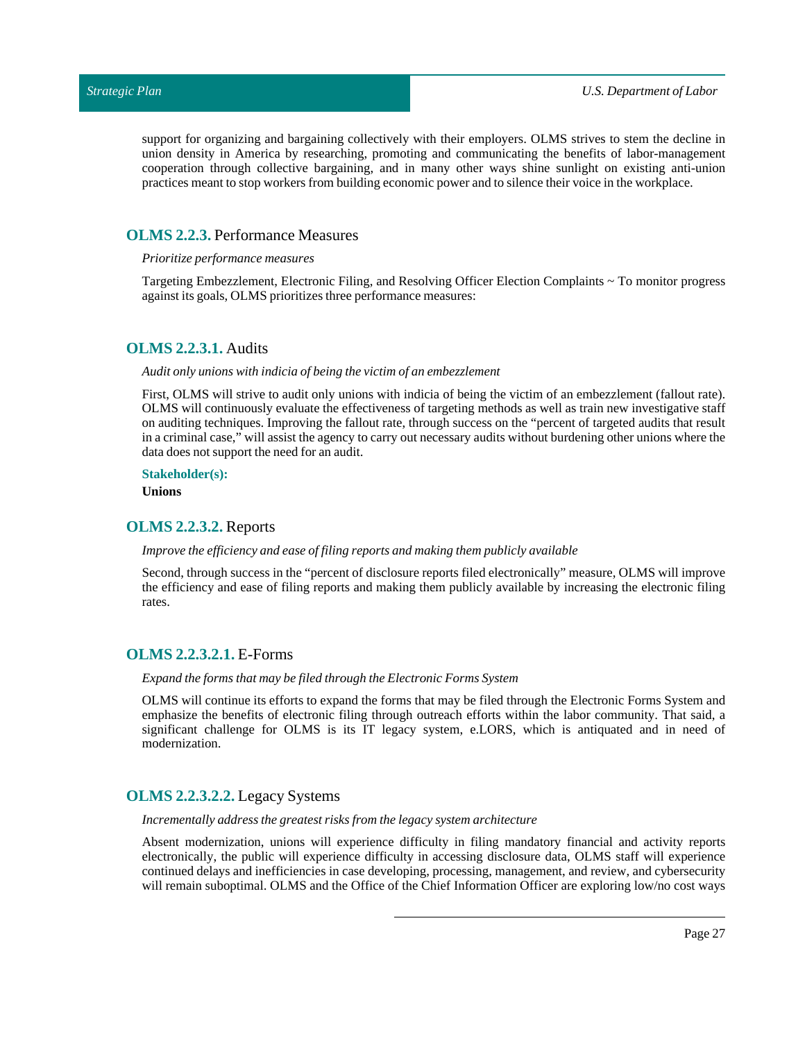support for organizing and bargaining collectively with their employers. OLMS strives to stem the decline in union density in America by researching, promoting and communicating the benefits of labor-management cooperation through collective bargaining, and in many other ways shine sunlight on existing anti-union practices meantto stop workers from building economic power and to silence their voice in the workplace.

#### <span id="page-26-0"></span>**OLMS 2.2.3.** Performance Measures

#### *Prioritize performance measures*

Targeting Embezzlement, Electronic Filing, and Resolving Officer Election Complaints ~ To monitor progress against its goals, OLMS prioritizes three performance measures:

## <span id="page-26-1"></span>**OLMS 2.2.3.1.** Audits

#### *Audit only unions with indicia of being the victim of an embezzlement*

First, OLMS will strive to audit only unions with indicia of being the victim of an embezzlement (fallout rate). OLMS will continuously evaluate the effectiveness of targeting methods as well as train new investigative staff on auditing techniques. Improving the fallout rate, through success on the "percent of targeted audits that result in a criminal case," will assist the agency to carry out necessary audits without burdening other unions where the data does not support the need for an audit.

#### **Stakeholder(s):**

**Unions**

### <span id="page-26-2"></span>**OLMS 2.2.3.2.** Reports

#### *Improve the efficiency and ease offiling reports and making them publicly available*

Second, through success in the "percent of disclosure reports filed electronically" measure, OLMS will improve the efficiency and ease of filing reports and making them publicly available by increasing the electronic filing rates.

#### <span id="page-26-3"></span>**OLMS 2.2.3.2.1.** E-Forms

#### *Expand the forms that may be filed through the Electronic Forms System*

OLMS will continue its efforts to expand the forms that may be filed through the Electronic Forms System and emphasize the benefits of electronic filing through outreach efforts within the labor community. That said, a significant challenge for OLMS is its IT legacy system, e.LORS, which is antiquated and in need of modernization.

#### <span id="page-26-4"></span>**OLMS 2.2.3.2.2.** Legacy Systems

#### *Incrementally address the greatest risks from the legacy system architecture*

Absent modernization, unions will experience difficulty in filing mandatory financial and activity reports electronically, the public will experience difficulty in accessing disclosure data, OLMS staff will experience continued delays and inefficiencies in case developing, processing, management, and review, and cybersecurity will remain suboptimal. OLMS and the Office of the Chief Information Officer are exploring low/no cost ways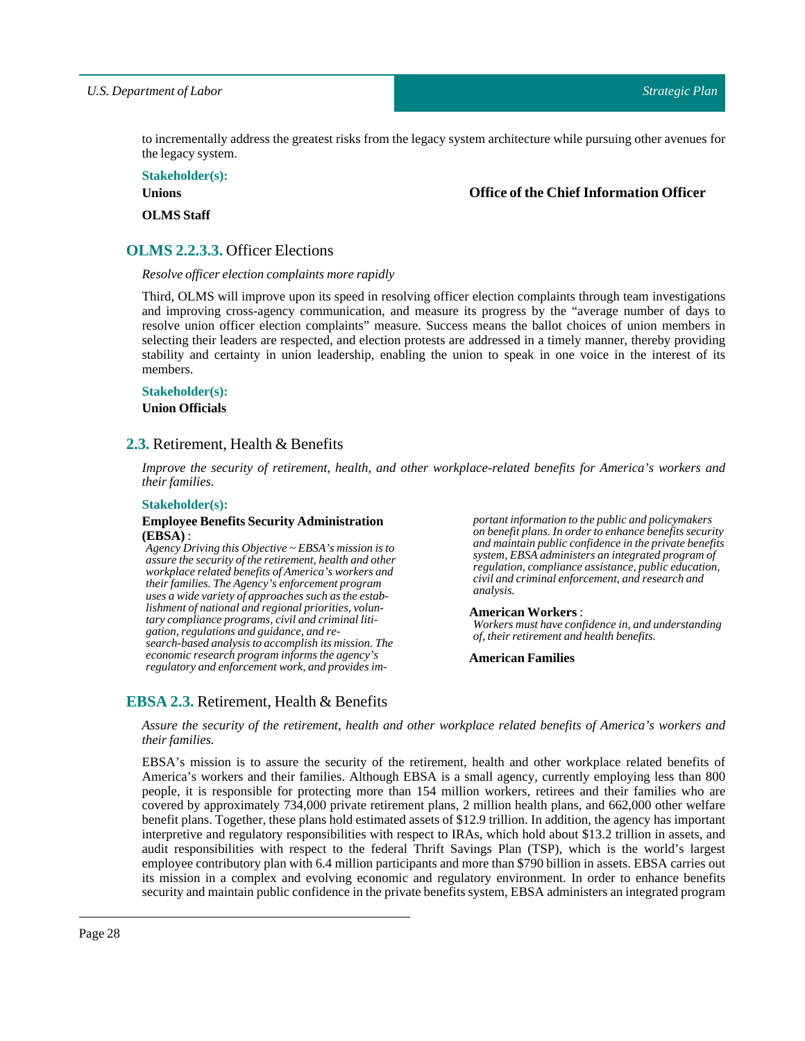to incrementally address the greatest risks from the legacy system architecture while pursuing other avenues for the legacy system.

**Stakeholder(s):**

**Unions**

**Office of the Chief Information Officer**

**OLMS** Staff

## <span id="page-27-0"></span>**OLMS 2.2.3.3.** Officer Elections

*Resolve officer election complaints more rapidly*

Third, OLMS will improve upon its speed in resolving officer election complaints through team investigations and improving cross-agency communication, and measure its progress by the "average number of days to resolve union officer election complaints" measure. Success means the ballot choices of union members in selecting their leaders are respected, and election protests are addressed in a timely manner, thereby providing stability and certainty in union leadership, enabling the union to speak in one voice in the interest of its members.

#### **Stakeholder(s):**

**Union Officials**

## <span id="page-27-1"></span>**2.3.** Retirement, Health & Benefits

*Improve the security of retirement, health, and other workplace-related benefits for America's workers and their families.*

#### **Stakeholder(s):**

#### **Employee BenefitsSecurity Administration (EBSA)** :

*Agency Driving this Objective ~ EBSA's mission is to assure the security of the retirement, health and other workplace related benefits of America's workers and their families. The Agency's enforcement program uses a wide variety of approaches such as the establishment of national and regional priorities, voluntary compliance programs, civil and criminal litigation, regulations and guidance, and research-based analysis to accomplish its mission. The economic research program informs the agency's regulatory and enforcement work, and provides im-* *portant information to the public and policymakers on benefit plans. In order to enhance benefits security and maintain public confidence in the private benefits system, EBSA administers an integrated program of regulation, compliance assistance, public education, civil and criminal enforcement, and research and analysis.*

#### **American Workers**:

*Workers must have confidence in, and understanding of, their retirement and health benefits.*

#### **American Families**

## <span id="page-27-2"></span>**EBSA 2.3.** Retirement, Health & Benefits

*Assure the security of the retirement, health and other workplace related benefits of America's workers and their families.*

EBSA's mission is to assure the security of the retirement, health and other workplace related benefits of America's workers and their families. Although EBSA is a small agency, currently employing less than 800 people, it is responsible for protecting more than 154 million workers, retirees and their families who are covered by approximately 734,000 private retirement plans, 2 million health plans, and 662,000 other welfare benefit plans. Together, these plans hold estimated assets of \$12.9 trillion. In addition, the agency has important interpretive and regulatory responsibilities with respect to IRAs, which hold about \$13.2 trillion in assets, and audit responsibilities with respect to the federal Thrift Savings Plan (TSP), which is the world's largest employee contributory plan with 6.4 million participants and more than \$790 billion in assets. EBSA carries out its mission in a complex and evolving economic and regulatory environment. In order to enhance benefits security and maintain public confidence in the private benefits system, EBSA administers an integrated program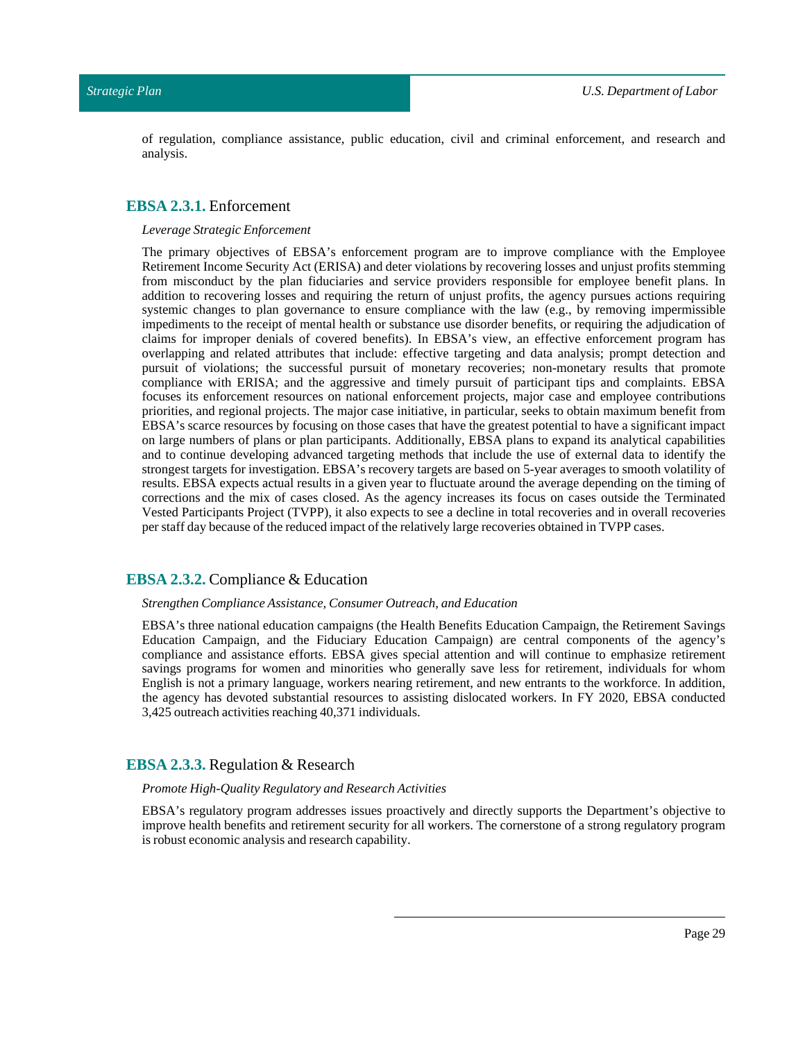of regulation, compliance assistance, public education, civil and criminal enforcement, and research and analysis.

#### <span id="page-28-0"></span>**EBSA 2.3.1.** Enforcement

#### *Leverage Strategic Enforcement*

The primary objectives of EBSA's enforcement program are to improve compliance with the Employee Retirement Income Security Act (ERISA) and deter violations by recovering losses and unjust profits stemming from misconduct by the plan fiduciaries and service providers responsible for employee benefit plans. In addition to recovering losses and requiring the return of unjust profits, the agency pursues actions requiring systemic changes to plan governance to ensure compliance with the law (e.g., by removing impermissible impediments to the receipt of mental health or substance use disorder benefits, or requiring the adjudication of claims for improper denials of covered benefits). In EBSA's view, an effective enforcement program has overlapping and related attributes that include: effective targeting and data analysis; prompt detection and pursuit of violations; the successful pursuit of monetary recoveries; non-monetary results that promote compliance with ERISA; and the aggressive and timely pursuit of participant tips and complaints. EBSA focuses its enforcement resources on national enforcement projects, major case and employee contributions priorities, and regional projects. The major case initiative, in particular, seeks to obtain maximum benefit from EBSA's scarce resources by focusing on those cases that have the greatest potential to have a significant impact on large numbers of plans or plan participants. Additionally, EBSA plans to expand its analytical capabilities and to continue developing advanced targeting methods that include the use of external data to identify the strongest targets for investigation. EBSA's recovery targets are based on 5-year averages to smooth volatility of results. EBSA expects actual results in a given year to fluctuate around the average depending on the timing of corrections and the mix of cases closed. As the agency increases its focus on cases outside the Terminated Vested Participants Project (TVPP), it also expects to see a decline in total recoveries and in overall recoveries per staff day because of the reduced impact of the relatively large recoveries obtained in TVPPcases.

#### <span id="page-28-1"></span>**EBSA 2.3.2.** Compliance & Education

#### *Strengthen Compliance Assistance, Consumer Outreach, and Education*

EBSA's three national education campaigns (the Health Benefits Education Campaign, the Retirement Savings Education Campaign, and the Fiduciary Education Campaign) are central components of the agency's compliance and assistance efforts. EBSA gives special attention and will continue to emphasize retirement savings programs for women and minorities who generally save less for retirement, individuals for whom English is not a primary language, workers nearing retirement, and new entrants to the workforce. In addition, the agency has devoted substantial resources to assisting dislocated workers. In FY 2020, EBSA conducted 3,425 outreach activities reaching 40,371 individuals.

#### <span id="page-28-2"></span>**EBSA 2.3.3.** Regulation & Research

#### *Promote High-Quality Regulatory and Research Activities*

EBSA's regulatory program addresses issues proactively and directly supports the Department's objective to improve health benefits and retirement security for all workers. The cornerstone of a strong regulatory program is robust economic analysis and research capability.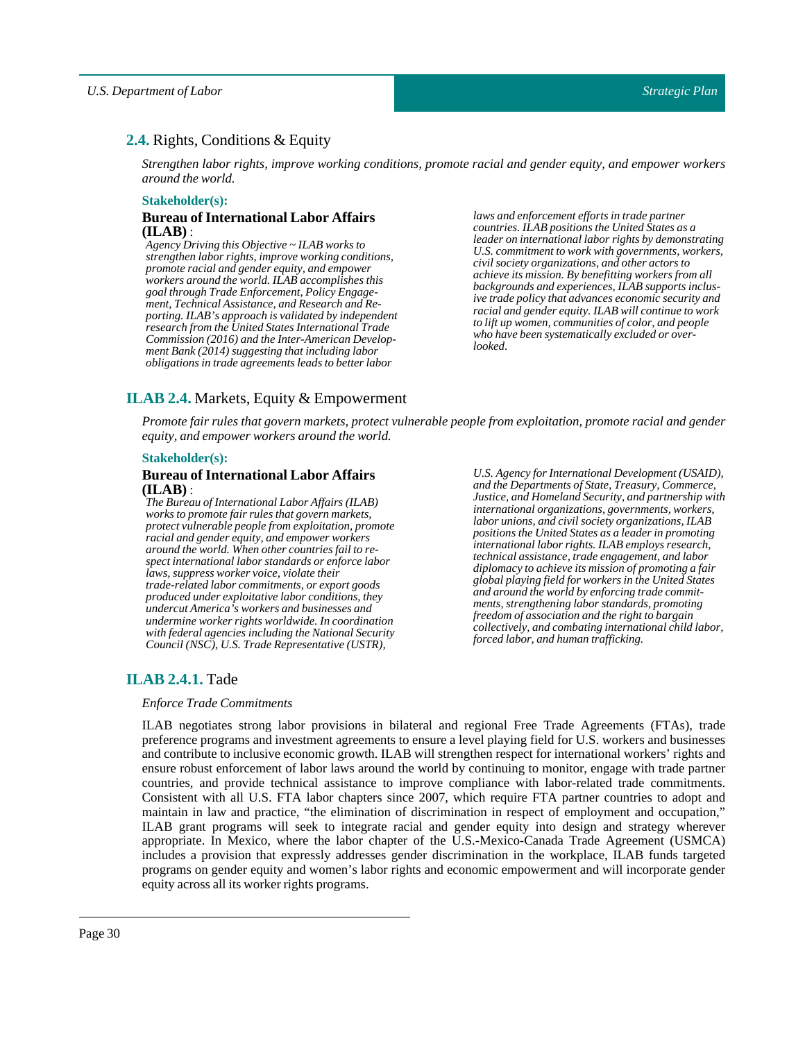## <span id="page-29-0"></span>**2.4.** Rights, Conditions & Equity

*Strengthen labor rights, improve working conditions, promote racial and gender equity, and empower workers around the world.*

#### **Stakeholder(s):**

#### **Bureau of International Labor Affairs (ILAB)** :

*Agency Driving this Objective ~ ILAB works to strengthen labor rights, improve working conditions, promote racial and gender equity, and empower workers around the world. ILAB accomplishes this goal through Trade Enforcement, Policy Engagement, Technical Assistance, and Research and Reporting. ILAB's approach is validated by independent research from the United States International Trade Commission (2016) and the Inter-American Development Bank (2014) suggesting that including labor obligations in trade agreements leads to better labor*

*laws and enforcement efforts in trade partner countries. ILAB positions the United States as a leader on international labor rights by demonstrating U.S. commitment to work with governments, workers, civil society organizations, and other actors to achieve its mission. By benefitting workers from all backgrounds and experiences, ILAB supports inclusive trade policy that advances economic security and racial and gender equity. ILAB will continue to work to lift up women, communities of color, and people who have been systematically excluded or overlooked.*

## <span id="page-29-1"></span>**ILAB 2.4.** Markets, Equity & Empowerment

*Promote fair rules that govern markets, protect vulnerable people from exploitation, promote racial and gender equity, and empower workers around the world.*

#### **Stakeholder(s):**

#### **Bureau of International Labor Affairs (ILAB)** :

*The Bureau of International Labor Affairs (ILAB) works to promote fair rules that govern markets, protect vulnerable people from exploitation, promote racial and gender equity, and empower workers around the world. When other countries fail to respect international labor standards or enforce labor laws, suppress worker voice, violate their trade-related labor commitments, or export goods produced under exploitative labor conditions, they undercut America's workers and businesses and undermine worker rights worldwide. In coordination with federal agencies including the National Security Council (NSC), U.S. Trade Representative (USTR),*

*U.S. Agency for International Development (USAID), and the Departments of State, Treasury, Commerce, Justice, and Homeland Security, and partnership with international organizations, governments, workers, labor unions, and civil society organizations, ILAB positions the United States as a leader in promoting international labor rights. ILAB employs research, technical assistance, trade engagement, and labor diplomacy to achieve its mission of promoting a fair global playing field for workers in the United States and around the world by enforcing trade commitments, strengthening labor standards, promoting freedom of association and the right to bargain collectively, and combating international child labor, forced labor, and human trafficking.*

## <span id="page-29-2"></span>**ILAB 2.4.1.** Tade

#### *EnforceTrade Commitments*

ILAB negotiates strong labor provisions in bilateral and regional Free Trade Agreements (FTAs), trade preference programs and investment agreements to ensure a level playing field for U.S. workers and businesses and contribute to inclusive economic growth. ILAB will strengthen respect for international workers' rights and ensure robust enforcement of labor laws around the world by continuing to monitor, engage with trade partner countries, and provide technical assistance to improve compliance with labor-related trade commitments. Consistent with all U.S. FTA labor chapters since 2007, which require FTA partner countries to adopt and maintain in law and practice, "the elimination of discrimination in respect of employment and occupation," ILAB grant programs will seek to integrate racial and gender equity into design and strategy wherever appropriate. In Mexico, where the labor chapter of the U.S.-Mexico-Canada Trade Agreement (USMCA) includes a provision that expressly addresses gender discrimination in the workplace, ILAB funds targeted programs on gender equity and women's labor rights and economic empowerment and will incorporate gender equity across all its worker rights programs.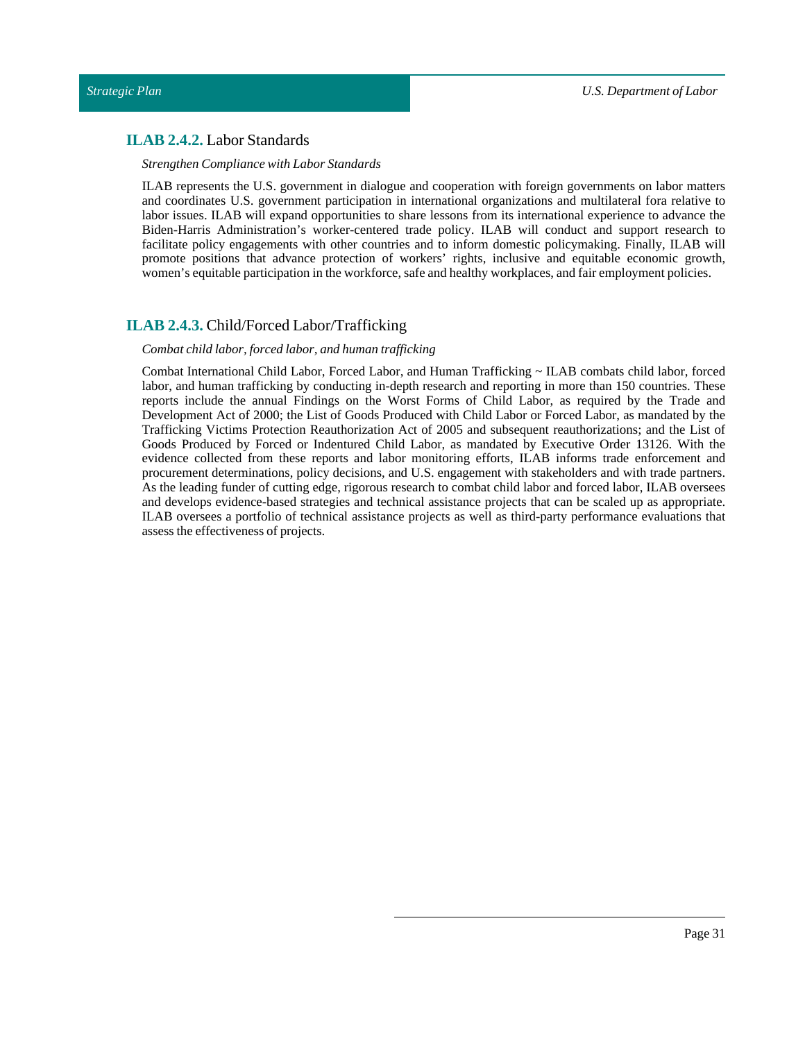## <span id="page-30-0"></span>**ILAB 2.4.2.** Labor Standards

#### *Strengthen Compliance withLabor Standards*

ILAB represents the U.S. government in dialogue and cooperation with foreign governments on labor matters and coordinates U.S. government participation in international organizations and multilateral fora relative to labor issues. ILAB will expand opportunities to share lessons from its international experience to advance the Biden-Harris Administration's worker-centered trade policy. ILAB will conduct and support research to facilitate policy engagements with other countries and to inform domestic policymaking. Finally, ILAB will promote positions that advance protection of workers' rights, inclusive and equitable economic growth, women's equitable participation in the workforce, safe and healthy workplaces, and fair employment policies.

## <span id="page-30-1"></span>**ILAB 2.4.3.** Child/Forced Labor/Trafficking

#### *Combat child labor,forced labor, and human trafficking*

Combat International Child Labor, Forced Labor, and Human Trafficking ~ ILAB combats child labor, forced labor, and human trafficking by conducting in-depth research and reporting in more than 150 countries. These reports include the annual Findings on the Worst Forms of Child Labor, as required by the Trade and Development Act of 2000; the List of Goods Produced with Child Labor or Forced Labor, as mandated by the Trafficking Victims Protection Reauthorization Act of 2005 and subsequent reauthorizations; and the List of Goods Produced by Forced or Indentured Child Labor, as mandated by Executive Order 13126. With the evidence collected from these reports and labor monitoring efforts, ILAB informs trade enforcement and procurement determinations, policy decisions, and U.S. engagement with stakeholders and with trade partners. As the leading funder of cutting edge, rigorous research to combat child labor and forced labor, ILAB oversees and develops evidence-based strategies and technical assistance projects that can be scaled up as appropriate. ILAB oversees a portfolio of technical assistance projects as well as third-party performance evaluations that assess the effectiveness of projects.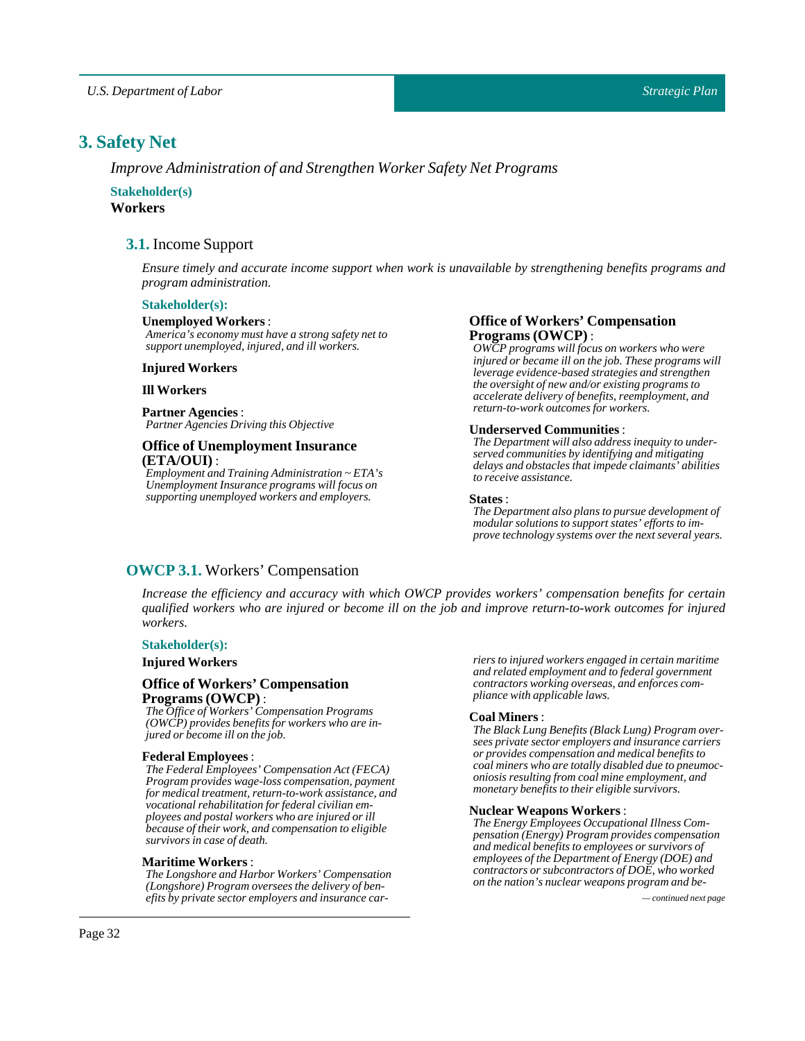## <span id="page-31-0"></span>**3. Safety Net**

*Improve Administration of and Strengthen Worker Safety Net Programs*

### <span id="page-31-1"></span>**Stakeholder(s) Workers**

## **3.1.** Income Support

*Ensure timely and accurate income support when work is unavailable by strengthening benefits programs and program administration.*

#### **Stakeholder(s):**

#### **Unemployed Workers**:

*America's economy must have a strong safety net to support unemployed, injured, and ill workers.*

#### **Injured Workers**

### **Ill Workers**

**Partner Agencies**: *Partner Agencies Driving this Objective*

#### **Office of Unemployment Insurance (ETA/OUI)** :

*Employment and Training Administration ~ ETA's Unemployment Insurance programs will focus on supporting unemployed workers and employers.*

#### **Office of Workers' Compensation Programs(OWCP)** :

*OWCP programs will focus on workers who were injured or became ill on the job. These programs will leverage evidence-based strategies and strengthen the oversight of new and/or existing programs to accelerate delivery of benefits, reemployment, and return-to-work outcomes for workers.*

#### **Underserved Communities** :

*The Department will also address inequity to underserved communities by identifying and mitigating delays and obstacles that impede claimants' abilities to receive assistance.*

#### **States** :

*The Department also plans to pursue development of modular solutions to support states' efforts to improve technology systems over the next several years.*

## <span id="page-31-2"></span>**OWCP 3.1.** Workers' Compensation

*Increase the efficiency and accuracy with which OWCP provides workers' compensation benefits for certain* qualified workers who are injured or become ill on the job and improve return-to-work outcomes for injured *workers.*

#### **Stakeholder(s):**

#### **Injured Workers**

#### **Office of Workers' Compensation Programs(OWCP)** :

*The Office of Workers' Compensation Programs (OWCP) provides benefits for workers who are injured or become ill on the job.*

#### **Federal Employees**:

*The Federal Employees' Compensation Act (FECA) Program provides wage-loss compensation, payment for medical treatment, return-to-work assistance, and vocational rehabilitation for federal civilian employees and postal workers who are injured or ill because of their work, and compensation to eligible survivors in case of death.*

#### **Maritime Workers** :

*The Longshore and Harbor Workers' Compensation (Longshore) Program oversees the delivery of benefits by private sector employers and insurance car- — continued next page*

*riers to injured workers engaged in certain maritime and related employment and to federal government contractors working overseas, and enforces compliance with applicable laws.*

#### **Coal Miners** :

*The Black Lung Benefits (Black Lung) Program oversees private sector employers and insurance carriers or provides compensation and medical benefits to coal miners who are totally disabled due to pneumoconiosis resulting from coal mine employment, and monetary benefits to their eligible survivors.*

#### **Nuclear Weapons Workers** :

*The Energy Employees Occupational Illness Compensation (Energy) Program provides compensation and medical benefits to employees or survivors of employees of the Department of Energy (DOE) and contractors or subcontractors of DOE, who worked on the nation's nuclear weapons program and be-*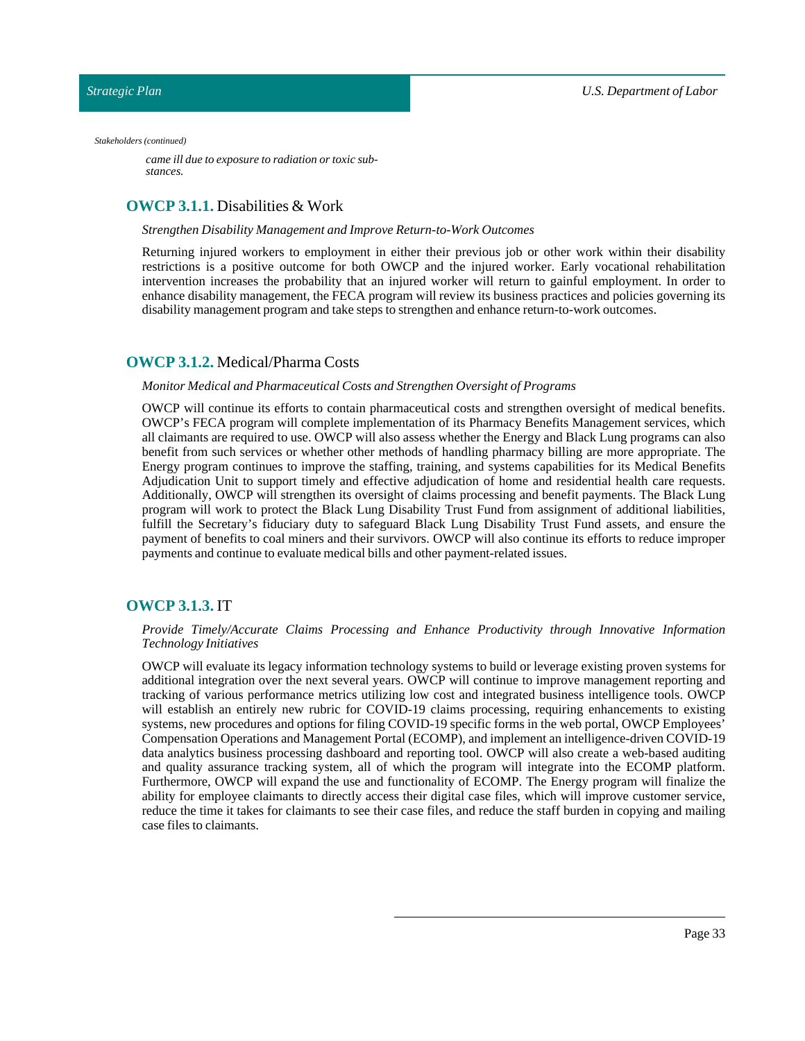#### <span id="page-32-0"></span>*Stakeholders (continued)*

*came ill due to exposure to radiation or toxic substances.*

## **OWCP 3.1.1.** Disabilities & Work

#### *Strengthen Disability Management and Improve Return-to-Work Outcomes*

Returning injured workers to employment in either their previous job or other work within their disability restrictions is a positive outcome for both OWCP and the injured worker. Early vocational rehabilitation intervention increases the probability that an injured worker will return to gainful employment. In order to enhance disability management, the FECA program will review its business practices and policies governing its disability management program and take steps to strengthen and enhance return-to-work outcomes.

## <span id="page-32-1"></span>**OWCP 3.1.2.** Medical/Pharma Costs

#### *Monitor Medical and Pharmaceutical Costs and Strengthen Oversight of Programs*

OWCP will continue its efforts to contain pharmaceutical costs and strengthen oversight of medical benefits. OWCP's FECA program will complete implementation of its Pharmacy Benefits Management services, which all claimants are required to use. OWCP will also assess whether the Energy and Black Lung programs can also benefit from such services or whether other methods of handling pharmacy billing are more appropriate. The Energy program continues to improve the staffing, training, and systems capabilities for its Medical Benefits Adjudication Unit to support timely and effective adjudication of home and residential health care requests. Additionally, OWCP will strengthen its oversight of claims processing and benefit payments. The Black Lung program will work to protect the Black Lung Disability Trust Fund from assignment of additional liabilities, fulfill the Secretary's fiduciary duty to safeguard Black Lung Disability Trust Fund assets, and ensure the payment of benefits to coal miners and their survivors. OWCP will also continue its efforts to reduce improper payments and continue to evaluate medical bills and other payment-related issues.

## <span id="page-32-2"></span>**OWCP 3.1.3.** IT

#### *Provide Timely/Accurate Claims Processing and Enhance Productivity through Innovative Information Technology Initiatives*

OWCP will evaluate its legacy information technology systems to build or leverage existing proven systems for additional integration over the next several years. OWCP will continue to improve management reporting and tracking of various performance metrics utilizing low cost and integrated business intelligence tools. OWCP will establish an entirely new rubric for COVID-19 claims processing, requiring enhancements to existing systems, new procedures and options for filing COVID-19 specific forms in the web portal, OWCP Employees' Compensation Operations and Management Portal (ECOMP), and implement an intelligence-driven COVID-19 data analytics business processing dashboard and reporting tool. OWCP will also create a web-based auditing and quality assurance tracking system, all of which the program will integrate into the ECOMP platform. Furthermore, OWCP will expand the use and functionality of ECOMP. The Energy program will finalize the ability for employee claimants to directly access their digital case files, which will improve customer service, reduce the time it takes for claimants to see their case files, and reduce the staff burden in copying and mailing case files to claimants.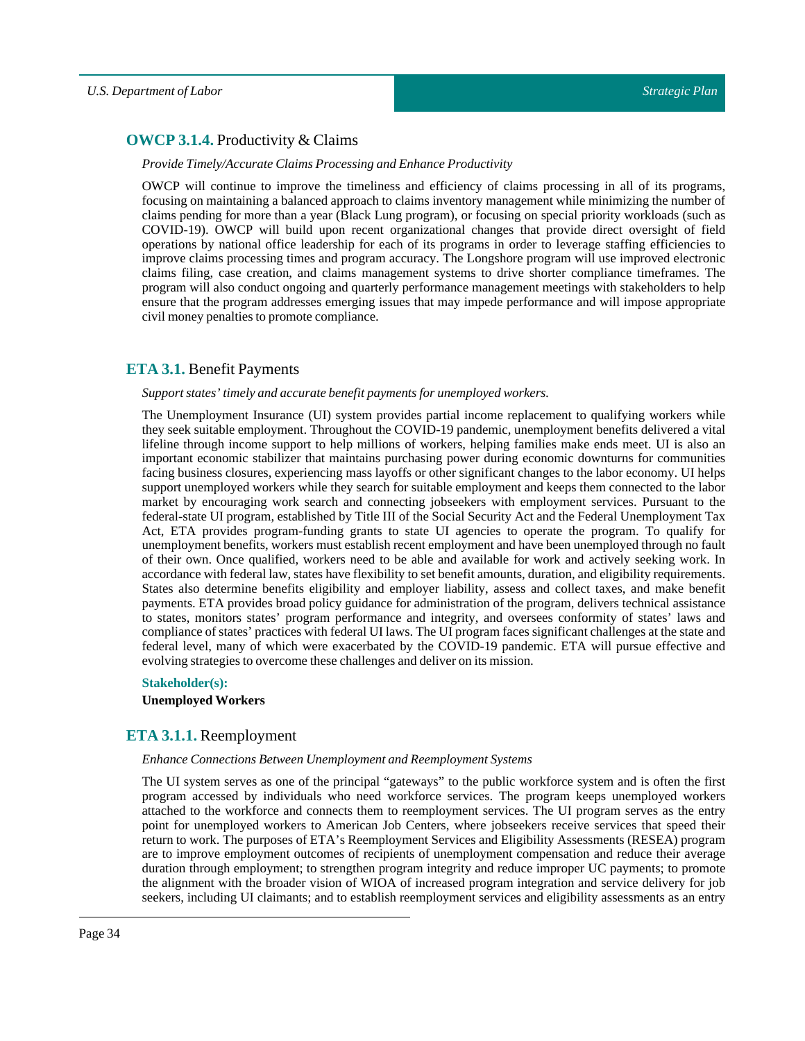## <span id="page-33-0"></span>**OWCP 3.1.4.** Productivity & Claims

#### *ProvideTimely/Accurate Claims Processing and Enhance Productivity*

OWCP will continue to improve the timeliness and efficiency of claims processing in all of its programs, focusing on maintaining a balanced approach to claims inventory management while minimizing the number of claims pending for more than a year (Black Lung program), or focusing on special priority workloads (such as COVID-19). OWCP will build upon recent organizational changes that provide direct oversight of field operations by national office leadership for each of its programs in order to leverage staffing efficiencies to improve claims processing times and program accuracy. The Longshore program will use improved electronic claims filing, case creation, and claims management systems to drive shorter compliance timeframes. The program will also conduct ongoing and quarterly performance management meetings with stakeholders to help ensure that the program addresses emerging issues that may impede performance and will impose appropriate civil money penalties to promote compliance.

## <span id="page-33-1"></span>**ETA 3.1.** Benefit Payments

#### *Support states' timely and accurate benefit payments for unemployed workers.*

The Unemployment Insurance (UI) system provides partial income replacement to qualifying workers while they seek suitable employment. Throughout the COVID-19 pandemic, unemployment benefits delivered a vital lifeline through income support to help millions of workers, helping families make ends meet. UI is also an important economic stabilizer that maintains purchasing power during economic downturns for communities facing business closures, experiencing mass layoffs or other significant changes to the labor economy. UI helps support unemployed workers while they search for suitable employment and keeps them connected to the labor market by encouraging work search and connecting jobseekers with employment services. Pursuant to the federal-state UI program, established by Title III of the Social Security Act and the Federal Unemployment Tax Act, ETA provides program-funding grants to state UI agencies to operate the program. To qualify for unemployment benefits, workers must establish recent employment and have been unemployed through no fault of their own. Once qualified, workers need to be able and available for work and actively seeking work. In accordance with federal law, states have flexibility to set benefit amounts, duration, and eligibility requirements. States also determine benefits eligibility and employer liability, assess and collect taxes, and make benefit payments. ETA provides broad policy guidance for administration of the program, delivers technical assistance to states, monitors states' program performance and integrity, and oversees conformity of states' laws and compliance of states' practices with federal UI laws. The UI program faces significant challenges at the state and federal level, many of which were exacerbated by the COVID-19 pandemic. ETA will pursue effective and evolving strategies to overcome these challenges and deliver on its mission.

#### **Stakeholder(s):**

#### **Unemployed Workers**

## <span id="page-33-2"></span>**ETA 3.1.1.** Reemployment

#### *Enhance Connections Between Unemployment and Reemployment Systems*

The UI system serves as one of the principal "gateways" to the public workforce system and is often the first program accessed by individuals who need workforce services. The program keeps unemployed workers attached to the workforce and connects them to reemployment services. The UI program serves as the entry point for unemployed workers to American Job Centers, where jobseekers receive services that speed their return to work. The purposes of ETA's Reemployment Services and Eligibility Assessments (RESEA) program are to improve employment outcomes of recipients of unemployment compensation and reduce their average duration through employment; to strengthen program integrity and reduce improper UC payments; to promote the alignment with the broader vision of WIOA of increased program integration and service delivery for job seekers, including UI claimants; and to establish reemployment services and eligibility assessments as an entry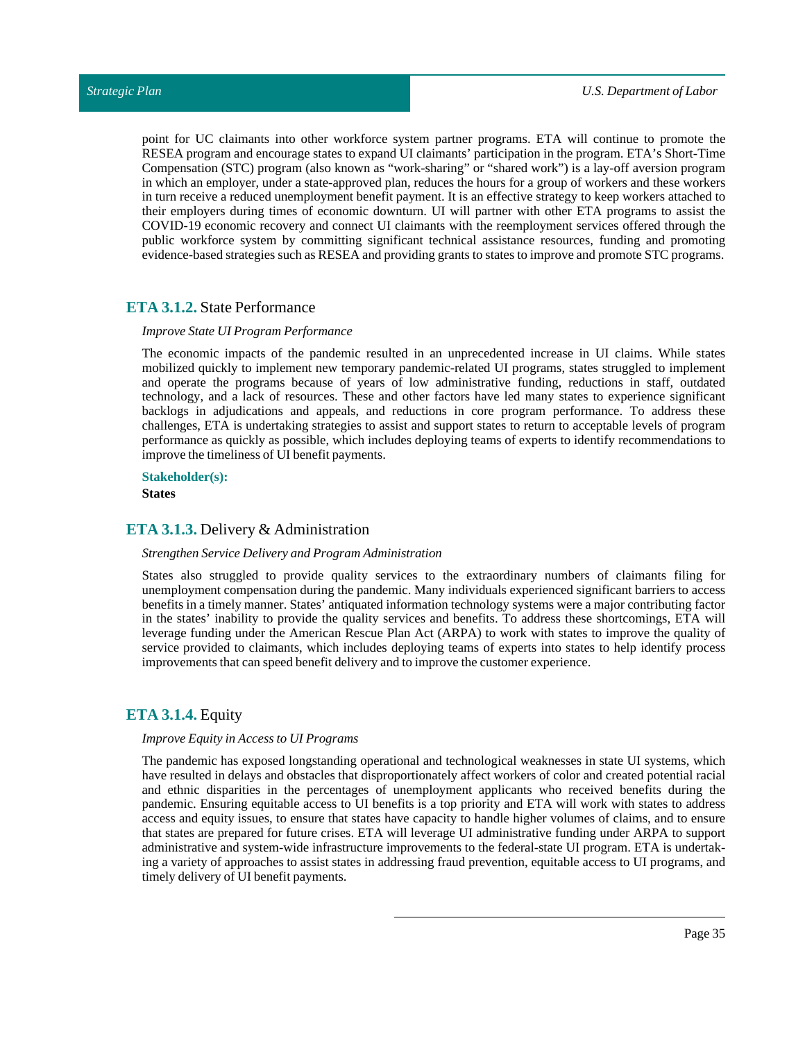point for UC claimants into other workforce system partner programs. ETA will continue to promote the RESEA program and encourage states to expand UI claimants' participation in the program. ETA's Short-Time Compensation (STC) program (also known as "work-sharing" or "shared work") is a lay-off aversion program in which an employer, under a state-approved plan, reduces the hours for a group of workers and these workers in turn receive a reduced unemployment benefit payment. It is an effective strategy to keep workers attached to their employers during times of economic downturn. UI will partner with other ETA programs to assist the COVID-19 economic recovery and connect UI claimants with the reemployment services offered through the public workforce system by committing significant technical assistance resources, funding and promoting evidence-based strategies such as RESEA and providing grants to states to improve and promote STC programs.

### <span id="page-34-0"></span>**ETA 3.1.2.** State Performance

#### *Improve State UI Program Performance*

The economic impacts of the pandemic resulted in an unprecedented increase in UI claims. While states mobilized quickly to implement new temporary pandemic-related UI programs, states struggled to implement and operate the programs because of years of low administrative funding, reductions in staff, outdated technology, and a lack of resources. These and other factors have led many states to experience significant backlogs in adjudications and appeals, and reductions in core program performance. To address these challenges, ETA is undertaking strategies to assist and support states to return to acceptable levels of program performance as quickly as possible, which includes deploying teams of experts to identify recommendations to improve the timeliness of UI benefit payments.

#### **Stakeholder(s):**

**States**

## <span id="page-34-1"></span>**ETA 3.1.3.** Delivery & Administration

#### *Strengthen Service Delivery and Program Administration*

States also struggled to provide quality services to the extraordinary numbers of claimants filing for unemployment compensation during the pandemic. Many individuals experienced significant barriers to access benefits in a timely manner. States' antiquated information technology systems were a major contributing factor in the states' inability to provide the quality services and benefits. To address these shortcomings, ETA will leverage funding under the American Rescue Plan Act (ARPA) to work with states to improve the quality of service provided to claimants, which includes deploying teams of experts into states to help identify process improvements that can speed benefit delivery and to improve the customer experience.

## <span id="page-34-2"></span>**ETA 3.1.4.** Equity

#### *Improve Equity in Access to UI Programs*

The pandemic has exposed longstanding operational and technological weaknesses in state UI systems, which have resulted in delays and obstacles that disproportionately affect workers of color and created potential racial and ethnic disparities in the percentages of unemployment applicants who received benefits during the pandemic. Ensuring equitable access to UI benefits is a top priority and ETA will work with states to address access and equity issues, to ensure that states have capacity to handle higher volumes of claims, and to ensure that states are prepared for future crises. ETA will leverage UI administrative funding under ARPA to support administrative and system-wide infrastructure improvements to the federal-state UI program. ETA is undertaking a variety of approaches to assist states in addressing fraud prevention, equitable access to UI programs, and timely delivery of UI benefit payments.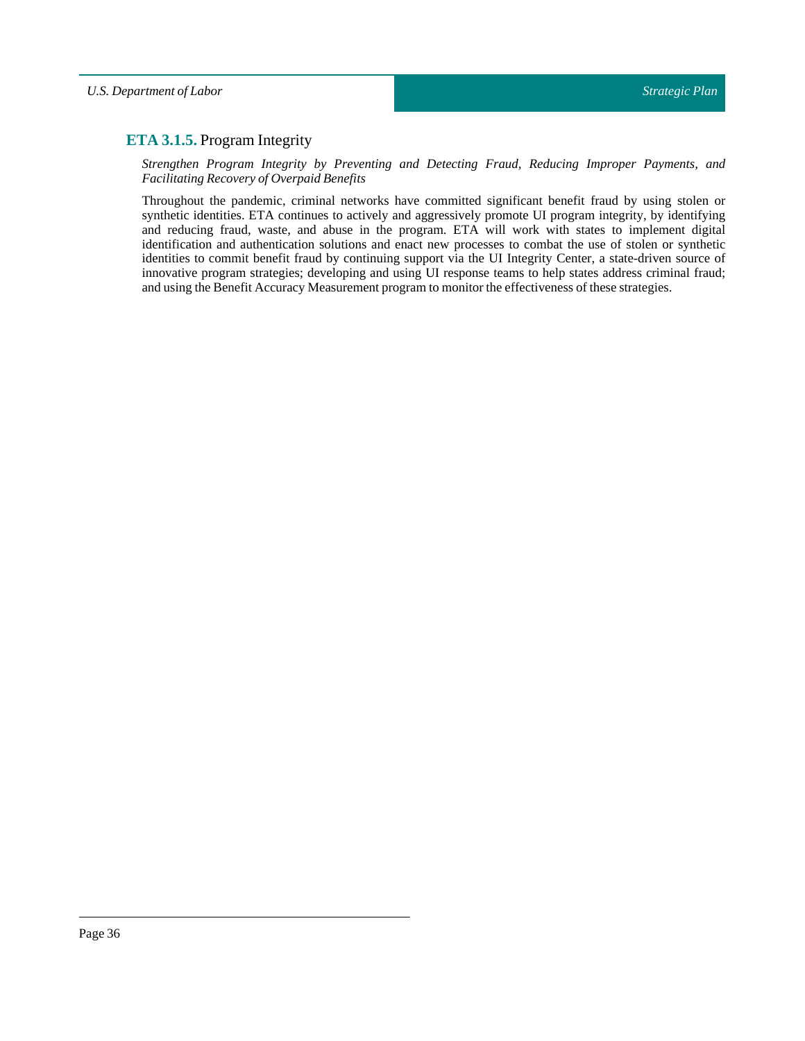## <span id="page-35-0"></span>**ETA 3.1.5.** Program Integrity

*Strengthen Program Integrity by Preventing and Detecting Fraud, Reducing Improper Payments, and Facilitating Recovery of Overpaid Benefits*

Throughout the pandemic, criminal networks have committed significant benefit fraud by using stolen or synthetic identities. ETA continues to actively and aggressively promote UI program integrity, by identifying and reducing fraud, waste, and abuse in the program. ETA will work with states to implement digital identification and authentication solutions and enact new processes to combat the use of stolen or synthetic identities to commit benefit fraud by continuing support via the UI Integrity Center, a state-driven source of innovative program strategies; developing and using UI response teams to help states address criminal fraud; and using the Benefit Accuracy Measurement program to monitor the effectiveness of these strategies.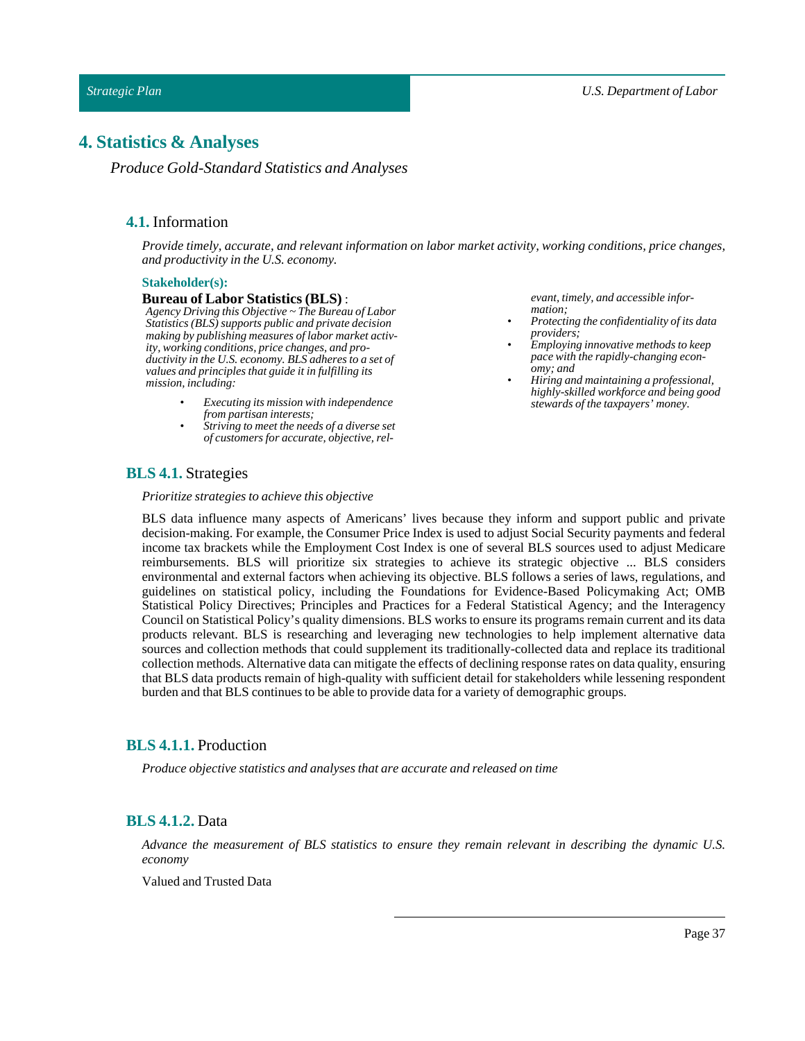## <span id="page-36-1"></span><span id="page-36-0"></span>**4. Statistics & Analyses**

*Produce Gold-Standard Statistics and Analyses*

## **4.1.** Information

*Provide timely, accurate, and relevant information on labor market activity, working conditions, price changes, and productivity in the U.S. economy.*

#### **Stakeholder(s):**

#### **Bureau of Labor Statistics (BLS)** :

*Agency Driving this Objective ~ The Bureau of Labor Statistics (BLS) supports public and private decision making by publishing measures of labor market activity, working conditions, price changes, and productivity in the U.S. economy. BLS adheres to a set of values and principles that guide it in fulfilling its mission, including:*

- *• Executing its mission with independence from partisan interests;*
- *• Striving to meet the needs of a diverse set of customers for accurate, objective, rel-*

*evant, timely, and accessible information;*

- *• Protecting the confidentiality of its data providers;*
- *• Employing innovative methods to keep pace with the rapidly-changing economy; and*
- *• Hiring and maintaining a professional, highly-skilled workforce and being good stewards of the taxpayers' money.*

## <span id="page-36-2"></span>**BLS 4.1.** Strategies

*Prioritize strategies to achieve this objective*

BLS data influence many aspects of Americans' lives because they inform and support public and private decision-making. For example, the Consumer Price Index is used to adjust Social Security payments and federal income tax brackets while the Employment Cost Index is one of several BLS sources used to adjust Medicare reimbursements. BLS will prioritize six strategies to achieve its strategic objective ... BLS considers environmental and external factors when achieving its objective. BLS follows a series of laws, regulations, and guidelines on statistical policy, including the Foundations for Evidence-Based Policymaking Act; OMB Statistical Policy Directives; Principles and Practices for a Federal Statistical Agency; and the Interagency Council on Statistical Policy's quality dimensions. BLS works to ensure its programs remain current and its data products relevant. BLS is researching and leveraging new technologies to help implement alternative data sources and collection methods that could supplement its traditionally-collected data and replace its traditional collection methods. Alternative data can mitigate the effects of declining response rates on data quality, ensuring that BLS data products remain of high-quality with sufficient detail for stakeholders while lessening respondent burden and that BLS continues to be able to provide data for a variety of demographic groups.

## <span id="page-36-3"></span>**BLS 4.1.1.** Production

*Produce objective statistics and analyses that are accurate and released on time*

## <span id="page-36-4"></span>**BLS 4.1.2.** Data

*Advance the measurement of BLS statistics to ensure they remain relevant in describing the dynamic U.S. economy*

Valued and Trusted Data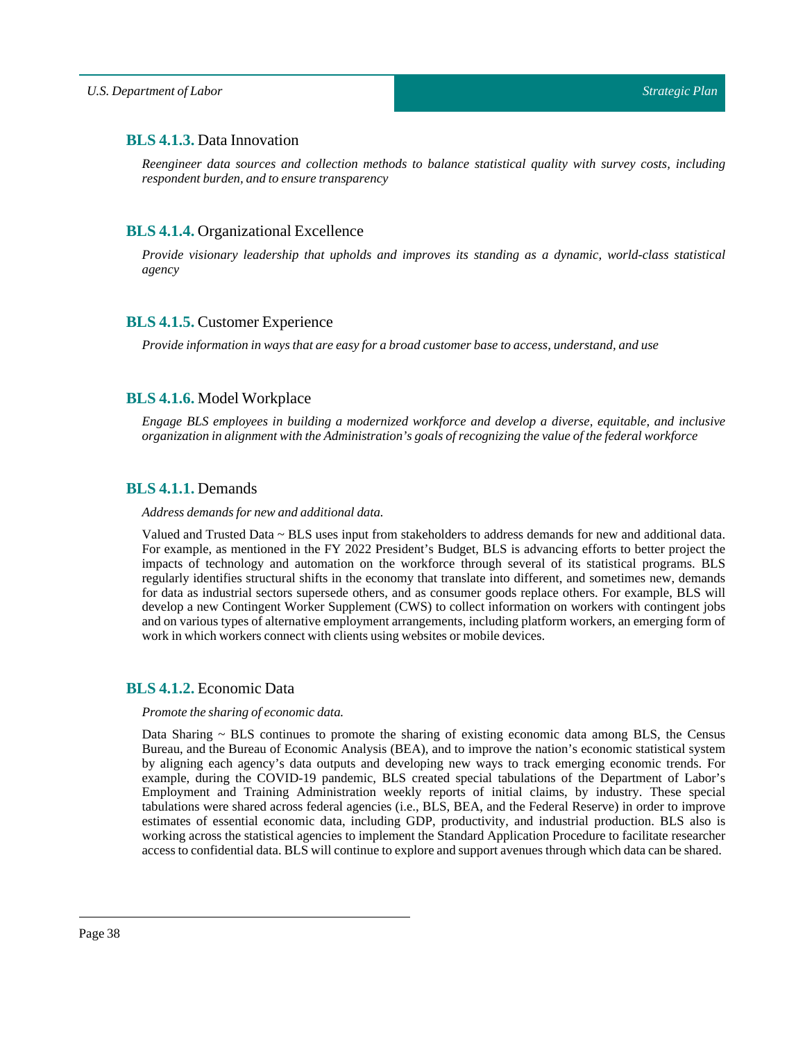## <span id="page-37-0"></span>**BLS 4.1.3.** Data Innovation

*Reengineer data sources and collection methods to balance statistical quality with survey costs, including respondent burden, and to ensure transparency*

## <span id="page-37-1"></span>**BLS 4.1.4.** Organizational Excellence

*Provide visionary leadership that upholds and improves its standing as a dynamic, world-class statistical agency*

## <span id="page-37-2"></span>**BLS 4.1.5.** Customer Experience

*Provide information in ways that are easy for a broad customer base to access, understand, and use*

## <span id="page-37-3"></span>**BLS 4.1.6.** Model Workplace

*Engage BLS employees in building a modernized workforce and develop a diverse, equitable, and inclusive organization in alignment with the Administration's goals of recognizing the value ofthe federal workforce*

## <span id="page-37-4"></span>**BLS 4.1.1.** Demands

*Address demands for new and additional data.*

Valued and Trusted Data ~ BLS uses input from stakeholders to address demands for new and additional data. For example, as mentioned in the FY 2022 President's Budget, BLS is advancing efforts to better project the impacts of technology and automation on the workforce through several of its statistical programs. BLS regularly identifies structural shifts in the economy that translate into different, and sometimes new, demands for data as industrial sectors supersede others, and as consumer goods replace others. For example, BLS will develop a new Contingent Worker Supplement (CWS) to collect information on workers with contingent jobs and on various types of alternative employment arrangements, including platform workers, an emerging form of work in which workers connect with clients using websites or mobile devices.

## <span id="page-37-5"></span>**BLS 4.1.2.** Economic Data

#### *Promote the sharing of economic data.*

Data Sharing  $\sim$  BLS continues to promote the sharing of existing economic data among BLS, the Census Bureau, and the Bureau of Economic Analysis (BEA), and to improve the nation's economic statistical system by aligning each agency's data outputs and developing new ways to track emerging economic trends. For example, during the COVID-19 pandemic, BLS created special tabulations of the Department of Labor's Employment and Training Administration weekly reports of initial claims, by industry. These special tabulations were shared across federal agencies (i.e., BLS, BEA, and the Federal Reserve) in order to improve estimates of essential economic data, including GDP, productivity, and industrial production. BLS also is working across the statistical agencies to implement the Standard Application Procedure to facilitate researcher access to confidential data. BLS will continue to explore and support avenues through which data can be shared.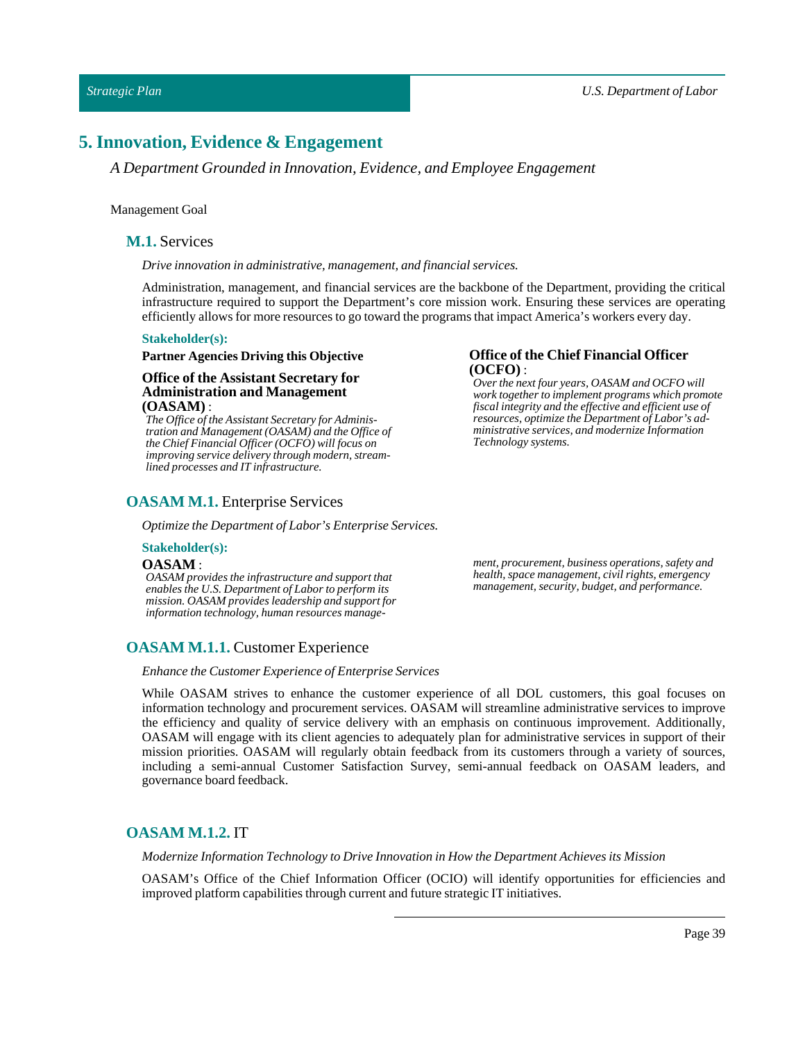## <span id="page-38-0"></span>**5. Innovation, Evidence & Engagement**

*A Department Grounded in Innovation, Evidence, and Employee Engagement*

#### <span id="page-38-1"></span>Management Goal

#### **M.1.** Services

*Drive innovation in administrative, management, and financial services.*

Administration, management, and financial services are the backbone of the Department, providing the critical infrastructure required to support the Department's core mission work. Ensuring these services are operating efficiently allows for more resources to go toward the programs thatimpact America's workers every day.

#### **Stakeholder(s):**

#### **Partner Agencies Driving this Objective**

#### **Office of the Assistant Secretary for Administration and Management (OASAM)** :

*The Office of the Assistant Secretary for Administration and Management (OASAM) and the Office of the Chief Financial Officer (OCFO) will focus on improving service delivery through modern, streamlined processes and IT infrastructure.*

## <span id="page-38-2"></span>**OASAM M.1.** Enterprise Services

*Optimize the Department ofLabor's Enterprise Services.*

#### **Stakeholder(s):**

#### **OASAM** :

*OASAM provides the infrastructure and support that enables the U.S. Department of Labor to perform its mission. OASAM provides leadership and support for information technology, human resources manage-*

## <span id="page-38-3"></span>**OASAM M.1.1.** Customer Experience

*Enhance the Customer Experience of Enterprise Services*

While OASAM strives to enhance the customer experience of all DOL customers, this goal focuses on information technology and procurement services. OASAM will streamline administrative services to improve the efficiency and quality of service delivery with an emphasis on continuous improvement. Additionally, OASAM will engage with its client agencies to adequately plan for administrative services in support of their mission priorities. OASAM will regularly obtain feedback from its customers through a variety of sources, including a semi-annual Customer Satisfaction Survey, semi-annual feedback on OASAM leaders, and governance board feedback.

## <span id="page-38-4"></span>**OASAM M.1.2.** IT

*Modernize InformationTechnology to Drive Innovation in How the Department Achieves its Mission*

OASAM's Office of the Chief Information Officer (OCIO) will identify opportunities for efficiencies and improved platform capabilities through current and future strategic IT initiatives.

## **Office of the Chief Financial Officer (OCFO)** : *Over the next four years, OASAM and OCFO will*

*work together to implement programs which promote fiscal integrity and the effective and efficient use of resources, optimize the Department of Labor's administrative services, and modernize Information Technology systems.*

*ment, procurement, business operations, safety and health, space management, civil rights, emergency management, security, budget, and performance.*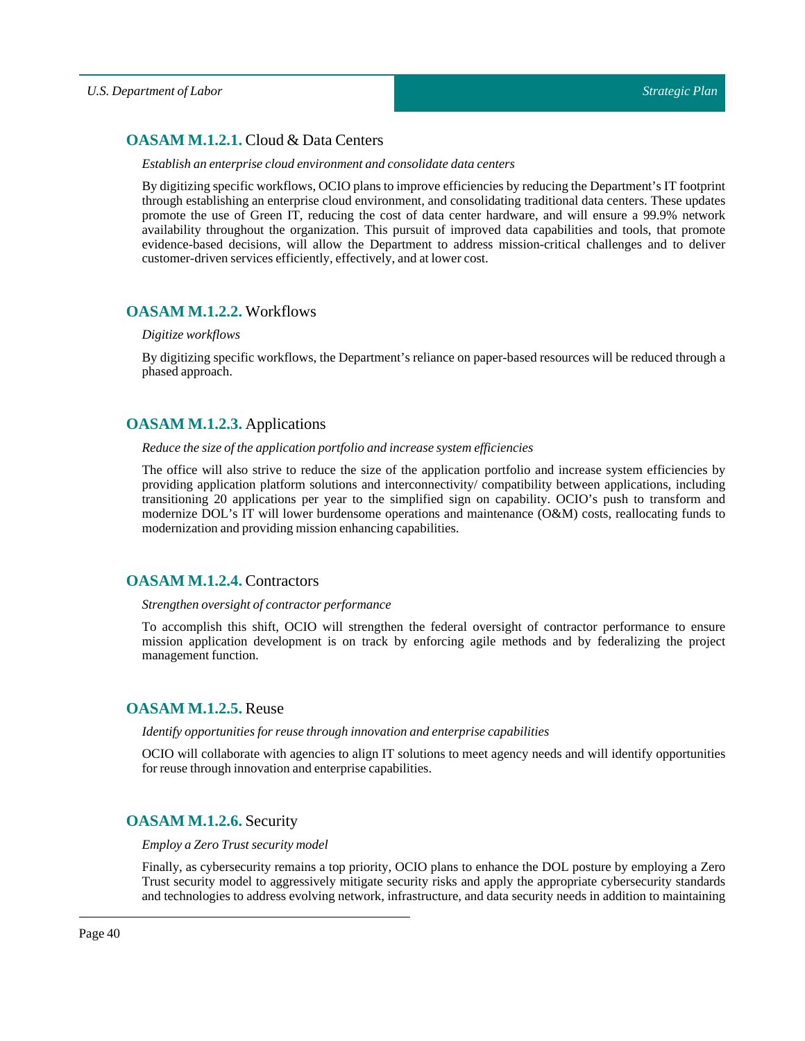## <span id="page-39-0"></span>**OASAM M.1.2.1.** Cloud & Data Centers

#### *Establish an enterprise cloud environment and consolidate data centers*

By digitizing specific workflows, OCIO plans to improve efficiencies by reducing the Department's IT footprint through establishing an enterprise cloud environment, and consolidating traditional data centers. These updates promote the use of Green IT, reducing the cost of data center hardware, and will ensure a 99.9% network availability throughout the organization. This pursuit of improved data capabilities and tools, that promote evidence-based decisions, will allow the Department to address mission-critical challenges and to deliver customer-driven services efficiently, effectively, and atlower cost.

## <span id="page-39-1"></span>**OASAM M.1.2.2.** Workflows

#### *Digitize workflows*

By digitizing specific workflows, the Department's reliance on paper-based resources will be reduced through a phased approach.

## <span id="page-39-2"></span>**OASAM M.1.2.3.** Applications

#### *Reduce the size ofthe application portfolio and increase system efficiencies*

The office will also strive to reduce the size of the application portfolio and increase system efficiencies by providing application platform solutions and interconnectivity/ compatibility between applications, including transitioning 20 applications per year to the simplified sign on capability. OCIO's push to transform and modernize DOL's IT will lower burdensome operations and maintenance (O&M) costs, reallocating funds to modernization and providing mission enhancing capabilities.

## <span id="page-39-3"></span>**OASAM M.1.2.4.** Contractors

#### *Strengthen oversight of contractor performance*

To accomplish this shift, OCIO will strengthen the federal oversight of contractor performance to ensure mission application development is on track by enforcing agile methods and by federalizing the project management function.

## <span id="page-39-4"></span>**OASAM M.1.2.5.** Reuse

#### *Identify opportunities for reuse through innovation and enterprise capabilities*

OCIO will collaborate with agencies to align IT solutions to meet agency needs and will identify opportunities for reuse through innovation and enterprise capabilities.

## <span id="page-39-5"></span>**OASAM M.1.2.6.** Security

#### *Employ aZeroTrust security model*

Finally, as cybersecurity remains a top priority, OCIO plans to enhance the DOL posture by employing a Zero Trust security model to aggressively mitigate security risks and apply the appropriate cybersecurity standards and technologies to address evolving network, infrastructure, and data security needs in addition to maintaining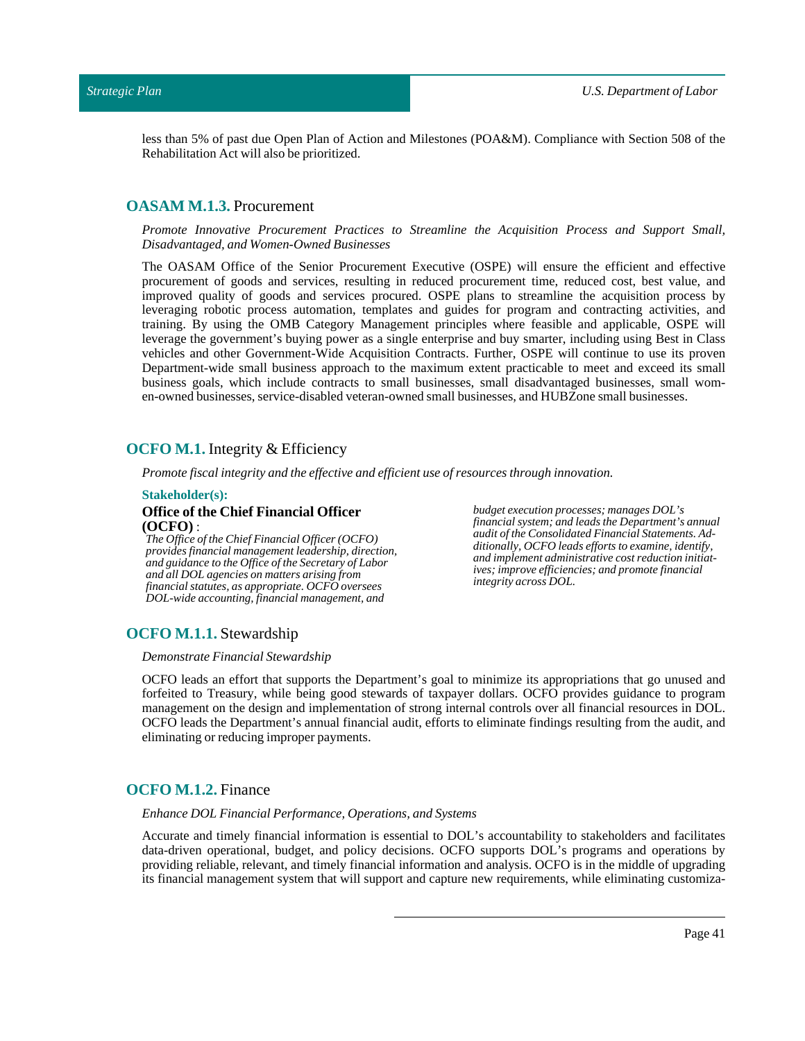less than 5% of past due Open Plan of Action and Milestones (POA&M). Compliance with Section 508 of the Rehabilitation Act will also be prioritized.

## <span id="page-40-0"></span>**OASAM M.1.3.** Procurement

*Promote Innovative Procurement Practices to Streamline the Acquisition Process and Support Small, Disadvantaged, and Women-Owned Businesses*

The OASAM Office of the Senior Procurement Executive (OSPE) will ensure the efficient and effective procurement of goods and services, resulting in reduced procurement time, reduced cost, best value, and improved quality of goods and services procured. OSPE plans to streamline the acquisition process by leveraging robotic process automation, templates and guides for program and contracting activities, and training. By using the OMB Category Management principles where feasible and applicable, OSPE will leverage the government's buying power as a single enterprise and buy smarter, including using Best in Class vehicles and other Government-Wide Acquisition Contracts. Further, OSPE will continue to use its proven Department-wide small business approach to the maximum extent practicable to meet and exceed its small business goals, which include contracts to small businesses, small disadvantaged businesses, small women-owned businesses, service-disabled veteran-owned small businesses, and HUBZone small businesses.

### <span id="page-40-1"></span>**OCFO M.1.** Integrity & Efficiency

*Promote fiscalintegrity and the effective and efficient use of resources through innovation.*

#### **Stakeholder(s):**

#### **Office of the Chief Financial Officer (OCFO)** :

*The Office of the Chief Financial Officer (OCFO) provides financial management leadership, direction, and guidance to the Office of the Secretary of Labor and all DOL agencies on matters arising from financial statutes, as appropriate. OCFO oversees DOL-wide accounting, financial management, and*

*budget execution processes; manages DOL's financial system; and leads the Department's annual audit of the Consolidated Financial Statements. Additionally, OCFO leads efforts to examine, identify, and implement administrative cost reduction initiatives; improve efficiencies; and promote financial integrity across DOL.*

#### <span id="page-40-2"></span>**OCFO M.1.1.** Stewardship

#### *Demonstrate Financial Stewardship*

OCFO leads an effort that supports the Department's goal to minimize its appropriations that go unused and forfeited to Treasury, while being good stewards of taxpayer dollars. OCFO provides guidance to program management on the design and implementation of strong internal controls over all financial resources in DOL. OCFO leads the Department's annual financial audit, efforts to eliminate findings resulting from the audit, and eliminating or reducing improper payments.

## <span id="page-40-3"></span>**OCFO M.1.2.** Finance

*Enhance DOL Financial Performance, Operations, and Systems*

Accurate and timely financial information is essential to DOL's accountability to stakeholders and facilitates data-driven operational, budget, and policy decisions. OCFO supports DOL's programs and operations by providing reliable, relevant, and timely financial information and analysis. OCFO is in the middle of upgrading its financial management system that will support and capture new requirements, while eliminating customiza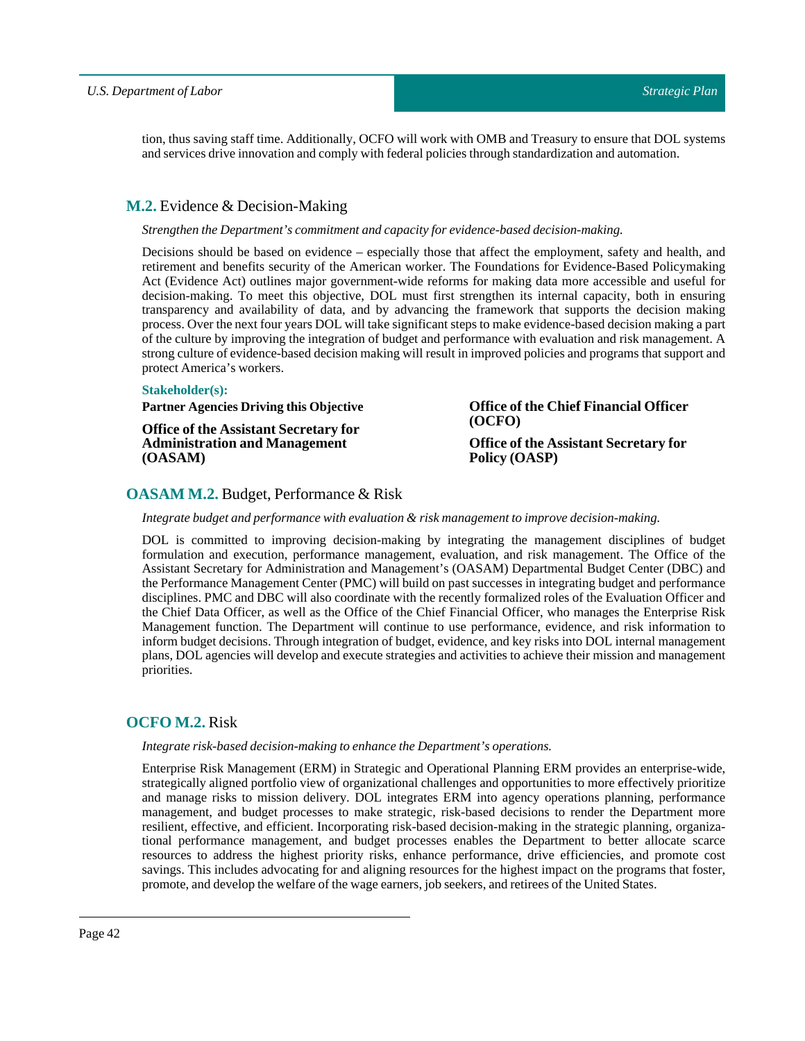tion, thus saving staff time. Additionally, OCFO will work with OMB and Treasury to ensure that DOL systems and services drive innovation and comply with federal policies through standardization and automation.

## <span id="page-41-0"></span>**M.2.** Evidence & Decision-Making

#### *Strengthen the Department's commitment and capacity for evidence-based decision-making.*

Decisions should be based on evidence – especially those that affect the employment, safety and health, and retirement and benefits security of the American worker. The Foundations for Evidence-Based Policymaking Act (Evidence Act) outlines major government-wide reforms for making data more accessible and useful for decision-making. To meet this objective, DOL must first strengthen its internal capacity, both in ensuring transparency and availability of data, and by advancing the framework that supports the decision making process. Over the next four years DOL willtake significant steps to make evidence-based decision making a part of the culture by improving the integration of budget and performance with evaluation and risk management. A strong culture of evidence-based decision making will result in improved policies and programs that support and protect America's workers.

#### **Stakeholder(s):**

## **Partner Agencies Driving this Objective**

**Office of the Assistant Secretary for Administration and Management (OASAM)**

**Office of the Chief Financial Officer (OCFO) Office of the Assistant Secretary for**

**Policy (OASP)**

## <span id="page-41-1"></span>**OASAM M.2.** Budget, Performance & Risk

#### *Integrate budget and performance with evaluation & risk managementto improve decision-making.*

DOL is committed to improving decision-making by integrating the management disciplines of budget formulation and execution, performance management, evaluation, and risk management. The Office of the Assistant Secretary for Administration and Management's (OASAM) Departmental Budget Center (DBC) and the Performance Management Center (PMC) will build on past successes in integrating budget and performance disciplines. PMC and DBC will also coordinate with the recently formalized roles of the Evaluation Officer and the Chief Data Officer, as well as the Office of the Chief Financial Officer, who manages the Enterprise Risk Management function. The Department will continue to use performance, evidence, and risk information to inform budget decisions. Through integration of budget, evidence, and key risks into DOL internal management plans, DOL agencies will develop and execute strategies and activities to achieve their mission and management priorities.

## <span id="page-41-2"></span>**OCFO M.2.** Risk

#### *Integrate risk-based decision-making to enhance the Department's operations.*

Enterprise Risk Management (ERM) in Strategic and Operational Planning ERM provides an enterprise-wide, strategically aligned portfolio view of organizational challenges and opportunities to more effectively prioritize and manage risks to mission delivery. DOL integrates ERM into agency operations planning, performance management, and budget processes to make strategic, risk-based decisions to render the Department more resilient, effective, and efficient. Incorporating risk-based decision-making in the strategic planning, organizational performance management, and budget processes enables the Department to better allocate scarce resources to address the highest priority risks, enhance performance, drive efficiencies, and promote cost savings. This includes advocating for and aligning resources for the highest impact on the programs that foster, promote, and develop the welfare of the wage earners, job seekers, and retirees of the United States.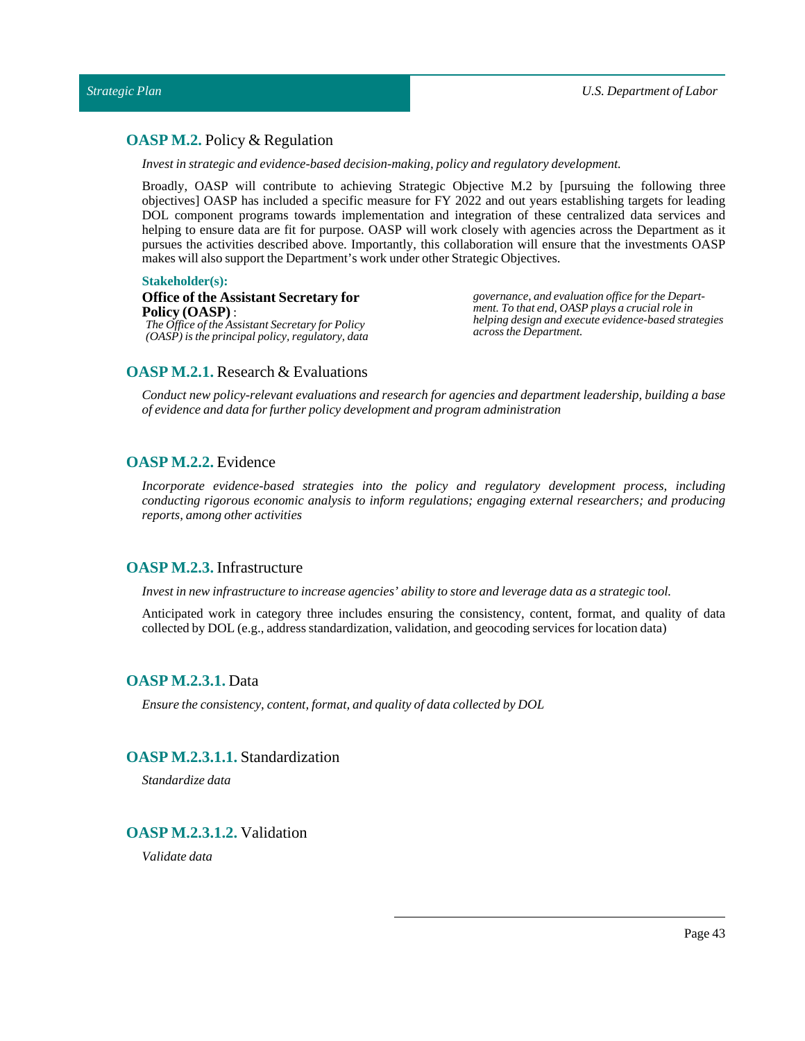## <span id="page-42-0"></span>**OASP M.2.** Policy & Regulation

*Investin strategic and evidence-based decision-making, policy and regulatory development.*

Broadly, OASP will contribute to achieving Strategic Objective M.2 by [pursuing the following three objectives] OASP has included a specific measure for FY 2022 and out years establishing targets for leading DOL component programs towards implementation and integration of these centralized data services and helping to ensure data are fit for purpose. OASP will work closely with agencies across the Department as it pursues the activities described above. Importantly, this collaboration will ensure that the investments OASP makes will also support the Department's work under other Strategic Objectives.

#### **Stakeholder(s):**

#### **Office of the Assistant Secretary for Policy (OASP)** : *The Office of the Assistant Secretary for Policy (OASP) is the principal policy, regulatory, data*

*governance, and evaluation office for the Department. To that end, OASP plays a crucial role in helping design and execute evidence-based strategies across the Department.*

## <span id="page-42-1"></span>**OASP M.2.1.** Research & Evaluations

*Conduct new policy-relevant evaluations and research for agencies and department leadership, building a base of evidence and data for further policy development and program administration*

## <span id="page-42-2"></span>**OASP M.2.2.** Evidence

*Incorporate evidence-based strategies into the policy and regulatory development process, including conducting rigorous economic analysis to inform regulations; engaging external researchers; and producing reports, among other activities*

## <span id="page-42-3"></span>**OASP M.2.3.** Infrastructure

*Investin new infrastructure to increase agencies' ability to store and leverage data as a strategic tool.*

Anticipated work in category three includes ensuring the consistency, content, format, and quality of data collected by DOL (e.g., address standardization, validation, and geocoding services for location data)

## <span id="page-42-4"></span>**OASP M.2.3.1.** Data

*Ensure the consistency, content,format, and quality of data collected by DOL*

#### <span id="page-42-5"></span>**OASP M.2.3.1.1.** Standardization

*Standardize data*

## <span id="page-42-6"></span>**OASP M.2.3.1.2.** Validation

*Validate data*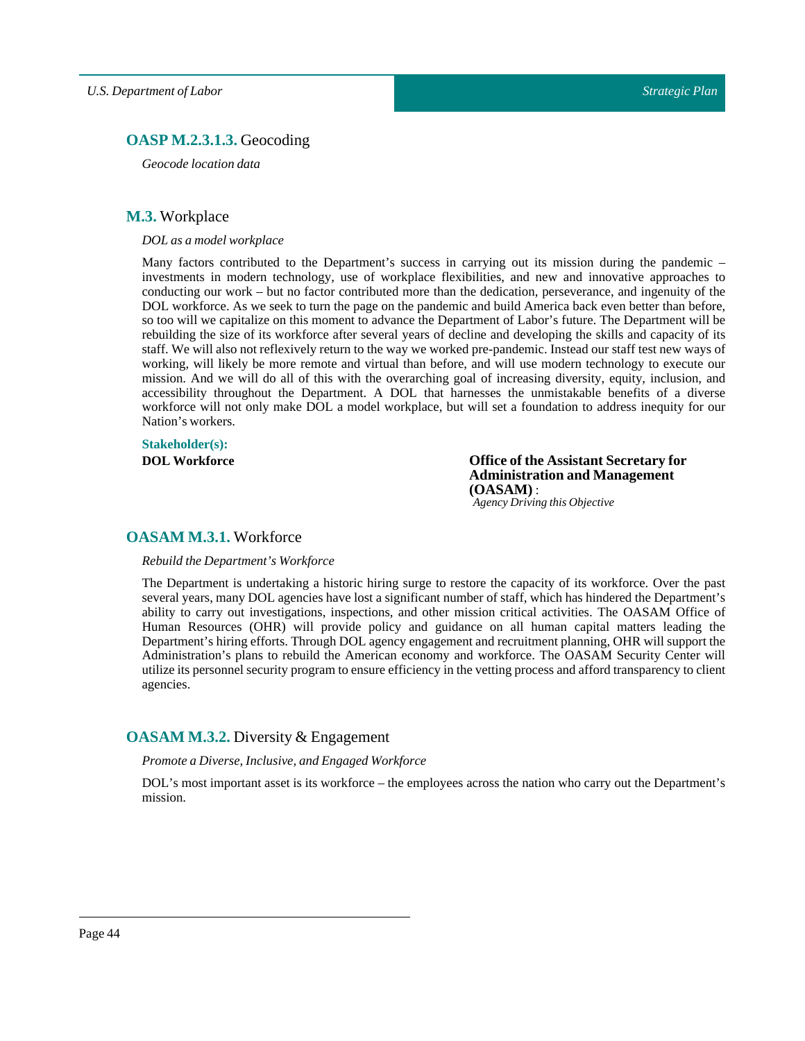## <span id="page-43-0"></span>**OASP M.2.3.1.3.** Geocoding

*Geocode location data*

## <span id="page-43-1"></span>**M.3.** Workplace

*DOLas a model workplace*

Many factors contributed to the Department's success in carrying out its mission during the pandemic – investments in modern technology, use of workplace flexibilities, and new and innovative approaches to conducting our work – but no factor contributed more than the dedication, perseverance, and ingenuity of the DOL workforce. As we seek to turn the page on the pandemic and build America back even better than before, so too will we capitalize on this moment to advance the Department of Labor's future. The Department will be rebuilding the size of its workforce after several years of decline and developing the skills and capacity of its staff. We will also not reflexively return to the way we worked pre-pandemic. Instead our staff test new ways of working, will likely be more remote and virtual than before, and will use modern technology to execute our mission. And we will do all of this with the overarching goal of increasing diversity, equity, inclusion, and accessibility throughout the Department. A DOL that harnesses the unmistakable benefits of a diverse workforce will not only make DOL a model workplace, but will set a foundation to address inequity for our Nation's workers.

## **Stakeholder(s):**

**DOL Workforce Office of the Assistant Secretary for Administration and Management (OASAM)** : *Agency Driving this Objective*

## <span id="page-43-2"></span>**OASAM M.3.1.** Workforce

#### *Rebuild the Department's Workforce*

The Department is undertaking a historic hiring surge to restore the capacity of its workforce. Over the past several years, many DOL agencies have lost a significant number of staff, which has hindered the Department's ability to carry out investigations, inspections, and other mission critical activities. The OASAM Office of Human Resources (OHR) will provide policy and guidance on all human capital matters leading the Department's hiring efforts. Through DOL agency engagement and recruitment planning, OHR will support the Administration's plans to rebuild the American economy and workforce. The OASAM Security Center will utilize its personnel security program to ensure efficiency in the vetting process and afford transparency to client agencies.

## <span id="page-43-3"></span>**OASAM M.3.2.** Diversity & Engagement

*Promote a Diverse, Inclusive, and Engaged Workforce*

DOL's most important asset is its workforce – the employees across the nation who carry out the Department's mission.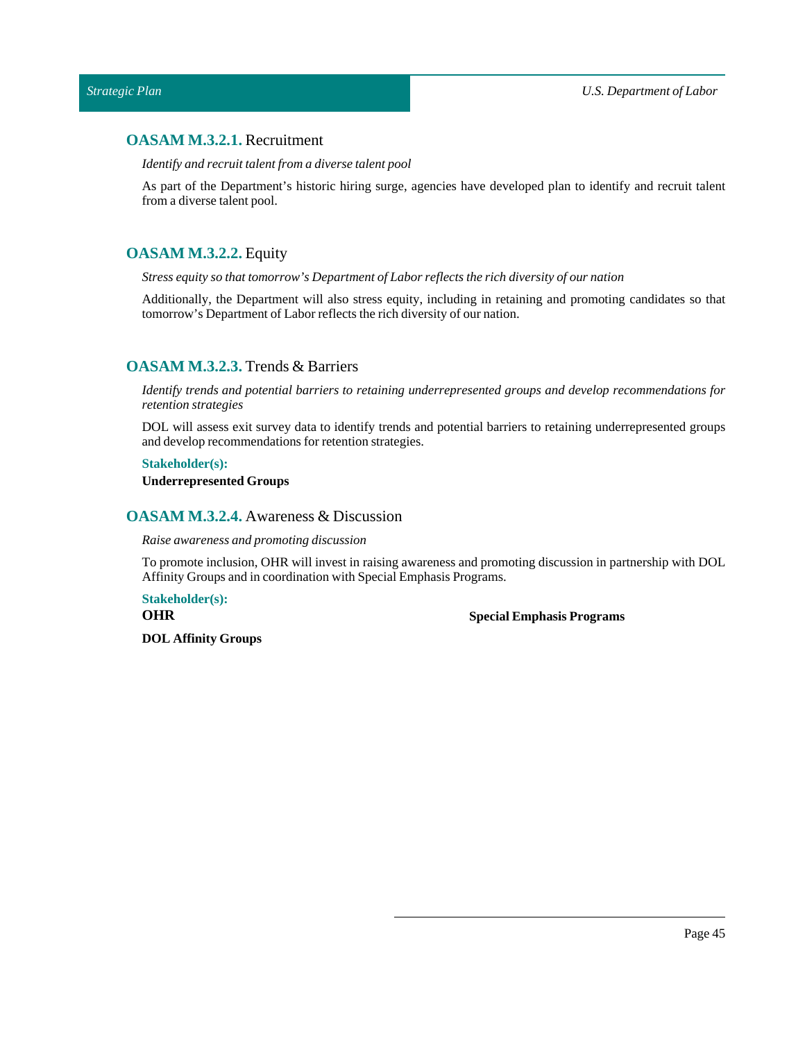## <span id="page-44-0"></span>**OASAM M.3.2.1.** Recruitment

*Identify and recruittalentfrom a diverse talent pool*

As part of the Department's historic hiring surge, agencies have developed plan to identify and recruit talent from a diverse talent pool.

## <span id="page-44-1"></span>**OASAM M.3.2.2.** Equity

*Stress equity so thattomorrow's Department ofLabor reflects the rich diversity of our nation*

Additionally, the Department will also stress equity, including in retaining and promoting candidates so that tomorrow's Department of Labor reflects the rich diversity of our nation.

## <span id="page-44-2"></span>**OASAM M.3.2.3.** Trends & Barriers

*Identify trends and potential barriers to retaining underrepresented groups and develop recommendations for retention strategies*

DOL will assess exit survey data to identify trends and potential barriers to retaining underrepresented groups and develop recommendations for retention strategies.

#### **Stakeholder(s):**

**Underrepresented Groups**

## <span id="page-44-3"></span>**OASAM M.3.2.4.** Awareness & Discussion

*Raise awareness and promoting discussion*

To promote inclusion, OHR will invest in raising awareness and promoting discussion in partnership with DOL Affinity Groups and in coordination with Special Emphasis Programs.

**Stakeholder(s): OHR**

**Special Emphasis Programs**

**DOL Affinity Groups**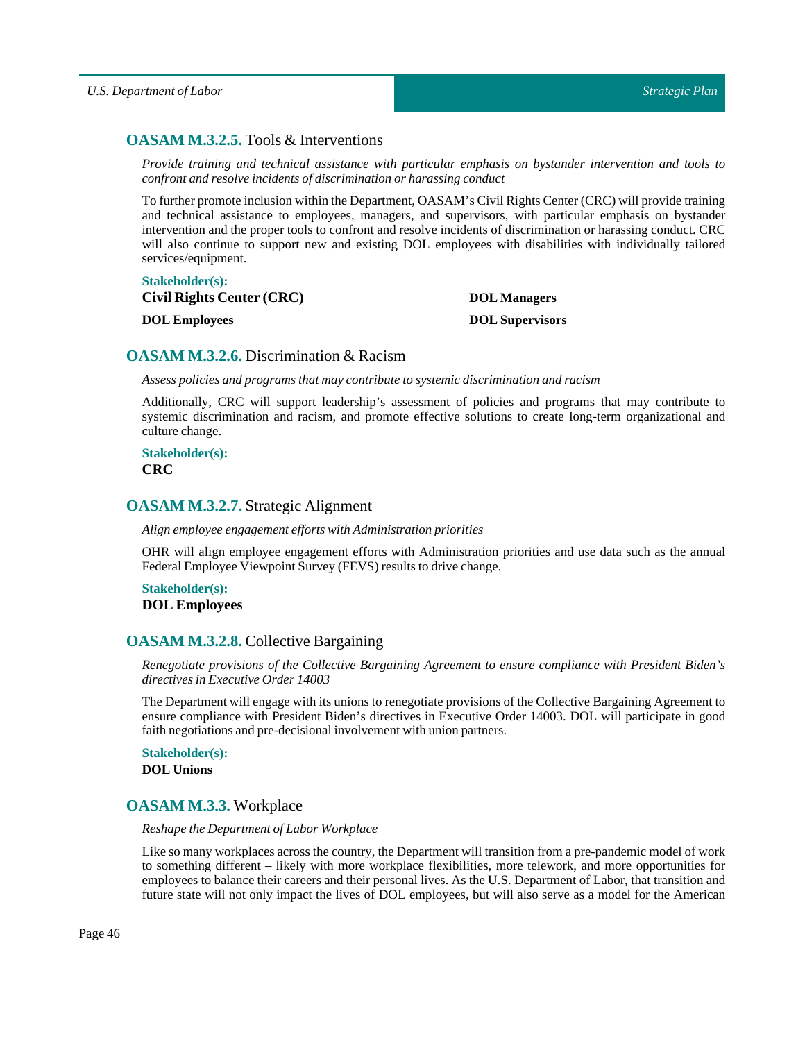## <span id="page-45-0"></span>**OASAM M.3.2.5.** Tools & Interventions

*Provide training and technical assistance with particular emphasis on bystander intervention and tools to confront and resolve incidents of discrimination or harassing conduct*

To further promote inclusion within the Department, OASAM's Civil Rights Center (CRC) will provide training and technical assistance to employees, managers, and supervisors, with particular emphasis on bystander intervention and the proper tools to confront and resolve incidents of discrimination or harassing conduct. CRC will also continue to support new and existing DOL employees with disabilities with individually tailored services/equipment.

**Stakeholder(s): Civil Rights Center (CRC) DOL Employees DOL Managers DOL Supervisors**

## <span id="page-45-1"></span>**OASAM M.3.2.6.** Discrimination & Racism

*Assess policies and programs that may contribute to systemic discrimination and racism*

Additionally, CRC will support leadership's assessment of policies and programs that may contribute to systemic discrimination and racism, and promote effective solutions to create long-term organizational and culture change.

**Stakeholder(s): CRC**

## <span id="page-45-2"></span>**OASAM M.3.2.7.** Strategic Alignment

*Align employee engagement efforts with Administration priorities*

OHR will align employee engagement efforts with Administration priorities and use data such as the annual Federal Employee Viewpoint Survey (FEVS) results to drive change.

**Stakeholder(s): DOL Employees**

## <span id="page-45-3"></span>**OASAM M.3.2.8.** Collective Bargaining

*Renegotiate provisions of the Collective Bargaining Agreement to ensure compliance with President Biden's directives in Executive Order 14003*

The Department will engage with its unions to renegotiate provisions of the Collective Bargaining Agreement to ensure compliance with President Biden's directives in Executive Order 14003. DOL will participate in good faith negotiations and pre-decisional involvement with union partners.

**Stakeholder(s): DOL Unions**

## <span id="page-45-4"></span>**OASAM M.3.3.** Workplace

#### *Reshape the Department ofLabor Workplace*

Like so many workplaces across the country, the Department will transition from a pre-pandemic model of work to something different – likely with more workplace flexibilities, more telework, and more opportunities for employees to balance their careers and their personal lives. As the U.S. Department of Labor, that transition and future state will not only impact the lives of DOL employees, but will also serve as a model for the American